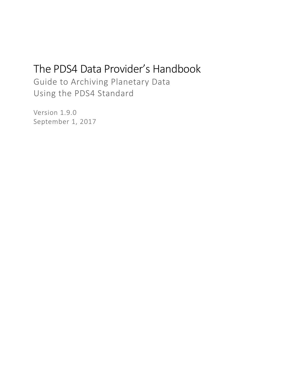# The PDS4 Data Provider's Handbook

Guide to Archiving Planetary Data Using the PDS4 Standard

Version 1.9.0 September 1, 2017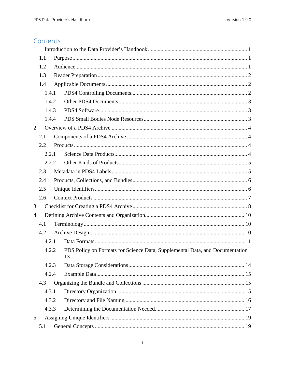# Contents

| $\mathbf{1}$                                                                                |       |  |  |  |
|---------------------------------------------------------------------------------------------|-------|--|--|--|
|                                                                                             | 1.1   |  |  |  |
|                                                                                             | 1.2   |  |  |  |
| 1.3                                                                                         |       |  |  |  |
|                                                                                             | 1.4   |  |  |  |
|                                                                                             | 1.4.1 |  |  |  |
|                                                                                             | 1.4.2 |  |  |  |
|                                                                                             | 1.4.3 |  |  |  |
|                                                                                             | 1.4.4 |  |  |  |
| $\overline{2}$                                                                              |       |  |  |  |
|                                                                                             | 2.1   |  |  |  |
|                                                                                             | 2.2   |  |  |  |
|                                                                                             | 2.2.1 |  |  |  |
|                                                                                             | 2.2.2 |  |  |  |
|                                                                                             | 2.3   |  |  |  |
|                                                                                             | 2.4   |  |  |  |
|                                                                                             | 2.5   |  |  |  |
|                                                                                             | 2.6   |  |  |  |
| 3                                                                                           |       |  |  |  |
| 4                                                                                           |       |  |  |  |
|                                                                                             | 4.1   |  |  |  |
|                                                                                             | 4.2   |  |  |  |
|                                                                                             | 4.2.1 |  |  |  |
| 4.2.2<br>PDS Policy on Formats for Science Data, Supplemental Data, and Documentation<br>13 |       |  |  |  |
|                                                                                             | 4.2.3 |  |  |  |
|                                                                                             | 4.2.4 |  |  |  |
|                                                                                             | 4.3   |  |  |  |
|                                                                                             | 4.3.1 |  |  |  |
|                                                                                             | 4.3.2 |  |  |  |
|                                                                                             | 4.3.3 |  |  |  |
| 5                                                                                           |       |  |  |  |
|                                                                                             | 5.1   |  |  |  |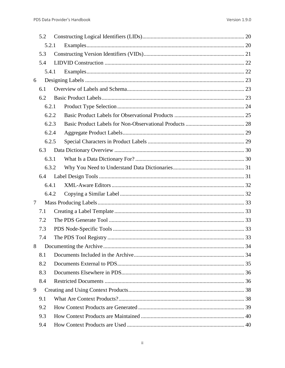|        | 5.2   |       |  |  |  |
|--------|-------|-------|--|--|--|
|        | 5.2.1 |       |  |  |  |
|        | 5.3   |       |  |  |  |
|        | 5.4   |       |  |  |  |
|        |       | 5.4.1 |  |  |  |
| 6      |       |       |  |  |  |
|        | 6.1   |       |  |  |  |
|        | 6.2   |       |  |  |  |
|        |       | 6.2.1 |  |  |  |
|        |       | 6.2.2 |  |  |  |
|        |       | 6.2.3 |  |  |  |
|        |       | 6.2.4 |  |  |  |
|        |       | 6.2.5 |  |  |  |
|        | 6.3   |       |  |  |  |
|        |       | 6.3.1 |  |  |  |
|        |       | 6.3.2 |  |  |  |
|        | 6.4   |       |  |  |  |
|        |       | 6.4.1 |  |  |  |
|        |       | 6.4.2 |  |  |  |
| $\tau$ |       |       |  |  |  |
|        | 7.1   |       |  |  |  |
|        | 7.2   |       |  |  |  |
|        | 7.3   |       |  |  |  |
|        | 7.4   |       |  |  |  |
| 8      |       |       |  |  |  |
|        | 8.1   |       |  |  |  |
|        | 8.2   |       |  |  |  |
|        | 8.3   |       |  |  |  |
|        | 8.4   |       |  |  |  |
| 9      |       |       |  |  |  |
|        | 9.1   |       |  |  |  |
|        | 9.2   |       |  |  |  |
|        | 9.3   |       |  |  |  |
|        | 9.4   |       |  |  |  |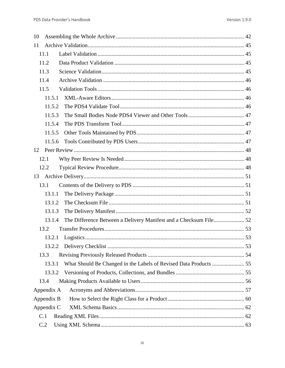| 10         |  |
|------------|--|
| 11         |  |
| 11.1       |  |
| 11.2       |  |
| 11.3       |  |
| 11.4       |  |
| 11.5       |  |
| 11.5.1     |  |
| 11.5.2     |  |
| 11.5.3     |  |
| 11.5.4     |  |
| 11.5.5     |  |
| 11.5.6     |  |
| 12         |  |
| 12.1       |  |
| 12.2       |  |
| 13         |  |
| 13.1       |  |
| 13.1.1     |  |
| 13.1.2     |  |
| 13.1.3     |  |
| 13.1.4     |  |
| 13.2       |  |
| 13.2.1     |  |
| 13.2.2     |  |
| 13.3       |  |
| 13.3.1     |  |
| 13.3.2     |  |
| 13.4       |  |
| Appendix A |  |
| Appendix B |  |
| Appendix C |  |
| C.1        |  |
| C.2        |  |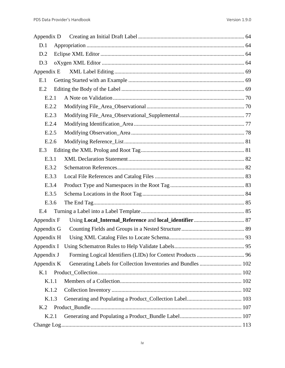| Appendix D |                                                               |  |
|------------|---------------------------------------------------------------|--|
| D.1        |                                                               |  |
| D.2        |                                                               |  |
| D.3        |                                                               |  |
| Appendix E |                                                               |  |
| E.1        |                                                               |  |
| E.2        |                                                               |  |
| E.2.1      |                                                               |  |
| E.2.2      |                                                               |  |
| E.2.3      |                                                               |  |
| E.2.4      |                                                               |  |
| E.2.5      |                                                               |  |
| E.2.6      |                                                               |  |
| E.3        |                                                               |  |
| E.3.1      |                                                               |  |
| E.3.2      |                                                               |  |
| E.3.3      |                                                               |  |
| E.3.4      |                                                               |  |
| E.3.5      |                                                               |  |
| E.3.6      |                                                               |  |
| E.4        |                                                               |  |
| Appendix F |                                                               |  |
| Appendix G |                                                               |  |
| Appendix H |                                                               |  |
| Appendix I |                                                               |  |
| Appendix J |                                                               |  |
| Appendix K | Generating Labels for Collection Inventories and Bundles  102 |  |
| K.1        |                                                               |  |
| K.1.1      |                                                               |  |
| K.1.2      |                                                               |  |
| K.1.3      |                                                               |  |
| K.2        |                                                               |  |
| K.2.1      |                                                               |  |
|            |                                                               |  |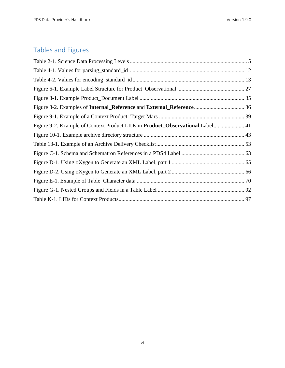# Tables and Figures

| Figure 9-2. Example of Context Product LIDs in Product_Observational Label 41 |  |
|-------------------------------------------------------------------------------|--|
|                                                                               |  |
|                                                                               |  |
|                                                                               |  |
|                                                                               |  |
|                                                                               |  |
|                                                                               |  |
|                                                                               |  |
|                                                                               |  |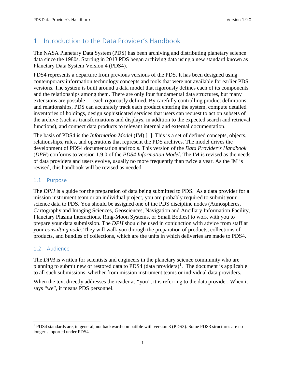# <span id="page-7-0"></span>1 Introduction to the Data Provider's Handbook

The NASA Planetary Data System (PDS) has been archiving and distributing planetary science data since the 1980s. Starting in 2013 PDS began archiving data using a new standard known as Planetary Data System Version 4 (PDS4).

PDS4 represents a departure from previous versions of the PDS. It has been designed using contemporary information technology concepts and tools that were not available for earlier PDS versions. The system is built around a data model that rigorously defines each of its components and the relationships among them. There are only four fundamental data structures, but many extensions are possible — each rigorously defined. By carefully controlling product definitions and relationships, PDS can accurately track each product entering the system, compute detailed inventories of holdings, design sophisticated services that users can request to act on subsets of the archive (such as transformations and displays, in addition to the expected search and retrieval functions), and connect data products to relevant internal and external documentation.

The basis of PDS4 is the *Information Model* (IM) [1]. This is a set of defined concepts, objects, relationships, rules, and operations that represent the PDS archives. The model drives the development of PDS4 documentation and tools. This version of the *Data Provider's Handbook* (*DPH*) conforms to version 1.9.0 of the *PDS4 Information Model*. The IM is revised as the needs of data providers and users evolve, usually no more frequently than twice a year. As the IM is revised, this handbook will be revised as needed.

#### <span id="page-7-1"></span>1.1 Purpose

The *DPH* is a guide for the preparation of data being submitted to PDS. As a data provider for a mission instrument team or an individual project, you are probably required to submit your science data to PDS. You should be assigned one of the PDS discipline nodes (Atmospheres, Cartography and Imaging Sciences, Geosciences, Navigation and Ancillary Information Facility, Planetary Plasma Interactions, Ring-Moon Systems, or Small Bodies) to work with you to prepare your data submission. The *DPH* should be used in conjunction with advice from staff at your *consulting node*. They will walk you through the preparation of products, collections of products, and bundles of collections, which are the units in which deliveries are made to PDS4.

#### <span id="page-7-2"></span>1.2 Audience

The *DPH* is written for scientists and engineers in the planetary science community who are planning to submit new or restored data to PDS4 (data providers)<sup>[1](#page-7-3)</sup>. The document is applicable to all such submissions, whether from mission instrument teams or individual data providers.

When the text directly addresses the reader as "you", it is referring to the data provider. When it says "we", it means PDS personnel.

<span id="page-7-3"></span> <sup>1</sup> PDS4 standards are, in general, not backward-compatible with version 3 (PDS3). Some PDS3 structures are no longer supported under PDS4.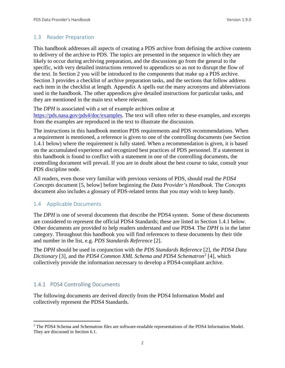#### <span id="page-8-0"></span>1.3 Reader Preparation

This handbook addresses all aspects of creating a PDS archive from defining the archive contents to delivery of the archive to PDS. The topics are presented in the sequence in which they are likely to occur during archiving preparation, and the discussions go from the general to the specific, with very detailed instructions removed to appendices so as not to disrupt the flow of the text. In Section 2 you will be introduced to the components that make up a PDS archive. Section 3 provides a checklist of archive preparation tasks, and the sections that follow address each item in the checklist at length. Appendix A spells out the many acronyms and abbreviations used in the handbook. The other appendices give detailed instructions for particular tasks, and they are mentioned in the main text where relevant.

The *DPH* is associated with a set of example archives online at [https://pds.nasa.gov/pds4/doc/examples.](https://pds.nasa.gov/pds4/doc/examples) The text will often refer to these examples, and excerpts from the examples are reproduced in the text to illustrate the discussion.

The instructions in this handbook mention PDS requirements and PDS recommendations. When a requirement is mentioned, a reference is given to one of the controlling documents (see Section 1.4.1 below) where the requirement is fully stated. When a recommendation is given, it is based on the accumulated experience and recognized best practices of PDS personnel. If a statement in this handbook is found to conflict with a statement in one of the controlling documents, the controlling document will prevail. If you are in doubt about the best course to take, consult your PDS discipline node.

All readers, even those very familiar with previous versions of PDS, should read the *PDS4 Concepts* document [5, below] before beginning the *Data Provider's Handbook.* The *Concepts* document also includes a glossary of PDS-related terms that you may wish to keep handy.

#### <span id="page-8-1"></span>1.4 Applicable Documents

The *DPH* is one of several documents that describe the PDS4 system. Some of these documents are considered to represent the official PDS4 Standards; these are listed in Section 1.4.1 below. Other documents are provided to help readers understand and use PDS4. The *DPH* is in the latter category. Throughout this handbook you will find references to these documents by their title and number in the list, e.g. *PDS Standards Reference* [2].

The *DPH* should be used in conjunction with the *PDS Standards Reference* [2], the *PDS4 Data Dictionary* [3], and the *PDS4 Common XML Schema and PDS4 Schematron*[2](#page-8-3) [4], which collectively provide the information necessary to develop a PDS4-compliant archive.

#### <span id="page-8-2"></span>1.4.1 PDS4 Controlling Documents

The following documents are derived directly from the PDS4 Information Model and collectively represent the PDS4 Standards.

<span id="page-8-3"></span><sup>&</sup>lt;sup>2</sup> The PDS4 Schema and Schematron files are software-readable representations of the PDS4 Information Model. They are discussed in Section 6.1.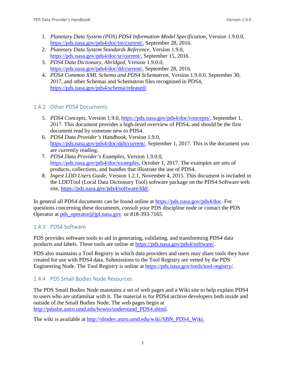- 1. *Planetary Data System (PDS) PDS4 Information Model Specification*, Version 1.9.0.0, [https://pds.nasa.gov/pds4/doc/im/current/,](https://pds.nasa.gov/pds4/doc/im/current/) September 28, 2016.
- 2. *Planetary Data System Standards Reference*, Version 1.9.0, [https://pds.nasa.gov/pds4/doc/sr/current/,](https://pds.nasa.gov/pds4/doc/sr/current/) September 15, 2016.
- 3. *PDS4 Data Dictionary, Abridged*, Version 1.9.0.0, [https://pds.nasa.gov/pds4/doc/dd/current/,](https://pds.nasa.gov/pds4/doc/dd/current/) September 28, 2016.
- 4. *PDS4 Common XML Schema and PDS4 Schematron*, Version 1.9.0.0, September 30, 2017, and other Schemas and Schematron files recognized in PDS4, [https://pds.nasa.gov/pds4/schema/released/.](https://pds.nasa.gov/pds4/schema/released/)

## <span id="page-9-0"></span>1.4.2 Other PDS4 Documents

- 5. *PDS4 Concepts*, Version 1.9.0, [https://pds.nasa.gov/pds4/doc/concepts/,](https://pds.nasa.gov/pds4/doc/concepts/) September 1, 2017. This document provides a high-level overview of PDS4, and should be the first document read by someone new to PDS4.
- 6. *PDS4 Data Provider's Handbook*, Version 1.9.0, [https://pds.nasa.gov/pds4/doc/dph/current/,](https://pds.nasa.gov/pds4/doc/dph/current/) September 1, 2017. This is the document you are currently reading.
- 7. *PDS4 Data Provider's Examples*, Version 1.9.0.0, [https://pds.nasa.gov/pds4/doc/examples,](https://pds.nasa.gov/pds4/doc/examples) October 1, 2017. The examples are sets of products, collections, and bundles that illustrate the use of PDS4.
- 8. *Ingest LDD Users Guide*, Version 1.2.1, November 4, 2015. This document is included in the LDDTool (Local Data Dictionary Tool) software package on the PDS4 Software web site, [https://pds.nasa.gov/pds4/software/ldd/.](https://pds.nasa.gov/pds4/software/ldd/)

In general all PDS4 documents can be found online at [https://pds.nasa.gov/pds4/doc.](https://pds.nasa.gov/pds4/doc) For questions concerning these documents, consult your PDS discipline node or contact the PDS Operator at [pds\\_operator@jpl.nasa.gov](mailto:pds_operator@jpl.nasa.gov) or 818-393-7165.

# <span id="page-9-1"></span>1.4.3 PDS4 Software

PDS provides software tools to aid in generating, validating, and transforming PDS4 data products and labels. These tools are online at [https://pds.nasa.gov/pds4/software/.](http://pds.nasa.gov/pds4/software/)

PDS also maintains a Tool Registry in which data providers and users may share tools they have created for use with PDS4 data. Submissions to the Tool Registry are vetted by the PDS Engineering Node. The Tool Registry is online at [https://pds.nasa.gov/tools/tool-registry/.](https://pds.nasa.gov/tools/tool-registry/)

# <span id="page-9-2"></span>1.4.4 PDS Small Bodies Node Resources

The PDS Small Bodies Node maintains a set of web pages and a Wiki site to help explain PDS4 to users who are unfamiliar with it. The material is for PDS4 archive developers both inside and outside of the Small Bodies Node. The web pages begin at [http://pdssbn.astro.umd.edu/howto/understand\\_PDS4.shtml.](http://pdssbn.astro.umd.edu/howto/understand_PDS4.shtml)

The wiki is available at [http://sbndev.astro.umd.edu/wiki/SBN\\_PDS4\\_Wiki](http://sbndev.astro.umd.edu/wiki/SBN_PDS4_Wiki).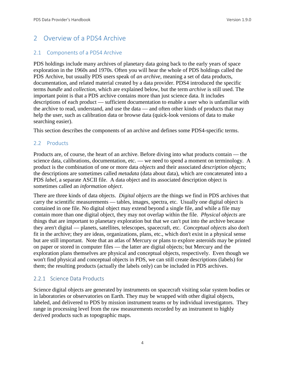# <span id="page-10-0"></span>2 Overview of a PDS4 Archive

#### <span id="page-10-1"></span>2.1 Components of a PDS4 Archive

PDS holdings include many archives of planetary data going back to the early years of space exploration in the 1960s and 1970s. Often you will hear the whole of PDS holdings called the PDS Archive, but usually PDS users speak of *an archive*, meaning a set of data products, documentation, and related material created by a data provider. PDS4 introduced the specific terms *bundle* and *collection*, which are explained below, but the term *archive* is still used. The important point is that a PDS archive contains more than just science data. It includes descriptions of each product — sufficient documentation to enable a user who is unfamiliar with the archive to read, understand, and use the data — and often other kinds of products that may help the user, such as calibration data or browse data (quick-look versions of data to make searching easier).

This section describes the components of an archive and defines some PDS4-specific terms.

#### <span id="page-10-2"></span>2.2 Products

Products are, of course, the heart of an archive. Before diving into what products contain — the science data, calibrations, documentation, etc. — we need to spend a moment on terminology. A product is the combination of one or more data *objects* and their associated *description objects*; the descriptions are sometimes called *metadata* (data about data), which are concatenated into a PDS *label*, a separate ASCII file. A data object and its associated description object is sometimes called an *information object*.

There are three kinds of data objects. *Digital objects* are the things we find in PDS archives that carry the scientific measurements — tables, images, spectra, etc. Usually one digital object is contained in one file. No digital object may extend beyond a single file, and while a file may contain more than one digital object, they may not overlap within the file. *Physical objects* are things that are important to planetary exploration but that we can't put into the archive because they aren't digital — planets, satellites, telescopes, spacecraft, etc. *Conceptual objects* also don't fit in the archive; they are ideas, organizations, plans, etc., which don't exist in a physical sense but are still important. Note that an atlas of Mercury or plans to explore asteroids may be printed on paper or stored in computer files — the latter are digital objects; but Mercury and the exploration plans themselves are physical and conceptual objects, respectively. Even though we won't find physical and conceptual objects in PDS, we can still create descriptions (labels) for them; the resulting products (actually the labels only) can be included in PDS archives.

#### <span id="page-10-3"></span>2.2.1 Science Data Products

Science digital objects are generated by instruments on spacecraft visiting solar system bodies or in laboratories or observatories on Earth. They may be wrapped with other digital objects, labeled, and delivered to PDS by mission instrument teams or by individual investigators. They range in processing level from the raw measurements recorded by an instrument to highly derived products such as topographic maps.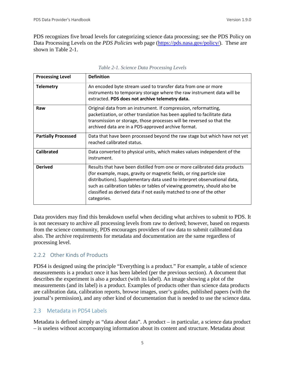PDS recognizes five broad levels for categorizing science data processing; see the PDS Policy on Data Processing Levels on the *PDS Policies* web page [\(https://pds.nasa.gov/policy/\)](http://pds.nasa.gov/policy/). These are shown in Table 2-1.

| <b>Processing Level</b>    | <b>Definition</b>                                                                                                                                                                                                                                                                                                                                                                                  |
|----------------------------|----------------------------------------------------------------------------------------------------------------------------------------------------------------------------------------------------------------------------------------------------------------------------------------------------------------------------------------------------------------------------------------------------|
| <b>Telemetry</b>           | An encoded byte stream used to transfer data from one or more<br>instruments to temporary storage where the raw instrument data will be<br>extracted. PDS does not archive telemetry data.                                                                                                                                                                                                         |
| Raw                        | Original data from an instrument. If compression, reformatting,<br>packetization, or other translation has been applied to facilitate data<br>transmission or storage, those processes will be reversed so that the<br>archived data are in a PDS-approved archive format.                                                                                                                         |
| <b>Partially Processed</b> | Data that have been processed beyond the raw stage but which have not yet<br>reached calibrated status.                                                                                                                                                                                                                                                                                            |
| <b>Calibrated</b>          | Data converted to physical units, which makes values independent of the<br>instrument.                                                                                                                                                                                                                                                                                                             |
| <b>Derived</b>             | Results that have been distilled from one or more calibrated data products<br>(for example, maps, gravity or magnetic fields, or ring particle size<br>distributions). Supplementary data used to interpret observational data,<br>such as calibration tables or tables of viewing geometry, should also be<br>classified as derived data if not easily matched to one of the other<br>categories. |

Data providers may find this breakdown useful when deciding what archives to submit to PDS. It is not necessary to archive all processing levels from raw to derived; however, based on requests from the science community, PDS encourages providers of raw data to submit calibrated data also. The archive requirements for metadata and documentation are the same regardless of processing level.

# <span id="page-11-0"></span>2.2.2 Other Kinds of Products

PDS4 is designed using the principle "Everything is a product." For example, a table of science measurements is a product once it has been labeled (per the previous section). A document that describes the experiment is also a product (with its label). An image showing a plot of the measurements (and its label) is a product. Examples of products other than science data products are calibration data, calibration reports, browse images, user's guides, published papers (with the journal's permission), and any other kind of documentation that is needed to use the science data.

## <span id="page-11-1"></span>2.3 Metadata in PDS4 Labels

Metadata is defined simply as "data about data". A product – in particular, a science data product – is useless without accompanying information about its content and structure. Metadata about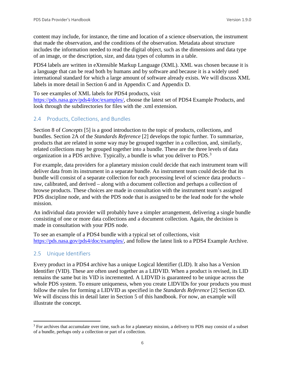content may include, for instance, the time and location of a science observation, the instrument that made the observation, and the conditions of the observation. Metadata about structure includes the information needed to read the digital object, such as the dimensions and data type of an image, or the description, size, and data types of columns in a table.

PDS4 labels are written in eXtensible Markup Language (XML). XML was chosen because it is a language that can be read both by humans and by software and because it is a widely used international standard for which a large amount of software already exists. We will discuss XML labels in more detail in Section 6 and in Appendix C and Appendix D.

To see examples of XML labels for PDS4 products, visit

[https://pds.nasa.gov/pds4/doc/examples/,](https://pds.nasa.gov/pds4/doc/examples/) choose the latest set of PDS4 Example Products, and look through the subdirectories for files with the .xml extension.

#### <span id="page-12-0"></span>2.4 Products, Collections, and Bundles

Section 8 of *Concepts* [5] is a good introduction to the topic of products, collections, and bundles. Section 2A of the *Standards Reference* [2] develops the topic further. To summarize, products that are related in some way may be grouped together in a collection, and, similarly, related collections may be grouped together into a bundle. These are the three levels of data organization in a PDS archive. Typically, a bundle is what you deliver to PDS.[3](#page-12-2)

For example, data providers for a planetary mission could decide that each instrument team will deliver data from its instrument in a separate bundle. An instrument team could decide that its bundle will consist of a separate collection for each processing level of science data products – raw, calibrated, and derived – along with a document collection and perhaps a collection of browse products. These choices are made in consultation with the instrument team's assigned PDS discipline node, and with the PDS node that is assigned to be the lead node for the whole mission.

An individual data provider will probably have a simpler arrangement, delivering a single bundle consisting of one or more data collections and a document collection. Again, the decision is made in consultation with your PDS node.

To see an example of a PDS4 bundle with a typical set of collections, visit [https://pds.nasa.gov/pds4/doc/examples/,](https://pds.nasa.gov/pds4/doc/examples/) and follow the latest link to a PDS4 Example Archive.

#### <span id="page-12-1"></span>2.5 Unique Identifiers

Every product in a PDS4 archive has a unique Logical Identifier (LID). It also has a Version Identifier (VID). These are often used together as a LIDVID. When a product is revised, its LID remains the same but its VID is incremented. A LIDVID is guaranteed to be unique across the whole PDS system. To ensure uniqueness, when you create LIDVIDs for your products you must follow the rules for forming a LIDVID as specified in the *Standards Reference* [2] Section 6D. We will discuss this in detail later in Section 5 of this handbook. For now, an example will illustrate the concept.

<span id="page-12-2"></span><sup>&</sup>lt;sup>3</sup> For archives that accumulate over time, such as for a planetary mission, a delivery to PDS may consist of a subset of a bundle, perhaps only a collection or part of a collection.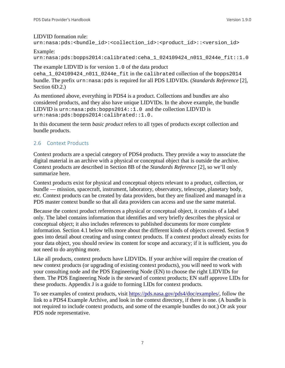#### LIDVID formation rule:

```
urn:nasa:pds:<br/>chundle_id>:<collection_id>:<product_id>::<version_id>
```
#### Example:

urn:nasa:pds:bopps2014:calibrated:ceha\_1\_024109424\_n011\_0244e\_fit::1.0

The example LIDVID is for version 1.0 of the data product

ceha\_1\_024109424\_n011\_0244e\_fit in the calibrated collection of the bopps2014 bundle. The prefix urn:nasa:pds is required for all PDS LIDVIDs. (*Standards Reference* [2], Section 6D.2.)

As mentioned above, everything in PDS4 is a product. Collections and bundles are also considered products, and they also have unique LIDVIDs. In the above example, the bundle LIDVID is  $urn: nasa: pds: bopps2014::1.0$  and the collection LIDVID is urn:nasa:pds:bopps2014:calibrated::1.0.

In this document the term *basic product* refers to all types of products except collection and bundle products.

# <span id="page-13-0"></span>2.6 Context Products

Context products are a special category of PDS4 products. They provide a way to associate the digital material in an archive with a physical or conceptual object that is outside the archive. Context products are described in Section 8B of the *Standards Reference* [2], so we'll only summarize here.

Context products exist for physical and conceptual objects relevant to a product, collection, or bundle — mission, spacecraft, instrument, laboratory, observatory, telescope, planetary body, etc. Context products can be created by data providers, but they are finalized and managed in a PDS master context bundle so that all data providers can access and use the same material.

Because the context product references a physical or conceptual object, it consists of a label only. The label contains information that identifies and very briefly describes the physical or conceptual object; it also includes references to published documents for more complete information. Section 4.1 below tells more about the different kinds of objects covered. Section 9 goes into detail about creating and using context products. If a context product already exists for your data object, you should review its content for scope and accuracy; if it is sufficient, you do not need to do anything more.

Like all products, context products have LIDVIDs. If your archive will require the creation of new context products (or upgrading of existing context products), you will need to work with your consulting node and the PDS Engineering Node (EN) to choose the right LIDVIDs for them. The PDS Engineering Node is the steward of context products; EN staff approve LIDs for these products. Appendix J is a guide to forming LIDs for context products.

To see examples of context products, visit [https://pds.nasa.gov/pds4/doc/examples/,](https://pds.nasa.gov/pds4/doc/examples/) follow the link to a PDS4 Example Archive, and look in the context directory, if there is one. (A bundle is not required to include context products, and some of the example bundles do not.) Or ask your PDS node representative.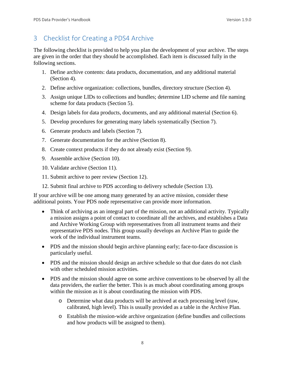# <span id="page-14-0"></span>3 Checklist for Creating a PDS4 Archive

The following checklist is provided to help you plan the development of your archive. The steps are given in the order that they should be accomplished. Each item is discussed fully in the following sections.

- 1. Define archive contents: data products, documentation, and any additional material (Section 4).
- 2. Define archive organization: collections, bundles, directory structure (Section 4).
- 3. Assign unique LIDs to collections and bundles; determine LID scheme and file naming scheme for data products (Section 5).
- 4. Design labels for data products, documents, and any additional material (Section 6).
- 5. Develop procedures for generating many labels systematically (Section 7).
- 6. Generate products and labels (Section 7).
- 7. Generate documentation for the archive (Section 8).
- 8. Create context products if they do not already exist (Section 9).
- 9. Assemble archive (Section 10).
- 10. Validate archive (Section 11).
- 11. Submit archive to peer review (Section 12).
- 12. Submit final archive to PDS according to delivery schedule (Section 13).

If your archive will be one among many generated by an active mission, consider these additional points. Your PDS node representative can provide more information.

- Think of archiving as an integral part of the mission, not an additional activity. Typically a mission assigns a point of contact to coordinate all the archives, and establishes a Data and Archive Working Group with representatives from all instrument teams and their representative PDS nodes. This group usually develops an Archive Plan to guide the work of the individual instrument teams.
- PDS and the mission should begin archive planning early; face-to-face discussion is particularly useful.
- PDS and the mission should design an archive schedule so that due dates do not clash with other scheduled mission activities.
- PDS and the mission should agree on some archive conventions to be observed by all the data providers, the earlier the better. This is as much about coordinating among groups within the mission as it is about coordinating the mission with PDS.
	- o Determine what data products will be archived at each processing level (raw, calibrated, high level). This is usually provided as a table in the Archive Plan.
	- o Establish the mission-wide archive organization (define bundles and collections and how products will be assigned to them).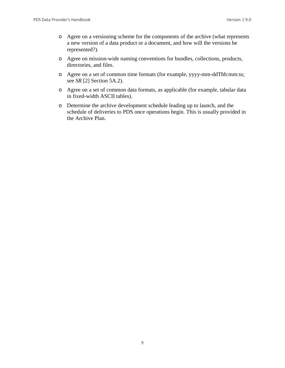- o Agree on a versioning scheme for the components of the archive (what represents a new version of a data product or a document, and how will the versions be represented?).
- o Agree on mission-wide naming conventions for bundles, collections, products, directories, and files.
- o Agree on a set of common time formats (for example, yyyy-mm-ddThh:mm:ss; see *SR* [2] Section 5A.2).
- o Agree on a set of common data formats, as applicable (for example, tabular data in fixed-width ASCII tables).
- o Determine the archive development schedule leading up to launch, and the schedule of deliveries to PDS once operations begin. This is usually provided in the Archive Plan.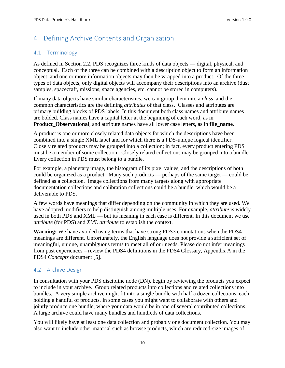# <span id="page-16-0"></span>4 Defining Archive Contents and Organization

# <span id="page-16-1"></span>4.1 Terminology

As defined in Section 2.2, PDS recognizes three kinds of data objects — digital, physical, and conceptual. Each of the three can be combined with a description object to form an information object, and one or more information objects may then be wrapped into a product. Of the three types of data objects, only digital objects will accompany their descriptions into an archive (dust samples, spacecraft, missions, space agencies, etc. cannot be stored in computers).

If many data objects have similar characteristics, we can group them into a *class,* and the common characteristics are the defining *attributes* of that class. Classes and attributes are primary building blocks of PDS labels. In this document both class names and attribute names are bolded. Class names have a capital letter at the beginning of each word, as in **Product\_Observational**, and attribute names have all lower case letters, as in **file\_name**.

A product is one or more closely related data objects for which the descriptions have been combined into a single XML label and for which there is a PDS-unique logical identifier. Closely related products may be grouped into a collection; in fact, every product entering PDS must be a member of some collection. Closely related collections may be grouped into a bundle. Every collection in PDS must belong to a bundle.

For example, a planetary image, the histogram of its pixel values, and the descriptions of both could be organized as a product. Many such products — perhaps of the same target — could be defined as a collection. Image collections from many targets along with appropriate documentation collections and calibration collections could be a bundle, which would be a deliverable to PDS.

A few words have meanings that differ depending on the community in which they are used. We have adopted modifiers to help distinguish among multiple uses. For example, *attribute* is widely used in both PDS and XML — but its meaning in each case is different. In this document we use *attribute* (for PDS) and *XML attribute* to establish the context.

**Warning:** We have avoided using terms that have strong PDS3 connotations when the PDS4 meanings are different. Unfortunately, the English language does not provide a sufficient set of meaningful, unique, unambiguous terms to meet all of our needs. Please do not infer meanings from past experiences – review the PDS4 definitions in the PDS4 Glossary, Appendix A in the PDS4 *Concepts* document [5].

# <span id="page-16-2"></span>4.2 Archive Design

In consultation with your PDS discipline node (DN), begin by reviewing the products you expect to include in your archive. Group related products into collections and related collections into bundles. A very simple archive might fit into a single bundle with half a dozen collections, each holding a handful of products. In some cases you might want to collaborate with others and jointly produce one bundle, where your data would be in one of several contributed collections. A large archive could have many bundles and hundreds of data collections.

You will likely have at least one data collection and probably one document collection. You may also want to include other material such as browse products, which are reduced-size images of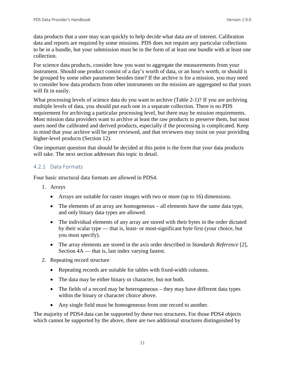data products that a user may scan quickly to help decide what data are of interest. Calibration data and reports are required by some missions. PDS does not require any particular collections to be in a bundle, but your submission must be in the form of at least one bundle with at least one collection.

For science data products, consider how you want to aggregate the measurements from your instrument. Should one product consist of a day's worth of data, or an hour's worth, or should it be grouped by some other parameter besides time? If the archive is for a mission, you may need to consider how data products from other instruments on the mission are aggregated so that yours will fit in easily.

What processing levels of science data do you want to archive (Table 2-1)? If you are archiving multiple levels of data, you should put each one in a separate collection. There is no PDS requirement for archiving a particular processing level, but there may be mission requirements. Most mission data providers want to archive at least the raw products to preserve them, but most users need the calibrated and derived products, especially if the processing is complicated. Keep in mind that your archive will be peer reviewed, and that reviewers may insist on your providing higher-level products (Section 12).

One important question that should be decided at this point is the form that your data products will take. The next section addresses this topic in detail.

#### <span id="page-17-0"></span>4.2.1 Data Formats

Four basic structural data formats are allowed in PDS4.

- 1. Arrays
	- Arrays are suitable for raster images with two or more (up to 16) dimensions.
	- The elements of an array are homogeneous all elements have the same data type, and only binary data types are allowed.
	- The individual elements of any array are stored with their bytes in the order dictated by their scalar type — that is, least- or most-significant byte first (your choice, but you must specify).
	- The array elements are stored in the axis order described in *Standards Reference* [2], Section 4A — that is, last index varying fastest.
- 2. Repeating record structure
	- Repeating records are suitable for tables with fixed-width columns.
	- The data may be either binary or character, but not both.
	- The fields of a record may be heterogeneous they may have different data types within the binary or character choice above.
	- Any single field must be homogeneous from one record to another.

The majority of PDS4 data can be supported by these two structures. For those PDS4 objects which cannot be supported by the above, there are two additional structures distinguished by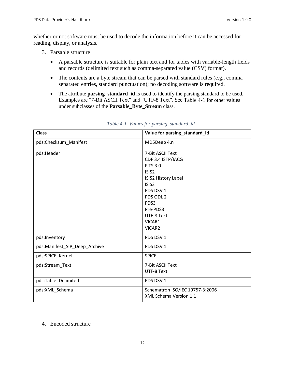whether or not software must be used to decode the information before it can be accessed for reading, display, or analysis.

- 3. Parsable structure
	- A parsable structure is suitable for plain text and for tables with variable-length fields and records (delimited text such as comma-separated value (CSV) format).
	- The contents are a byte stream that can be parsed with standard rules (e.g., comma separated entries, standard punctuation); no decoding software is required.
	- The attribute **parsing\_standard\_id** is used to identify the parsing standard to be used. Examples are "7-Bit ASCII Text" and "UTF-8 Text". See Table 4-1 for other values under subclasses of the **Parsable\_Byte\_Stream** class.

| <b>Class</b>                  | Value for parsing_standard_id   |
|-------------------------------|---------------------------------|
| pds:Checksum_Manifest         | MD5Deep 4.n                     |
| pds:Header                    | 7-Bit ASCII Text                |
|                               | CDF 3.4 ISTP/IACG               |
|                               | <b>FITS 3.0</b>                 |
|                               | ISIS <sub>2</sub>               |
|                               | ISIS2 History Label             |
|                               | ISIS <sub>3</sub>               |
|                               | PDS DSV 1                       |
|                               | PDS ODL 2                       |
|                               | PDS3                            |
|                               | Pre-PDS3                        |
|                               | UTF-8 Text                      |
|                               | VICAR1                          |
|                               | VICAR2                          |
| pds:Inventory                 | PDS DSV 1                       |
| pds:Manifest_SIP_Deep_Archive | PDS DSV 1                       |
| pds:SPICE_Kernel              | <b>SPICE</b>                    |
| pds:Stream_Text               | 7-Bit ASCII Text                |
|                               | UTF-8 Text                      |
| pds:Table_Delimited           | PDS DSV 1                       |
| pds:XML_Schema                | Schematron ISO/IEC 19757-3:2006 |
|                               | XML Schema Version 1.1          |

#### *Table 4-1. Values for parsing\_standard\_id*

#### 4. Encoded structure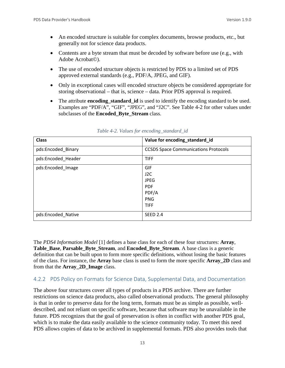- An encoded structure is suitable for complex documents, browse products, etc., but generally not for science data products.
- Contents are a byte stream that must be decoded by software before use (e.g., with Adobe Acrobat©).
- The use of encoded structure objects is restricted by PDS to a limited set of PDS approved external standards (e.g., PDF/A, JPEG, and GIF).
- Only in exceptional cases will encoded structure objects be considered appropriate for storing observational – that is, science – data. Prior PDS approval is required.
- The attribute **encoding\_standard\_id** is used to identify the encoding standard to be used. Examples are "PDF/A", "GIF", "JPEG", and "J2C". See Table 4-2 for other values under subclasses of the **Encoded\_Byte\_Stream** class.

| <b>Class</b>       | Value for encoding_standard_id              |
|--------------------|---------------------------------------------|
| pds:Encoded_Binary | <b>CCSDS Space Communications Protocols</b> |
| pds:Encoded Header | <b>TIFF</b>                                 |
| pds:Encoded Image  | GIF                                         |
|                    | J2C                                         |
|                    | <b>JPEG</b>                                 |
|                    | <b>PDF</b>                                  |
|                    | PDF/A                                       |
|                    | <b>PNG</b>                                  |
|                    | <b>TIFF</b>                                 |
| pds:Encoded_Native | <b>SEED 2.4</b>                             |

*Table 4-2. Values for encoding\_standard\_id*

The *PDS4 Information Model* [1] defines a base class for each of these four structures: **Array**, **Table\_Base**, **Parsable\_Byte\_Stream**, and **Encoded\_Byte\_Stream**. A base class is a generic definition that can be built upon to form more specific definitions, without losing the basic features of the class. For instance, the **Array** base class is used to form the more specific **Array\_2D** class and from that the **Array\_2D\_Image** class.

#### <span id="page-19-0"></span>4.2.2 PDS Policy on Formats for Science Data, Supplemental Data, and Documentation

The above four structures cover all types of products in a PDS archive. There are further restrictions on science data products, also called observational products. The general philosophy is that in order to preserve data for the long term, formats must be as simple as possible, welldescribed, and not reliant on specific software, because that software may be unavailable in the future. PDS recognizes that the goal of preservation is often in conflict with another PDS goal, which is to make the data easily available to the science community today. To meet this need PDS allows copies of data to be archived in supplemental formats. PDS also provides tools that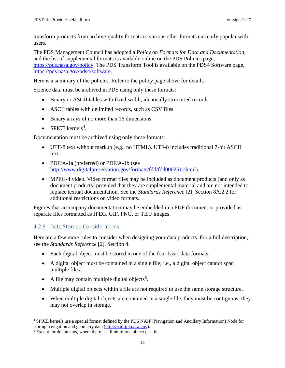transform products from archive-quality formats to various other formats currently popular with users.

The PDS Management Council has adopted a *Policy on Formats for Data and Documentation,* and the list of supplemental formats is available online on the PDS Policies page, [https://pds.nasa.gov/policy.](https://pds.nasa.gov/policy) The PDS Transform Tool is available on the PDS4 Software page, [https://pds.nasa.gov/pds4/software.](https://pds.nasa.gov/pds4/software)

Here is a summary of the policies. Refer to the policy page above for details.

Science data must be archived in PDS using only these formats:

- Binary or ASCII tables with fixed-width, identically structured records
- ASCII tables with delimited records, such as CSV files
- Binary arrays of no more than 16 dimensions
- SPICE kernels<sup>[4](#page-20-1)</sup>.

Documentation must be archived using only these formats:

- UTF-8 text without markup (e.g., no HTML). UTF-8 includes traditional 7-bit ASCII text.
- PDF/A-1a (preferred) or PDF/A-1b (see [http://www.digitalpreservation.gov/formats/fdd/fdd000251.shtml\)](http://www.digitalpreservation.gov/formats/fdd/fdd000251.shtml).
- MPEG-4 video. Video format files may be included as document products (and only as document products) provided that they are supplemental material and are not intended to replace textual documentation. See the *Standards Reference* [2], Section 8A.2.2 for additional restrictions on video formats.

Figures that accompany documentation may be embedded in a PDF document or provided as separate files formatted as JPEG, GIF, PNG, or TIFF images.

## <span id="page-20-0"></span>4.2.3 Data Storage Considerations

Here are a few more rules to consider when designing your data products. For a full description, see the *Standards Reference* [2], Section 4.

- Each digital object must be stored in one of the four basic data formats.
- A digital object must be contained in a single file; i.e., a digital object cannot span multiple files.
- A file may contain multiple digital objects<sup>[5](#page-20-2)</sup>.
- Multiple digital objects within a file are not required to use the same storage structure.
- When multiple digital objects are contained in a single file, they must be contiguous; they may not overlap in storage.

<span id="page-20-1"></span><sup>&</sup>lt;sup>4</sup> SPICE kernels use a special format defined by the PDS NAIF (Navigation and Ancillary Information) Node for storing navigation and geometry data ( $\frac{http://nair.jpl.nasa.gov)}{http://nair.jpl.nasa.gov)}$ .

<span id="page-20-2"></span><sup>&</sup>lt;sup>5</sup> Except for documents, where there is a limit of one object per file.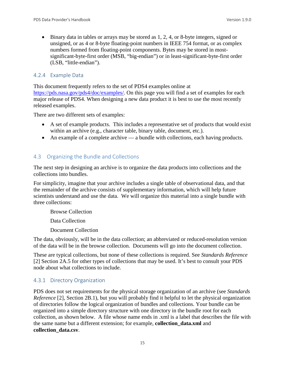• Binary data in tables or arrays may be stored as 1, 2, 4, or 8-byte integers, signed or unsigned, or as 4 or 8-byte floating-point numbers in IEEE 754 format, or as complex numbers formed from floating-point components. Bytes may be stored in mostsignificant-byte-first order (MSB, "big-endian") or in least-significant-byte-first order (LSB, "little-endian").

#### <span id="page-21-0"></span>4.2.4 Example Data

This document frequently refers to the set of PDS4 examples online at [https://pds.nasa.gov/pds4/doc/examples/.](https://pds.nasa.gov/pds4/doc/examples/) On this page you will find a set of examples for each major release of PDS4. When designing a new data product it is best to use the most recently released examples.

There are two different sets of examples:

- A set of example products. This includes a representative set of products that would exist within an archive (e.g., character table, binary table, document, etc.).
- An example of a complete archive a bundle with collections, each having products.

## <span id="page-21-1"></span>4.3 Organizing the Bundle and Collections

The next step in designing an archive is to organize the data products into collections and the collections into bundles.

For simplicity, imagine that your archive includes a single table of observational data, and that the remainder of the archive consists of supplementary information, which will help future scientists understand and use the data. We will organize this material into a single bundle with three collections:

Browse Collection

Data Collection

Document Collection

The data, obviously, will be in the data collection; an abbreviated or reduced-resolution version of the data will be in the browse collection. Documents will go into the document collection.

These are typical collections, but none of these collections is required. See *Standards Reference* [2] Section 2A.5 for other types of collections that may be used. It's best to consult your PDS node about what collections to include.

#### <span id="page-21-2"></span>4.3.1 Directory Organization

PDS does not set requirements for the physical storage organization of an archive (see *Standards Reference* [2], Section 2B.1), but you will probably find it helpful to let the physical organization of directories follow the logical organization of bundles and collections. Your bundle can be organized into a simple directory structure with one directory in the bundle root for each collection, as shown below. A file whose name ends in .xml is a label that describes the file with the same name but a different extension; for example, **collection\_data.xml** and **collection\_data.csv**.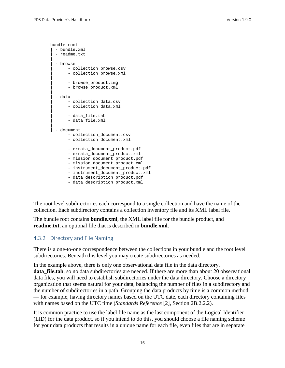```
bundle root
 | - bundle.xml
  - readme.txt
|
  - browse
     | - collection browse.csv
      - collection_browse.xml
| |
     | - browse_product.img
     | | - browse_product.xml
|
  | - data
     | - collection_data.csv
      - collection data.xml
| |
      - data file.tab
     | - data_file.xml
|
  - document
       - collection_document.csv
       - collection_document.xml
|| || || || || ||
     | - errata document product.pdf
      | - errata_document_product.xml
       | - mission_document_product.pdf
       | - mission_document_product.xml
      - instrument_document_product.pdf
      - instrument_document_product.xml
      - data_description_product.pdf
      | - data_description_product.xml
```
The root level subdirectories each correspond to a single collection and have the name of the collection. Each subdirectory contains a collection inventory file and its XML label file.

The bundle root contains **bundle.xml**, the XML label file for the bundle product, and **readme.txt**, an optional file that is described in **bundle.xml**.

#### <span id="page-22-0"></span>4.3.2 Directory and File Naming

There is a one-to-one correspondence between the collections in your bundle and the root level subdirectories. Beneath this level you may create subdirectories as needed.

In the example above, there is only one observational data file in the data directory, **data\_file.tab**, so no data subdirectories are needed. If there are more than about 20 observational data files, you will need to establish subdirectories under the data directory. Choose a directory organization that seems natural for your data, balancing the number of files in a subdirectory and the number of subdirectories in a path. Grouping the data products by time is a common method — for example, having directory names based on the UTC date, each directory containing files with names based on the UTC time (*Standards Reference* [2], Section 2B.2.2.2).

It is common practice to use the label file name as the last component of the Logical Identifier (LID) for the data product, so if you intend to do this, you should choose a file naming scheme for your data products that results in a unique name for each file, even files that are in separate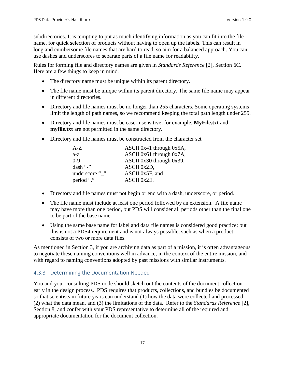subdirectories. It is tempting to put as much identifying information as you can fit into the file name, for quick selection of products without having to open up the labels. This can result in long and cumbersome file names that are hard to read, so aim for a balanced approach. You can use dashes and underscores to separate parts of a file name for readability.

Rules for forming file and directory names are given in *Standards Reference* [2], Section 6C. Here are a few things to keep in mind.

- The directory name must be unique within its parent directory.
- The file name must be unique within its parent directory. The same file name may appear in different directories.
- Directory and file names must be no longer than 255 characters. Some operating systems limit the length of path names, so we recommend keeping the total path length under 255.
- Directory and file names must be case-insensitive; for example, **MyFile.txt** and **myfile.txt** are not permitted in the same directory.
- Directory and file names must be constructed from the character set

| $A-Z$          | ASCII 0x41 through $0x5A$ ,   |
|----------------|-------------------------------|
| $a-z$          | ASCII 0x61 through $0x7A$ ,   |
| $0-9$          | ASCII $0x30$ through $0x39$ , |
| dash "-"       | ASCII 0x2D,                   |
| underscore " " | ASCII 0x5F, and               |
| period "."     | ASCII 0x2E.                   |

- Directory and file names must not begin or end with a dash, underscore, or period.
- The file name must include at least one period followed by an extension. A file name may have more than one period, but PDS will consider all periods other than the final one to be part of the base name.
- Using the same base name for label and data file names is considered good practice; but this is not a PDS4 requirement and is not always possible, such as when a product consists of two or more data files.

As mentioned in Section 3, if you are archiving data as part of a mission, it is often advantageous to negotiate these naming conventions well in advance, in the context of the entire mission, and with regard to naming conventions adopted by past missions with similar instruments.

#### <span id="page-23-0"></span>4.3.3 Determining the Documentation Needed

You and your consulting PDS node should sketch out the contents of the document collection early in the design process. PDS requires that products, collections, and bundles be documented so that scientists in future years can understand (1) how the data were collected and processed, (2) what the data mean, and (3) the limitations of the data. Refer to the *Standards Reference* [2], Section 8, and confer with your PDS representative to determine all of the required and appropriate documentation for the document collection.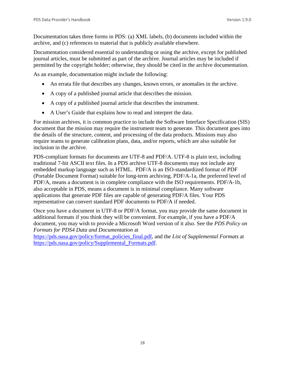Documentation takes three forms in PDS: (a) XML labels, (b) documents included within the archive, and (c) references to material that is publicly available elsewhere.

Documentation considered essential to understanding or using the archive, except for published journal articles, must be submitted as part of the archive. Journal articles may be included if permitted by the copyright holder; otherwise, they should be cited in the archive documentation.

As an example, documentation might include the following:

- An errata file that describes any changes, known errors, or anomalies in the archive.
- A copy of a published journal article that describes the mission.
- A copy of a published journal article that describes the instrument.
- A User's Guide that explains how to read and interpret the data.

For mission archives, it is common practice to include the Software Interface Specification (SIS) document that the mission may require the instrument team to generate. This document goes into the details of the structure, content, and processing of the data products. Missions may also require teams to generate calibration plans, data, and/or reports, which are also suitable for inclusion in the archive.

PDS-compliant formats for documents are UTF-8 and PDF/A. UTF-8 is plain text, including traditional 7-bit ASCII text files. In a PDS archive UTF-8 documents may not include any embedded markup language such as HTML. PDF/A is an ISO-standardized format of PDF (Portable Document Format) suitable for long-term archiving. PDF/A-1a, the preferred level of PDF/A, means a document is in complete compliance with the ISO requirements. PDF/A-1b, also acceptable in PDS, means a document is in minimal compliance. Many software applications that generate PDF files are capable of generating PDF/A files. Your PDS representative can convert standard PDF documents to PDF/A if needed.

Once you have a document in UTF-8 or PDF/A format, you may provide the same document in additional formats if you think they will be convenient. For example, if you have a PDF/A document, you may wish to provide a Microsoft Word version of it also. See the *PDS Policy on Formats for PDS4 Data and Documentation* at

[https://pds.nasa.gov/policy/format\\_policies\\_final.pdf,](https://pds.nasa.gov/policy/format_policies_final.pdf) and the *List of Supplemental Formats* at [https://pds.nasa.gov/policy/Supplemental\\_Formats.pdf.](https://pds.nasa.gov/policy/Supplemental_Formats.pdf)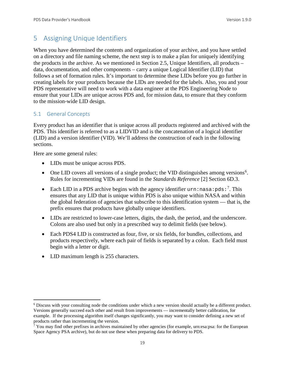# <span id="page-25-0"></span>5 Assigning Unique Identifiers

When you have determined the contents and organization of your archive, and you have settled on a directory and file naming scheme, the next step is to make a plan for uniquely identifying the products in the archive. As we mentioned in Section 2.5, Unique Identifiers, all products – data, documentation, and other components – carry a unique Logical Identifier (LID) that follows a set of formation rules. It's important to determine these LIDs before you go further in creating labels for your products because the LIDs are needed for the labels. Also, you and your PDS representative will need to work with a data engineer at the PDS Engineering Node to ensure that your LIDs are unique across PDS and, for mission data, to ensure that they conform to the mission-wide LID design.

#### <span id="page-25-1"></span>5.1 General Concepts

Every product has an identifier that is unique across all products registered and archived with the PDS. This identifier is referred to as a LIDVID and is the concatenation of a logical identifier (LID) and a version identifier (VID). We'll address the construction of each in the following sections.

Here are some general rules:

- LIDs must be unique across PDS.
- One LID covers all versions of a single product; the VID distinguishes among versions<sup>[6](#page-25-2)</sup>. Rules for incrementing VIDs are found in the *Standards Reference* [2] Section 6D.3.
- Each LID in a PDS archive begins with the agency identifier  $urn:nasa:pds:$ <sup>[7](#page-25-3)</sup>. This ensures that any LID that is unique within PDS is also unique within NASA and within the global federation of agencies that subscribe to this identification system — that is, the prefix ensures that products have globally unique identifiers.
- LIDs are restricted to lower-case letters, digits, the dash, the period, and the underscore. Colons are also used but only in a prescribed way to delimit fields (see below).
- Each PDS4 LID is constructed as four, five, or six fields, for bundles, collections, and products respectively, where each pair of fields is separated by a colon. Each field must begin with a letter or digit.
- LID maximum length is 255 characters.

<span id="page-25-2"></span> <sup>6</sup> Discuss with your consulting node the conditions under which a new version should actually be a different product. Versions generally succeed each other and result from improvements — incrementally better calibration, for example. If the processing algorithm itself changes significantly, you may want to consider defining a new set of products rather than incrementing the version.

<span id="page-25-3"></span> $7$  You may find other prefixes in archives maintained by other agencies (for example, urn:esa:psa: for the European Space Agency PSA archive), but do not use these when preparing data for delivery to PDS.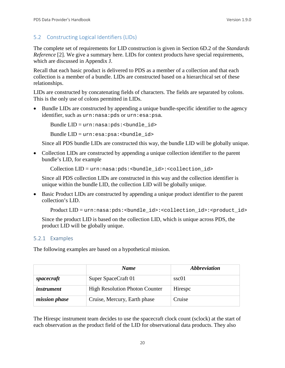#### <span id="page-26-0"></span>5.2 Constructing Logical Identifiers (LIDs)

The complete set of requirements for LID construction is given in Section 6D.2 of the *Standards Reference* [2]. We give a summary here. LIDs for context products have special requirements, which are discussed in Appendix J.

Recall that each basic product is delivered to PDS as a member of a collection and that each collection is a member of a bundle. LIDs are constructed based on a hierarchical set of these relationships.

LIDs are constructed by concatenating fields of characters. The fields are separated by colons. This is the only use of colons permitted in LIDs.

• Bundle LIDs are constructed by appending a unique bundle-specific identifier to the agency identifier, such as urn:nasa:pds or urn:esa:psa.

Bundle  $LID = urn: nasa: pds: **bundle_id**$ 

Bundle  $LID = urn: esa:psa: **bundle** id>$ 

Since all PDS bundle LIDs are constructed this way, the bundle LID will be globally unique.

• Collection LIDs are constructed by appending a unique collection identifier to the parent bundle's LID, for example

Collection LID = urn:nasa:pds:<br/>cbundle\_id>:<collection\_id>

Since all PDS collection LIDs are constructed in this way and the collection identifier is unique within the bundle LID, the collection LID will be globally unique.

• Basic Product LIDs are constructed by appending a unique product identifier to the parent collection's LID.

Product LID = urn:nasa:pds:<br/>bundle\_id>:<collection\_id>:<product\_id>

Since the product LID is based on the collection LID, which is unique across PDS, the product LID will be globally unique.

#### <span id="page-26-1"></span>5.2.1 Examples

The following examples are based on a hypothetical mission.

|                      | <b>Name</b>                           | <i><b>Abbreviation</b></i> |
|----------------------|---------------------------------------|----------------------------|
| spacecraft           | Super SpaceCraft 01                   | ssc01                      |
| <i>instrument</i>    | <b>High Resolution Photon Counter</b> | Hirespc                    |
| <i>mission phase</i> | Cruise, Mercury, Earth phase          | Cruise                     |

The Hirespc instrument team decides to use the spacecraft clock count (sclock) at the start of each observation as the product field of the LID for observational data products. They also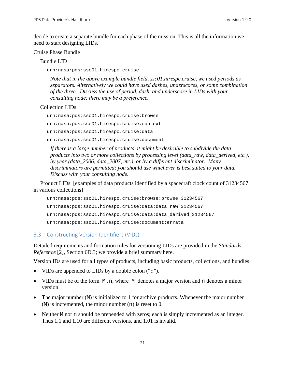decide to create a separate bundle for each phase of the mission. This is all the information we need to start designing LIDs.

#### Cruise Phase Bundle

Bundle LID

urn:nasa:pds:ssc01.hirespc.cruise

*Note that in the above example bundle field, ssc01.hirespc.cruise, we used periods as separators. Alternatively we could have used dashes, underscores, or some combination of the three. Discuss the use of period, dash, and underscore in LIDs with your consulting node; there may be a preference.*

#### Collection LIDs

urn:nasa:pds:ssc01.hirespc.cruise:browse urn:nasa:pds:ssc01.hirespc.cruise:context urn:nasa:pds:ssc01.hirespc.cruise:data urn:nasa:pds:ssc01.hirespc.cruise:document

*If there is a large number of products, it might be desirable to subdivide the data products into two or more collections by processing level (data\_raw, data\_derived, etc.), by year (data\_2006, data\_2007, etc.), or by a different discriminator. Many discriminators are permitted; you should use whichever is best suited to your data. Discuss with your consulting node.*

Product LIDs [examples of data products identified by a spacecraft clock count of 31234567 in various collections]

```
urn:nasa:pds:ssc01.hirespc.cruise:browse:browse_31234567
urn:nasa:pds:ssc01.hirespc.cruise:data:data_raw_31234567
urn:nasa:pds:ssc01.hirespc.cruise:data:data_derived_31234567
urn:nasa:pds:ssc01.hirespc.cruise:document:errata
```
#### <span id="page-27-0"></span>5.3 Constructing Version Identifiers (VIDs)

Detailed requirements and formation rules for versioning LIDs are provided in the *Standards Reference* [2]*,* Section 6D.3; we provide a brief summary here.

Version IDs are used for all types of products, including basic products, collections, and bundles.

- VIDs are appended to LIDs by a double colon ("::").
- VIDs must be of the form M.n, where M denotes a major version and n denotes a minor version.
- The major number (M) is initialized to 1 for archive products. Whenever the major number  $(M)$  is incremented, the minor number  $(n)$  is reset to 0.
- Neither M nor n should be prepended with zeros; each is simply incremented as an integer. Thus 1.1 and 1.10 are different versions, and 1.01 is invalid.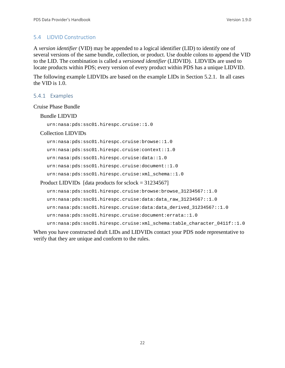#### <span id="page-28-0"></span>5.4 LIDVID Construction

A *version identifier* (VID) may be appended to a logical identifier (LID) to identify one of several versions of the same bundle, collection, or product. Use double colons to append the VID to the LID. The combination is called a *versioned identifier* (LIDVID). LIDVIDs are used to locate products within PDS; every version of every product within PDS has a unique LIDVID.

The following example LIDVIDs are based on the example LIDs in Section 5.2.1. In all cases the VID is 1.0.

#### <span id="page-28-1"></span>5.4.1 Examples

#### Cruise Phase Bundle

#### Bundle LIDVID

urn:nasa:pds:ssc01.hirespc.cruise::1.0

#### Collection LIDVIDs

urn:nasa:pds:ssc01.hirespc.cruise:browse::1.0 urn:nasa:pds:ssc01.hirespc.cruise:context::1.0 urn:nasa:pds:ssc01.hirespc.cruise:data::1.0 urn:nasa:pds:ssc01.hirespc.cruise:document::1.0 urn:nasa:pds:ssc01.hirespc.cruise:xml\_schema::1.0 Product LIDVIDs [data products for sclock = 31234567]

```
urn:nasa:pds:ssc01.hirespc.cruise:browse:browse_31234567::1.0
urn:nasa:pds:ssc01.hirespc.cruise:data:data_raw_31234567::1.0
urn:nasa:pds:ssc01.hirespc.cruise:data:data_derived_31234567::1.0
urn:nasa:pds:ssc01.hirespc.cruise:document:errata::1.0
urn:nasa:pds:ssc01.hirespc.cruise:xml schema:table character 0411f::1.0
```
When you have constructed draft LIDs and LIDVIDs contact your PDS node representative to verify that they are unique and conform to the rules.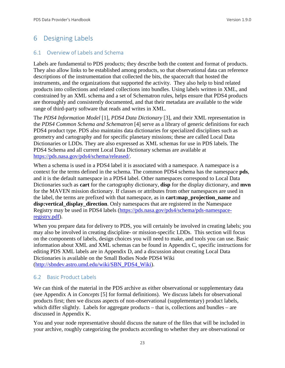# <span id="page-29-0"></span>6 Designing Labels

#### <span id="page-29-1"></span>6.1 Overview of Labels and Schema

Labels are fundamental to PDS products; they describe both the content and format of products. They also allow links to be established among products, so that observational data can reference descriptions of the instrumentation that collected the bits, the spacecraft that hosted the instruments, and the organizations that supported the activity. They also help to bind related products into collections and related collections into bundles. Using labels written in XML, and constrained by an XML schema and a set of Schematron rules, helps ensure that PDS4 products are thoroughly and consistently documented, and that their metadata are available to the wide range of third-party software that reads and writes in XML.

The *PDS4 Information Model* [1], *PDS4 Data Dictionary* [3], and their XML representation in the *PDS4 Common Schema and Schematron* [4] serve as a library of generic definitions for each PDS4 product type. PDS also maintains data dictionaries for specialized disciplines such as geometry and cartography and for specific planetary missions; these are called Local Data Dictionaries or LDDs. They are also expressed as XML schemas for use in PDS labels. The PDS4 Schema and all current Local Data Dictionary schemas are available at [https://pds.nasa.gov/pds4/schema/released/.](https://pds.nasa.gov/pds4/schema/released/)

When a schema is used in a PDS4 label it is associated with a namespace. A namespace is a context for the terms defined in the schema. The common PDS4 schema has the namespace **pds**, and it is the default namespace in a PDS4 label. Other namespaces correspond to Local Data Dictionaries such as **cart** for the cartography dictionary, **disp** for the display dictionary, and **mvn** for the MAVEN mission dictionary. If classes or attributes from other namespaces are used in the label, the terms are prefixed with that namespace, as in **cart:map\_projection\_name** and **disp:vertical\_display\_direction**. Only namespaces that are registered in the Namespace Registry may be used in PDS4 labels [\(https://pds.nasa.gov/pds4/schema/pds-namespace](https://pds.nasa.gov/pds4/schema/pds-namespace-registry.pdf)[registry.pdf\)](https://pds.nasa.gov/pds4/schema/pds-namespace-registry.pdf).

When you prepare data for delivery to PDS, you will certainly be involved in creating labels; you may also be involved in creating discipline- or mission-specific LDDs. This section will focus on the components of labels, design choices you will need to make, and tools you can use. Basic information about XML and XML schemas can be found in Appendix C, specific instructions for editing PDS XML labels are in Appendix D, and a discussion about creating Local Data Dictionaries is available on the Small Bodies Node PDS4 Wiki [\(http://sbndev.astro.umd.edu/wiki/SBN\\_PDS4\\_Wiki\)](http://sbndev.astro.umd.edu/wiki/SBN_PDS4_Wiki).

#### <span id="page-29-2"></span>6.2 Basic Product Labels

We can think of the material in the PDS archive as either observational or supplementary data (see Appendix A in *Concepts* [5] for formal definitions). We discuss labels for observational products first; then we discuss aspects of non-observational (supplementary) product labels, which differ slightly. Labels for aggregate products – that is, collections and bundles – are discussed in Appendix K.

You and your node representative should discuss the nature of the files that will be included in your archive, roughly categorizing the products according to whether they are observational or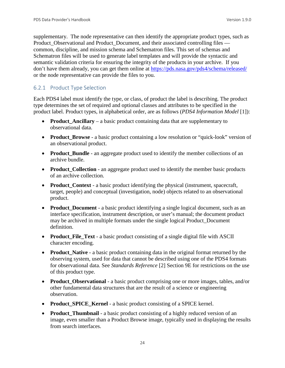supplementary. The node representative can then identify the appropriate product types, such as Product Observational and Product Document, and their associated controlling files common, discipline, and mission schema and Schematron files. This set of schemas and Schematron files will be used to generate label templates and will provide the syntactic and semantic validation criteria for ensuring the integrity of the products in your archive. If you don't have them already, you can get them online at<https://pds.nasa.gov/pds4/schema/released/> or the node representative can provide the files to you.

#### <span id="page-30-0"></span>6.2.1 Product Type Selection

Each PDS4 label must identify the type, or class, of product the label is describing. The product type determines the set of required and optional classes and attributes to be specified in the product label. Product types, in alphabetical order, are as follows (*PDS4 Information Model* [1]):

- **Product Ancillary** a basic product containing data that are supplementary to observational data.
- **Product\_Browse** a basic product containing a low resolution or "quick-look" version of an observational product.
- **Product\_Bundle** an aggregate product used to identify the member collections of an archive bundle.
- **Product Collection** an aggregate product used to identify the member basic products of an archive collection.
- **Product Context** a basic product identifying the physical (instrument, spacecraft, target, people) and conceptual (investigation, node) objects related to an observational product.
- **Product\_Document** a basic product identifying a single logical document, such as an interface specification, instrument description, or user's manual; the document product may be archived in multiple formats under the single logical Product\_Document definition.
- **Product File Text** a basic product consisting of a single digital file with ASCII character encoding.
- **Product\_Native** a basic product containing data in the original format returned by the observing system, used for data that cannot be described using one of the PDS4 formats for observational data. See *Standards Reference* [2] Section 9E for restrictions on the use of this product type.
- **Product\_Observational**  a basic product comprising one or more images, tables, and/or other fundamental data structures that are the result of a science or engineering observation.
- **Product\_SPICE\_Kernel** a basic product consisting of a SPICE kernel.
- **Product\_Thumbnail** a basic product consisting of a highly reduced version of an image, even smaller than a Product Browse image, typically used in displaying the results from search interfaces.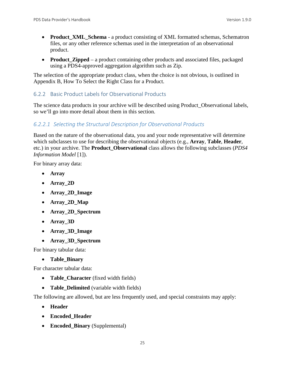- **Product\_XML\_Schema** a product consisting of XML formatted schemas, Schematron files, or any other reference schemas used in the interpretation of an observational product.
- **Product Zipped** a product containing other products and associated files, packaged using a PDS4-approved aggregation algorithm such as Zip.

The selection of the appropriate product class, when the choice is not obvious, is outlined in Appendix B, How To Select the Right Class for a Product.

#### <span id="page-31-0"></span>6.2.2 Basic Product Labels for Observational Products

The science data products in your archive will be described using Product\_Observational labels, so we'll go into more detail about them in this section.

#### *6.2.2.1 Selecting the Structural Description for Observational Products*

Based on the nature of the observational data, you and your node representative will determine which subclasses to use for describing the observational objects (e.g., **Array**, **Table**, **Header**, etc.) in your archive. The **Product\_Observational** class allows the following subclasses (*PDS4 Information Model* [1]).

For binary array data:

- **Array**
- **Array\_2D**
- **Array\_2D\_Image**
- **Array\_2D\_Map**
- **Array\_2D\_Spectrum**
- **Array\_3D**
- **Array\_3D\_Image**
- **Array\_3D\_Spectrum**

For binary tabular data:

• **Table\_Binary**

For character tabular data:

- **Table Character** (fixed width fields)
- **Table Delimited** (variable width fields)

The following are allowed, but are less frequently used, and special constraints may apply:

- **Header**
- **Encoded\_Header**
- **Encoded\_Binary** (Supplemental)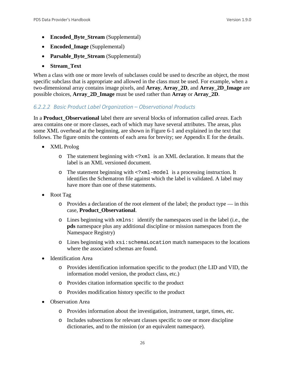- **Encoded\_Byte\_Stream** (Supplemental)
- **Encoded\_Image** (Supplemental)
- **Parsable\_Byte\_Stream** (Supplemental)
- **Stream\_Text**

When a class with one or more levels of subclasses could be used to describe an object, the most specific subclass that is appropriate and allowed in the class must be used. For example, when a two-dimensional array contains image pixels, and **Array**, **Array\_2D**, and **Array\_2D\_Image** are possible choices, **Array\_2D\_Image** must be used rather than **Array** or **Array\_2D**.

#### *6.2.2.2 Basic Product Label Organization – Observational Products*

In a **Product\_Observational** label there are several blocks of information called *areas*. Each area contains one or more classes, each of which may have several attributes. The areas, plus some XML overhead at the beginning, are shown in Figure 6-1 and explained in the text that follows. The figure omits the contents of each area for brevity; see Appendix E for the details.

- XML Prolog
	- o The statement beginning with <?xml is an XML declaration. It means that the label is an XML versioned document.
	- o The statement beginning with <?xml-model is a processing instruction. It identifies the Schematron file against which the label is validated. A label may have more than one of these statements.
- Root Tag
	- $\circ$  Provides a declaration of the root element of the label; the product type in this case, **Product\_Observational**.
	- $\circ$  Lines beginning with  $xmlns:$  identify the namespaces used in the label (i.e., the **pds** namespace plus any additional discipline or mission namespaces from the Namespace Registry)
	- o Lines beginning with xsi:schemaLocation match namespaces to the locations where the associated schemas are found.
- Identification Area
	- o Provides identification information specific to the product (the LID and VID, the information model version, the product class, etc.)
	- o Provides citation information specific to the product
	- o Provides modification history specific to the product
- Observation Area
	- o Provides information about the investigation, instrument, target, times, etc.
	- o Includes subsections for relevant classes specific to one or more discipline dictionaries, and to the mission (or an equivalent namespace).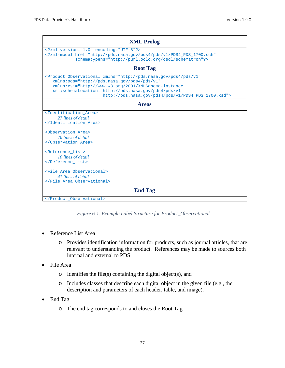| <b>XML Prolog</b>                                                                                                                                                                                                                                                                                                       |  |  |
|-------------------------------------------------------------------------------------------------------------------------------------------------------------------------------------------------------------------------------------------------------------------------------------------------------------------------|--|--|
| xml version="1.0" encoding="UTF-8"?<br>xml-model href="http://pds.nasa.qov/pds4/pds/v1/PDS4 PDS 1700.sch"<br schematypens="http://purl.oclc.org/dsdl/schematron"?>                                                                                                                                                      |  |  |
| <b>Root Tag</b>                                                                                                                                                                                                                                                                                                         |  |  |
| <product_observational <br="" xmlns="http://pds.nasa.gov/pds4/pds/v1">xmlns: pds="http://pds.nasa.qov/pds4/pds/v1"<br/>xmlns:xsi="http://www.w3.org/2001/XMLSchema-instance"<br/>xsi:schemaLocation="http://pds.nasa.qov/pds4/pds/vl<br/>http://pds.nasa.qov/pds4/pds/v1/PDS4_PDS_1700.xsd"&gt;</product_observational> |  |  |
| <b>Areas</b>                                                                                                                                                                                                                                                                                                            |  |  |
| <identification area=""><br/>27 lines of detail<br/></identification><br><observation area=""><br/>76 lines of detail<br/><br/><reference list=""><br/>10 lines of detail<br/><br/><file area="" observational=""><br/>41 lines of detail<br/></file></reference></observation>                                         |  |  |
| <b>End Tag</b>                                                                                                                                                                                                                                                                                                          |  |  |
|                                                                                                                                                                                                                                                                                                                         |  |  |

*Figure 6-1. Example Label Structure for Product\_Observational*

- Reference List Area
	- o Provides identification information for products, such as journal articles, that are relevant to understanding the product. References may be made to sources both internal and external to PDS.
- File Area
	- $\circ$  Identifies the file(s) containing the digital object(s), and
	- o Includes classes that describe each digital object in the given file (e.g., the description and parameters of each header, table, and image).
- End Tag
	- o The end tag corresponds to and closes the Root Tag.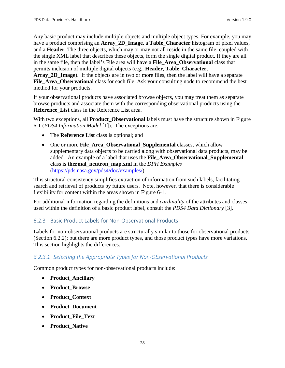Any basic product may include multiple objects and multiple object types. For example, you may have a product comprising an **Array\_2D\_Image**, a **Table\_Character** histogram of pixel values, and a **Header**. The three objects, which may or may not all reside in the same file, coupled with the single XML label that describes these objects, form the single digital product. If they are all in the same file, then the label's File area will have a **File\_Area\_Observational** class that permits inclusion of multiple digital objects (e.g., **Header**, **Table\_Character**,

Array 2D Image). If the objects are in two or more files, then the label will have a separate **File\_Area\_Observational** class for each file. Ask your consulting node to recommend the best method for your products.

If your observational products have associated browse objects, you may treat them as separate browse products and associate them with the corresponding observational products using the **Reference List** class in the Reference List area.

With two exceptions, all **Product\_Observational** labels must have the structure shown in Figure 6-1 (*PDS4 Information Model* [1]). The exceptions are:

- The **Reference List** class is optional; and
- One or more **File Area Observational Supplemental** classes, which allow supplementary data objects to be carried along with observational data products, may be added. An example of a label that uses the **File\_Area\_Observational\_Supplemental** class is **thermal\_neutron\_map.xml** in the *DPH Examples*  [\(https://pds.nasa.gov/pds4/doc/examples/\)](https://pds.nasa.gov/pds4/doc/examples/).

This structural consistency simplifies extraction of information from such labels, facilitating search and retrieval of products by future users. Note, however, that there is considerable flexibility for content within the areas shown in Figure 6-1.

For additional information regarding the definitions and *cardinality* of the attributes and classes used within the definition of a basic product label, consult the *PDS4 Data Dictionary* [3].

## <span id="page-34-0"></span>6.2.3 Basic Product Labels for Non-Observational Products

Labels for non-observational products are structurally similar to those for observational products (Section 6.2.2); but there are more product types, and those product types have more variations. This section highlights the differences.

# *6.2.3.1 Selecting the Appropriate Types for Non-Observational Products*

Common product types for non-observational products include:

- **Product\_Ancillary**
- **Product\_Browse**
- **Product\_Context**
- **Product\_Document**
- **Product\_File\_Text**
- **Product\_Native**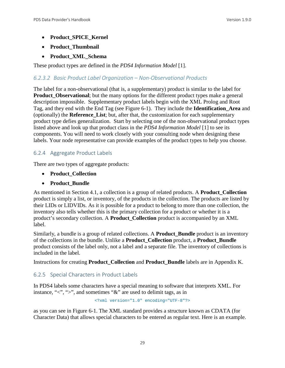- **Product\_SPICE\_Kernel**
- **Product\_Thumbnail**
- **Product\_XML\_Schema**

These product types are defined in the *PDS4 Information Model* [1].

## *6.2.3.2 Basic Product Label Organization – Non-Observational Products*

The label for a non-observational (that is, a supplementary) product is similar to the label for **Product Observational**; but the many options for the different product types make a general description impossible. Supplementary product labels begin with the XML Prolog and Root Tag, and they end with the End Tag (see Figure 6-1). They include the **Identification\_Area** and (optionally) the **Reference\_List**; but, after that, the customization for each supplementary product type defies generalization. Start by selecting one of the non-observational product types listed above and look up that product class in the *PDS4 Information Model* [1] to see its components. You will need to work closely with your consulting node when designing these labels. Your node representative can provide examples of the product types to help you choose.

#### <span id="page-35-0"></span>6.2.4 Aggregate Product Labels

There are two types of aggregate products:

- **Product\_Collection**
- **Product\_Bundle**

As mentioned in Section 4.1, a collection is a group of related products. A **Product\_Collection** product is simply a list, or inventory, of the products in the collection. The products are listed by their LIDs or LIDVIDs. As it is possible for a product to belong to more than one collection, the inventory also tells whether this is the primary collection for a product or whether it is a product's secondary collection. A **Product\_Collection** product is accompanied by an XML label.

Similarly, a bundle is a group of related collections. A **Product\_Bundle** product is an inventory of the collections in the bundle. Unlike a **Product\_Collection** product, a **Product\_Bundle** product consists of the label only, not a label and a separate file. The inventory of collections is included in the label.

Instructions for creating **Product\_Collection** and **Product\_Bundle** labels are in Appendix K.

## <span id="page-35-1"></span>6.2.5 Special Characters in Product Labels

In PDS4 labels some characters have a special meaning to software that interprets XML. For instance, " $\langle$ ", " $\rangle$ ", and sometimes " $\&$ " are used to delimit tags, as in

<?xml version="1.0" encoding="UTF-8"?>

as you can see in Figure 6-1. The XML standard provides a structure known as CDATA (for Character Data) that allows special characters to be entered as regular text. Here is an example.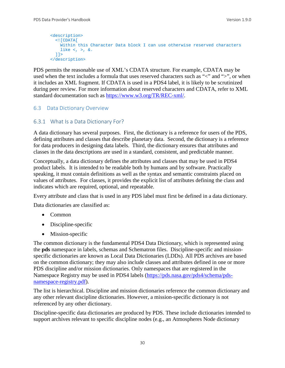```
<description>
   <![CDATA[
    Within this Character Data block I can use otherwise reserved characters 
    like <, >, &.
  11<sub>2</sub></description>
```
PDS permits the reasonable use of XML's CDATA structure. For example, CDATA may be used when the text includes a formula that uses reserved characters such as "<" and ">", or when it includes an XML fragment. If CDATA is used in a PDS4 label, it is likely to be scrutinized during peer review. For more information about reserved characters and CDATA, refer to XML standard documentation such as [https://www.w3.org/TR/REC-xml/.](https://www.w3.org/TR/REC-xml/)

#### 6.3 Data Dictionary Overview

#### 6.3.1 What Is a Data Dictionary For?

A data dictionary has several purposes. First, the dictionary is a reference for users of the PDS, defining attributes and classes that describe planetary data. Second, the dictionary is a reference for data producers in designing data labels. Third, the dictionary ensures that attributes and classes in the data descriptions are used in a standard, consistent, and predictable manner.

Conceptually, a data dictionary defines the attributes and classes that may be used in PDS4 product labels. It is intended to be readable both by humans and by software. Practically speaking, it must contain definitions as well as the syntax and semantic constraints placed on values of attributes. For classes, it provides the explicit list of attributes defining the class and indicates which are required, optional, and repeatable.

Every attribute and class that is used in any PDS label must first be defined in a data dictionary.

Data dictionaries are classified as:

- Common
- Discipline-specific
- Mission-specific

The common dictionary is the fundamental PDS4 Data Dictionary, which is represented using the **pds** namespace in labels, schemas and Schematron files. Discipline-specific and missionspecific dictionaries are known as Local Data Dictionaries (LDDs). All PDS archives are based on the common dictionary; they may also include classes and attributes defined in one or more PDS discipline and/or mission dictionaries. Only namespaces that are registered in the Namespace Registry may be used in PDS4 labels [\(https://pds.nasa.gov/pds4/schema/pds](https://pds.nasa.gov/pds4/schema/pds-namespace-registry.pdf)[namespace-registry.pdf\)](https://pds.nasa.gov/pds4/schema/pds-namespace-registry.pdf).

The list is hierarchical. Discipline and mission dictionaries reference the common dictionary and any other relevant discipline dictionaries. However, a mission-specific dictionary is not referenced by any other dictionary.

Discipline-specific data dictionaries are produced by PDS. These include dictionaries intended to support archives relevant to specific discipline nodes (e.g., an Atmospheres Node dictionary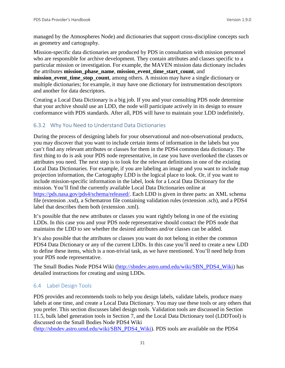managed by the Atmospheres Node) and dictionaries that support cross-discipline concepts such as geometry and cartography.

Mission-specific data dictionaries are produced by PDS in consultation with mission personnel who are responsible for archive development. They contain attributes and classes specific to a particular mission or investigation. For example, the MAVEN mission data dictionary includes the attributes **mission\_phase\_name**, **mission\_event\_time\_start\_count**, and **mission** event time stop count, among others. A mission may have a single dictionary or multiple dictionaries; for example, it may have one dictionary for instrumentation descriptors and another for data descriptors.

Creating a Local Data Dictionary is a big job. If you and your consulting PDS node determine that your archive should use an LDD, the node will participate actively in its design to ensure conformance with PDS standards. After all, PDS will have to maintain your LDD indefinitely.

# 6.3.2 Why You Need to Understand Data Dictionaries

During the process of designing labels for your observational and non-observational products, you may discover that you want to include certain items of information in the labels but you can't find any relevant attributes or classes for them in the PDS4 common data dictionary. The first thing to do is ask your PDS node representative, in case you have overlooked the classes or attributes you need. The next step is to look for the relevant definitions in one of the existing Local Data Dictionaries. For example, if you are labeling an image and you want to include map projection information, the Cartography LDD is the logical place to look. Or, if you want to include mission-specific information in the label, look for a Local Data Dictionary for the mission. You'll find the currently available Local Data Dictionaries online at [https://pds.nasa.gov/pds4/schema/released/.](https://pds.nasa.gov/pds4/schema/released/) Each LDD is given in three parts: an XML schema file (extension .xsd), a Schematron file containing validation rules (extension .sch), and a PDS4 label that describes them both (extension .xml).

It's possible that the new attributes or classes you want rightly belong in one of the existing LDDs. In this case you and your PDS node representative should contact the PDS node that maintains the LDD to see whether the desired attributes and/or classes can be added.

It's also possible that the attributes or classes you want do not belong in either the common PDS4 Data Dictionary or any of the current LDDs. In this case you'll need to create a new LDD to define these items, which is a non-trivial task, as we have mentioned. You'll need help from your PDS node representative.

The Small Bodies Node PDS4 Wiki [\(http://sbndev.astro.umd.edu/wiki/SBN\\_PDS4\\_Wiki\)](http://sbndev.astro.umd.edu/wiki/SBN_PDS4_Wiki) has detailed instructions for creating and using LDDs.

## 6.4 Label Design Tools

PDS provides and recommends tools to help you design labels, validate labels, produce many labels at one time, and create a Local Data Dictionary. You may use these tools or any others that you prefer. This section discusses label design tools. Validation tools are discussed in Section 11.5, bulk label generation tools in Section 7, and the Local Data Dictionary tool (LDDTool) is discussed on the Small Bodies Node PDS4 Wiki

[\(http://sbndev.astro.umd.edu/wiki/SBN\\_PDS4\\_Wiki\)](http://sbndev.astro.umd.edu/wiki/SBN_PDS4_Wiki). PDS tools are available on the PDS4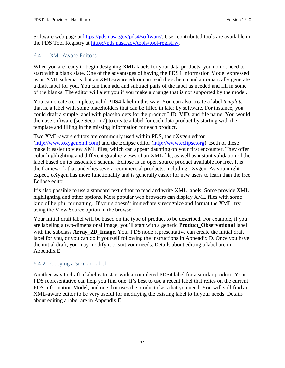Software web page at [https://pds.nasa.gov/pds4/software/.](https://pds.nasa.gov/pds4/software/) User-contributed tools are available in the PDS Tool Registry at [https://pds.nasa.gov/tools/tool-registry/.](https://pds.nasa.gov/tools/tool-registry/)

#### 6.4.1 XML-Aware Editors

When you are ready to begin designing XML labels for your data products, you do not need to start with a blank slate. One of the advantages of having the PDS4 Information Model expressed as an XML schema is that an XML-aware editor can read the schema and automatically generate a draft label for you. You can then add and subtract parts of the label as needed and fill in some of the blanks. The editor will alert you if you make a change that is not supported by the model.

You can create a complete, valid PDS4 label in this way. You can also create a label *template* – that is, a label with some placeholders that can be filled in later by software. For instance, you could draft a simple label with placeholders for the product LID, VID, and file name. You would then use software (see Section 7) to create a label for each data product by starting with the template and filling in the missing information for each product.

Two XML-aware editors are commonly used within PDS, the oXygen editor [\(http://www.oxygenxml.com\)](http://www.oxygenxml.com/) and the Eclipse editor [\(http://www.eclipse.org\)](http://www.eclipse.org/). Both of these make it easier to view XML files, which can appear daunting on your first encounter. They offer color highlighting and different graphic views of an XML file, as well as instant validation of the label based on its associated schema. Eclipse is an open source product available for free. It is the framework that underlies several commercial products, including oXygen. As you might expect, oXygen has more functionality and is generally easier for new users to learn than the free Eclipse editor.

It's also possible to use a standard text editor to read and write XML labels. Some provide XML highlighting and other options. Most popular web browsers can display XML files with some kind of helpful formatting. If yours doesn't immediately recognize and format the XML, try using the View Source option in the browser.

Your initial draft label will be based on the type of product to be described. For example, if you are labeling a two-dimensional image, you'll start with a generic **Product\_Observational** label with the subclass **Array\_2D\_Image**. Your PDS node representative can create the initial draft label for you, or you can do it yourself following the instructions in Appendix D. Once you have the initial draft, you may modify it to suit your needs. Details about editing a label are in Appendix E.

## 6.4.2 Copying a Similar Label

Another way to draft a label is to start with a completed PDS4 label for a similar product. Your PDS representative can help you find one. It's best to use a recent label that relies on the current PDS Information Model, and one that uses the product class that you need. You will still find an XML-aware editor to be very useful for modifying the existing label to fit your needs. Details about editing a label are in Appendix E.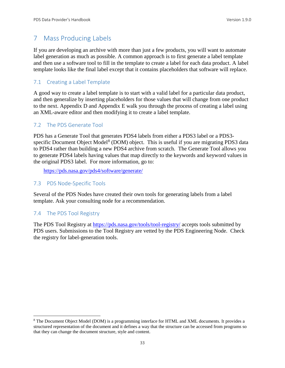# 7 Mass Producing Labels

If you are developing an archive with more than just a few products, you will want to automate label generation as much as possible. A common approach is to first generate a label template and then use a software tool to fill in the template to create a label for each data product. A label template looks like the final label except that it contains placeholders that software will replace.

# 7.1 Creating a Label Template

A good way to create a label template is to start with a valid label for a particular data product, and then generalize by inserting placeholders for those values that will change from one product to the next. Appendix D and Appendix E walk you through the process of creating a label using an XML-aware editor and then modifying it to create a label template.

# 7.2 The PDS Generate Tool

PDS has a Generate Tool that generates PDS4 labels from either a PDS3 label or a PDS3- specific Document Object Model<sup>[8](#page-39-0)</sup> (DOM) object. This is useful if you are migrating PDS3 data to PDS4 rather than building a new PDS4 archive from scratch. The Generate Tool allows you to generate PDS4 labels having values that map directly to the keywords and keyword values in the original PDS3 label. For more information, go to:

[https://pds.nasa.gov/pds4/software/generate/](http://pds.nasa.gov/pds4/software/generate/)

## 7.3 PDS Node-Specific Tools

Several of the PDS Nodes have created their own tools for generating labels from a label template. Ask your consulting node for a recommendation.

# 7.4 The PDS Tool Registry

The PDS Tool Registry at<https://pds.nasa.gov/tools/tool-registry/> accepts tools submitted by PDS users. Submissions to the Tool Registry are vetted by the PDS Engineering Node. Check the registry for label-generation tools.

<span id="page-39-0"></span> <sup>8</sup> The Document Object Model (DOM) is a programming interface for HTML and XML documents. It provides a structured representation of the document and it defines a way that the structure can be accessed from programs so that they can change the document structure, style and content.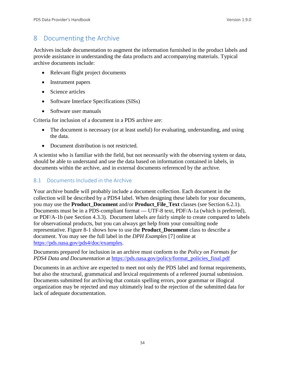# 8 Documenting the Archive

Archives include documentation to augment the information furnished in the product labels and provide assistance in understanding the data products and accompanying materials. Typical archive documents include:

- Relevant flight project documents
- Instrument papers
- Science articles
- Software Interface Specifications (SISs)
- Software user manuals

Criteria for inclusion of a document in a PDS archive are:

- The document is necessary (or at least useful) for evaluating, understanding, and using the data.
- Document distribution is not restricted.

A scientist who is familiar with the field, but not necessarily with the observing system or data, should be able to understand and use the data based on information contained in labels, in documents within the archive, and in external documents referenced by the archive.

## 8.1 Documents Included in the Archive

Your archive bundle will probably include a document collection. Each document in the collection will be described by a PDS4 label. When designing these labels for your documents, you may use the **Product\_Document** and/or **Product\_File\_Text** classes (see Section 6.2.1). Documents must be in a PDS-compliant format — UTF-8 text, PDF/A-1a (which is preferred), or PDF/A-1b (see Section 4.3.3). Document labels are fairly simple to create compared to labels for observational products, but you can always get help from your consulting node representative. Figure 8-1 shows how to use the **Product\_Document** class to describe a document. You may see the full label in the *DPH Examples* [7] online at [https://pds.nasa.gov/pds4/doc/examples.](https://pds.nasa.gov/pds4/doc/examples)

Documents prepared for inclusion in an archive must conform to the *Policy on Formats for PDS4 Data and Documentation* at [https://pds.nasa.gov/policy/format\\_policies\\_final.pdf](http://pds.nasa.gov/policy/format_policies_final.pdf)

Documents in an archive are expected to meet not only the PDS label and format requirements, but also the structural, grammatical and lexical requirements of a refereed journal submission. Documents submitted for archiving that contain spelling errors, poor grammar or illogical organization may be rejected and may ultimately lead to the rejection of the submitted data for lack of adequate documentation.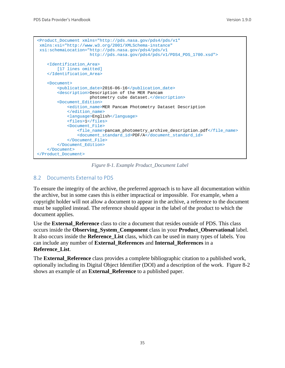```
<Product_Document xmlns="http://pds.nasa.gov/pds4/pds/v1"
xmlns:xsi="http://www.w3.org/2001/XMLSchema-instance"
xsi:schemaLocation="http://pds.nasa.gov/pds4/pds/v1 
                      http://pds.nasa.gov/pds4/pds/v1/PDS4_PDS_1700.xsd">
    <Identification_Area> 
       [17 lines omitted]
     </Identification_Area>
     <Document>
         <publication_date>2016-06-16</publication_date>
         <description>Description of the MER Pancam 
                      photometry cube dataset.</description>
         <Document_Edition>
            <edition_name>MER Pancam Photometry Dataset Description
             </edition_name>
             <language>English</language>
             <files>1</files>
             <Document_File>
                 <file_name>pancam_photometry_archive_description.pdf</file_name>
                 <document_standard_id>PDF/A</document_standard_id>
             </Document_File>
         </Document_Edition>
     </Document>
</Product_Document>
```
*Figure 8-1. Example Product\_Document Label*

# 8.2 Documents External to PDS

To ensure the integrity of the archive, the preferred approach is to have all documentation within the archive, but in some cases this is either impractical or impossible. For example, when a copyright holder will not allow a document to appear in the archive, a reference to the document must be supplied instead. The reference should appear in the label of the product to which the document applies.

Use the **External\_Reference** class to cite a document that resides outside of PDS. This class occurs inside the **Observing\_System\_Component** class in your **Product\_Observational** label. It also occurs inside the **Reference\_List** class, which can be used in many types of labels. You can include any number of **External\_References** and **Internal\_References** in a **Reference\_List**.

The **External Reference** class provides a complete bibliographic citation to a published work, optionally including its Digital Object Identifier (DOI) and a description of the work. Figure 8-2 shows an example of an **External\_Reference** to a published paper.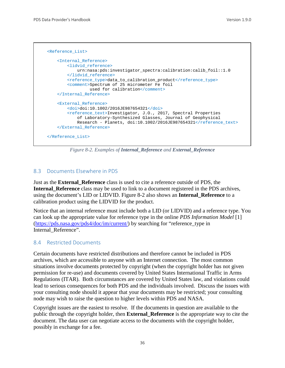```
 <Reference_List>
     <Internal_Reference>
        <lidvid_reference>
             urn:nasa:pds:investigator_spectra:calibration:calib_foil::1.0
        </lidvid_reference>
        <reference_type>data_to_calibration_product</reference_type>
        <comment>Spectrum of 25 micrometer Fe foil 
                  used for calibration</comment>
     </Internal_Reference>
     <External_Reference>
        <doi>doi:10.1002/2016JE987654321</doi>
         <reference_text>Investigator, J.O., 2017, Spectral Properties 
             of Laboratory-Synthesized Glasses, Journal of Geophysical 
            Research - Planets, doi:10.1002/2016JE987654321</reference_text>
     </External_Reference>
 </Reference_List>
```
*Figure 8-2. Examples of Internal\_Reference and External\_Reference*

# 8.3 Documents Elsewhere in PDS

Just as the **External\_Reference** class is used to cite a reference outside of PDS, the **Internal\_Reference** class may be used to link to a document registered in the PDS archives, using the document's LID or LIDVID. Figure 8-2 also shows an **Internal\_Reference** to a calibration product using the LIDVID for the product.

Notice that an internal reference must include both a LID (or LIDVID) and a reference type. You can look up the appropriate value for reference type in the online *PDS Information Model* [1] [\(https://pds.nasa.gov/pds4/doc/im/current/\)](https://pds.nasa.gov/pds4/doc/im/current/) by searching for "reference\_type in Internal Reference".

## 8.4 Restricted Documents

Certain documents have restricted distributions and therefore cannot be included in PDS archives, which are accessible to anyone with an Internet connection. The most common situations involve documents protected by copyright (when the copyright holder has not given permission for re-use) and documents covered by United States International Traffic in Arms Regulations (ITAR). Both circumstances are covered by United States law, and violations could lead to serious consequences for both PDS and the individuals involved. Discuss the issues with your consulting node should it appear that your documents may be restricted; your consulting node may wish to raise the question to higher levels within PDS and NASA.

Copyright issues are the easiest to resolve. If the documents in question are available to the public through the copyright holder, then **External\_Reference** is the appropriate way to cite the document. The data user can negotiate access to the documents with the copyright holder, possibly in exchange for a fee.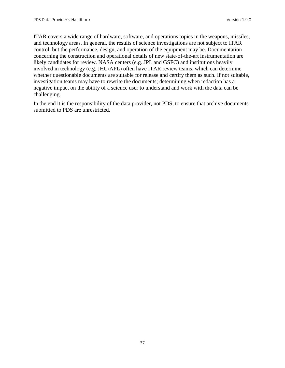ITAR covers a wide range of hardware, software, and operations topics in the weapons, missiles, and technology areas. In general, the results of science investigations are not subject to ITAR control, but the performance, design, and operation of the equipment may be. Documentation concerning the construction and operational details of new state-of-the-art instrumentation are likely candidates for review. NASA centers (e.g. JPL and GSFC) and institutions heavily involved in technology (e.g. JHU/APL) often have ITAR review teams, which can determine whether questionable documents are suitable for release and certify them as such. If not suitable, investigation teams may have to rewrite the documents; determining when redaction has a negative impact on the ability of a science user to understand and work with the data can be challenging.

In the end it is the responsibility of the data provider, not PDS, to ensure that archive documents submitted to PDS are unrestricted.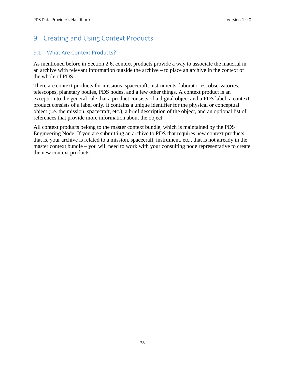# 9 Creating and Using Context Products

# 9.1 What Are Context Products?

As mentioned before in Section 2.6, context products provide a way to associate the material in an archive with relevant information outside the archive – to place an archive in the context of the whole of PDS.

There are context products for missions, spacecraft, instruments, laboratories, observatories, telescopes, planetary bodies, PDS nodes, and a few other things. A context product is an exception to the general rule that a product consists of a digital object and a PDS label; a context product consists of a label only. It contains a unique identifier for the physical or conceptual object (i.e. the mission, spacecraft, etc.), a brief description of the object, and an optional list of references that provide more information about the object.

All context products belong to the master context bundle, which is maintained by the PDS Engineering Node. If you are submitting an archive to PDS that requires new context products – that is, your archive is related to a mission, spacecraft, instrument, etc., that is not already in the master context bundle – you will need to work with your consulting node representative to create the new context products.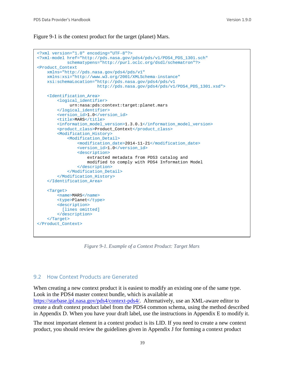Figure 9-1 is the context product for the target (planet) Mars.

```
<?xml version="1.0" encoding="UTF-8"?>
<?xml-model href="http://pds.nasa.gov/pds4/pds/v1/PDS4_PDS_1301.sch"
             schematypens="http://purl.oclc.org/dsdl/schematron"?>
<Product_Context 
    xmlns="http://pds.nasa.gov/pds4/pds/v1"
    xmlns:xsi="http://www.w3.org/2001/XMLSchema-instance"
    xsi:schemaLocation="http://pds.nasa.gov/pds4/pds/v1 
                         http://pds.nasa.gov/pds4/pds/v1/PDS4_PDS_1301.xsd">
     <Identification_Area>
         <logical_identifier>
              urn:nasa:pds:context:target:planet.mars
         </logical_identifier>
         <version_id>1.0</version_id>
        <title>MARS</title>
         <information_model_version>1.3.0.1</information_model_version>
         <product_class>Product_Context</product_class>
         <Modification_History>
             <Modification_Detail>
                 <modification_date>2014-11-21</modification_date>
                 <version_id>1.0</version_id>
                 <description>
                     extracted metadata from PDS3 catalog and
                    modified to comply with PDS4 Information Model
                 </description>
             </Modification_Detail>
         </Modification_History>
     </Identification_Area>
     <Target>
        <name>MARS</name>
         <type>Planet</type>
         <description>
          [lines omitted]
        </description>
     </Target>
</Product_Context>
```
*Figure 9-1. Example of a Context Product: Target Mars*

# 9.2 How Context Products are Generated

When creating a new context product it is easiest to modify an existing one of the same type. Look in the PDS4 master context bundle, which is available at [https://starbase.jpl.nasa.gov/pds4/context-pds4/.](https://starbase.jpl.nasa.gov/pds4/context-pds4/) Alternatively, use an XML-aware editor to create a draft context product label from the PDS4 common schema, using the method described in Appendix D. When you have your draft label, use the instructions in Appendix E to modify it.

The most important element in a context product is its LID. If you need to create a new context product, you should review the guidelines given in Appendix J for forming a context product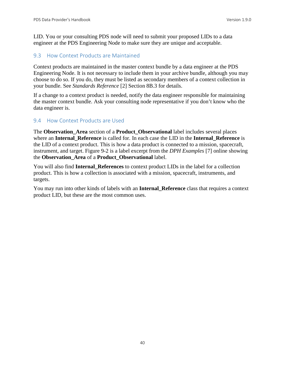LID. You or your consulting PDS node will need to submit your proposed LIDs to a data engineer at the PDS Engineering Node to make sure they are unique and acceptable.

#### 9.3 How Context Products are Maintained

Context products are maintained in the master context bundle by a data engineer at the PDS Engineering Node. It is not necessary to include them in your archive bundle, although you may choose to do so. If you do, they must be listed as secondary members of a context collection in your bundle. See *Standards Reference* [2] Section 8B.3 for details.

If a change to a context product is needed, notify the data engineer responsible for maintaining the master context bundle. Ask your consulting node representative if you don't know who the data engineer is.

#### 9.4 How Context Products are Used

The **Observation\_Area** section of a **Product\_Observational** label includes several places where an **Internal\_Reference** is called for. In each case the LID in the **Internal\_Reference** is the LID of a context product. This is how a data product is connected to a mission, spacecraft, instrument, and target. Figure 9-2 is a label excerpt from the *DPH Examples* [7] online showing the **Observation\_Area** of a **Product\_Observational** label.

You will also find **Internal\_References** to context product LIDs in the label for a collection product. This is how a collection is associated with a mission, spacecraft, instruments, and targets.

You may run into other kinds of labels with an **Internal\_Reference** class that requires a context product LID, but these are the most common uses.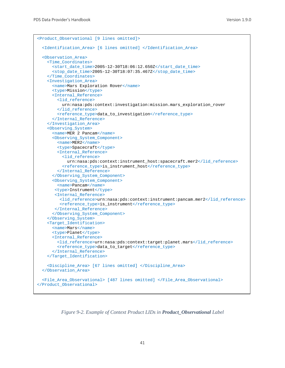```
<Product_Observational [9 lines omitted]>
   <Identification_Area> [6 lines omitted] </Identification_Area>
  <Observation_Area>
    <Time_Coordinates>
      <start_date_time>2005-12-30T18:06:12.650Z</start_date_time>
       <stop_date_time>2005-12-30T18:07:35.467Z</stop_date_time>
     </Time_Coordinates>
     <Investigation_Area>
       <name>Mars Exploration Rover</name>
       <type>Mission</type>
       <Internal_Reference>
         <lid_reference>
           urn:nasa:pds:context:investigation:mission.mars_exploration_rover
         </lid_reference>
         <reference_type>data_to_investigation</reference_type>
      </Internal_Reference>
     </Investigation_Area>
     <Observing_System>
     <name>MER 2 Pancam</name>
      <Observing_System_Component>
        <name>MER2</name>
         <type>Spacecraft</type>
         <Internal_Reference>
           <lid_reference>
             urn:nasa:pds:context:instrument_host:spacecraft.mer2</lid_reference>
           <reference_type>is_instrument_host</reference_type>
         </Internal_Reference>
       </Observing_System_Component>
       <Observing_System_Component>
         <name>Pancam</name>
        <type>Instrument</type>
        <Internal_Reference>
          <lid_reference>urn:nasa:pds:context:instrument:pancam.mer2</lid_reference>
          <reference_type>is_instrument</reference_type>
        </Internal_Reference>
       </Observing_System_Component>
     </Observing_System>
     <Target_Identification>
       <name>Mars</name>
       <type>Planet</type>
       <Internal_Reference>
         <lid_reference>urn:nasa:pds:context:target:planet.mars</lid_reference>
         <reference_type>data_to_target</reference_type>
       </Internal_Reference>
     </Target_Identification>
     <Discipline_Area> [67 lines omitted] </Discipline_Area>
   </Observation_Area>
   <File_Area_Observational> [487 lines omitted] </File_Area_Observational>
</Product_Observational>
```
*Figure 9-2. Example of Context Product LIDs in Product\_Observational Label*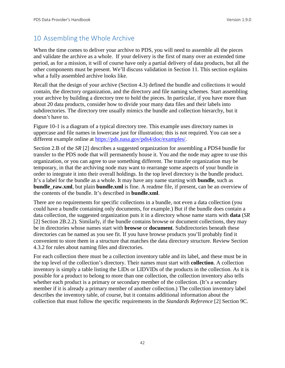# 10 Assembling the Whole Archive

When the time comes to deliver your archive to PDS, you will need to assemble all the pieces and validate the archive as a whole. If your delivery is the first of many over an extended time period, as for a mission, it will of course have only a partial delivery of data products, but all the other components must be present. We'll discuss validation in Section 11. This section explains what a fully assembled archive looks like.

Recall that the design of your archive (Section 4.3) defined the bundle and collections it would contain, the directory organization, and the directory and file naming schemes. Start assembling your archive by building a directory tree to hold the pieces. In particular, if you have more than about 20 data products, consider how to divide your many data files and their labels into subdirectories. The directory tree usually mimics the bundle and collection hierarchy, but it doesn't have to.

Figure 10-1 is a diagram of a typical directory tree. This example uses directory names in uppercase and file names in lowercase just for illustration; this is not required. You can see a different example online at [https://pds.nasa.gov/pds4/doc/examples/.](https://pds.nasa.gov/pds4/doc/examples/)

Section 2.B of the *SR* [2] describes a suggested organization for assembling a PDS4 bundle for transfer to the PDS node that will permanently house it. You and the node may agree to use this organization, or you can agree to use something different. The transfer organization may be temporary, in that the archiving node may want to rearrange some aspects of your bundle in order to integrate it into their overall holdings. In the top level directory is the bundle product. It's a label for the bundle as a whole. It may have any name starting with **bundle**, such as **bundle raw.xml**, but plain **bundle.xml** is fine. A readme file, if present, can be an overview of the contents of the bundle. It's described in **bundle.xml**.

There are no requirements for specific collections in a bundle, not even a data collection (you could have a bundle containing only documents, for example.) But if the bundle does contain a data collection, the suggested organization puts it in a directory whose name starts with **data** (*SR* [2] Section 2B.2.2). Similarly, if the bundle contains browse or document collections, they may be in directories whose names start with **browse** or **document**. Subdirectories beneath these directories can be named as you see fit. If you have browse products you'll probably find it convenient to store them in a structure that matches the data directory structure. Review Section 4.3.2 for rules about naming files and directories.

For each collection there must be a collection inventory table and its label, and these must be in the top level of the collection's directory. Their names must start with **collection**. A collection inventory is simply a table listing the LIDs or LIDVIDs of the products in the collection. As it is possible for a product to belong to more than one collection, the collection inventory also tells whether each product is a primary or secondary member of the collection. (It's a secondary member if it is already a primary member of another collection.) The collection inventory label describes the inventory table, of course, but it contains additional information about the collection that must follow the specific requirements in the *Standards Reference* [2] Section 9C.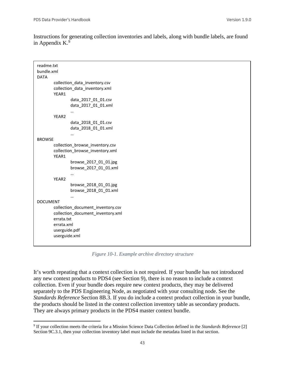Instructions for generating collection inventories and labels, along with bundle labels, are found in Appendix K. $9$ 

| readme.txt<br>bundle.xml<br><b>DATA</b>                                                                                                                 |  |
|---------------------------------------------------------------------------------------------------------------------------------------------------------|--|
| collection_data_inventory.csv<br>collection_data_inventory.xml<br>YEAR1                                                                                 |  |
| data_2017_01_01.csv<br>data_2017_01_01.xml                                                                                                              |  |
| YEAR2<br>data_2018_01_01.csv<br>data_2018_01_01.xml                                                                                                     |  |
| <br><b>BROWSE</b>                                                                                                                                       |  |
| collection_browse_inventory.csv<br>collection_browse_inventory.xml<br>YEAR1<br>browse_2017_01_01.jpg<br>browse 2017 01 01.xml<br>$\cdots$               |  |
| YEAR <sub>2</sub><br>browse_2018_01_01.jpg<br>browse_2018_01_01.xml                                                                                     |  |
| <b>DOCUMENT</b><br>collection_document_inventory.csv<br>collection_document_inventory.xml<br>errata.txt<br>errata.xml<br>userguide.pdf<br>userguide.xml |  |

*Figure 10-1. Example archive directory structure*

It's worth repeating that a context collection is not required. If your bundle has not introduced any new context products to PDS4 (see Section 9), there is no reason to include a context collection. Even if your bundle does require new context products, they may be delivered separately to the PDS Engineering Node, as negotiated with your consulting node. See the *Standards Reference* Section 8B.3. If you do include a context product collection in your bundle, the products should be listed in the context collection inventory table as secondary products. They are always primary products in the PDS4 master context bundle.

<span id="page-49-0"></span> <sup>9</sup> If your collection meets the criteria for a Mission Science Data Collection defined in the *Standards Reference* [2] Section 9C.3.1, then your collection inventory label must include the metadata listed in that section.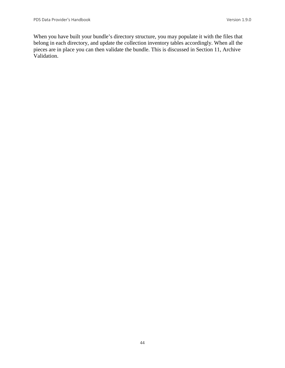When you have built your bundle's directory structure, you may populate it with the files that belong in each directory, and update the collection inventory tables accordingly. When all the pieces are in place you can then validate the bundle. This is discussed in Section 11, Archive Validation.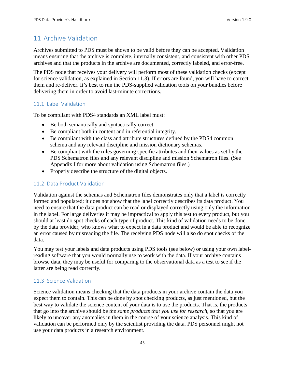# 11 Archive Validation

Archives submitted to PDS must be shown to be valid before they can be accepted. Validation means ensuring that the archive is complete, internally consistent, and consistent with other PDS archives and that the products in the archive are documented, correctly labeled, and error-free.

The PDS node that receives your delivery will perform most of these validation checks (except for science validation, as explained in Section 11.3). If errors are found, you will have to correct them and re-deliver. It's best to run the PDS-supplied validation tools on your bundles before delivering them in order to avoid last-minute corrections.

# 11.1 Label Validation

To be compliant with PDS4 standards an XML label must:

- Be both semantically and syntactically correct.
- Be compliant both in content and in referential integrity.
- Be compliant with the class and attribute structures defined by the PDS4 common schema and any relevant discipline and mission dictionary schemas.
- Be compliant with the rules governing specific attributes and their values as set by the PDS Schematron files and any relevant discipline and mission Schematron files. (See Appendix I for more about validation using Schematron files.)
- Properly describe the structure of the digital objects.

# 11.2 Data Product Validation

Validation against the schemas and Schematron files demonstrates only that a label is correctly formed and populated; it does not show that the label correctly describes its data product. You need to ensure that the data product can be read or displayed correctly using only the information in the label. For large deliveries it may be impractical to apply this test to every product, but you should at least do spot checks of each type of product. This kind of validation needs to be done by the data provider, who knows what to expect in a data product and would be able to recognize an error caused by misreading the file. The receiving PDS node will also do spot checks of the data.

You may test your labels and data products using PDS tools (see below) or using your own labelreading software that you would normally use to work with the data. If your archive contains browse data, they may be useful for comparing to the observational data as a test to see if the latter are being read correctly.

## 11.3 Science Validation

Science validation means checking that the data products in your archive contain the data you expect them to contain. This can be done by spot checking products, as just mentioned, but the best way to validate the science content of your data is to use the products. That is, the products that go into the archive should be *the same products that you use for research*, so that you are likely to uncover any anomalies in them in the course of your science analysis. This kind of validation can be performed only by the scientist providing the data. PDS personnel might not use your data products in a research environment.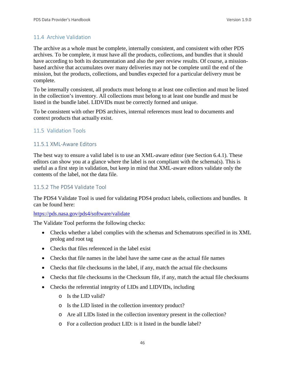## 11.4 Archive Validation

The archive as a whole must be complete, internally consistent, and consistent with other PDS archives. To be complete, it must have all the products, collections, and bundles that it should have according to both its documentation and also the peer review results. Of course, a missionbased archive that accumulates over many deliveries may not be complete until the end of the mission, but the products, collections, and bundles expected for a particular delivery must be complete.

To be internally consistent, all products must belong to at least one collection and must be listed in the collection's inventory. All collections must belong to at least one bundle and must be listed in the bundle label. LIDVIDs must be correctly formed and unique.

To be consistent with other PDS archives, internal references must lead to documents and context products that actually exist.

## 11.5 Validation Tools

#### 11.5.1 XML-Aware Editors

The best way to ensure a valid label is to use an XML-aware editor (see Section 6.4.1). These editors can show you at a glance where the label is not compliant with the schema(s). This is useful as a first step in validation, but keep in mind that XML-aware editors validate only the contents of the label, not the data file.

#### 11.5.2 The PDS4 Validate Tool

The PDS4 Validate Tool is used for validating PDS4 product labels, collections and bundles. It can be found here:

#### [https://pds.nasa.gov/pds4/software/validate](http://pds.nasa.gov/pds4/software/validate)

The Validate Tool performs the following checks:

- Checks whether a label complies with the schemas and Schematrons specified in its XML prolog and root tag
- Checks that files referenced in the label exist
- Checks that file names in the label have the same case as the actual file names
- Checks that file checksums in the label, if any, match the actual file checksums
- Checks that file checksums in the Checksum file, if any, match the actual file checksums
- Checks the referential integrity of LIDs and LIDVIDs, including
	- o Is the LID valid?
	- o Is the LID listed in the collection inventory product?
	- o Are all LIDs listed in the collection inventory present in the collection?
	- o For a collection product LID: is it listed in the bundle label?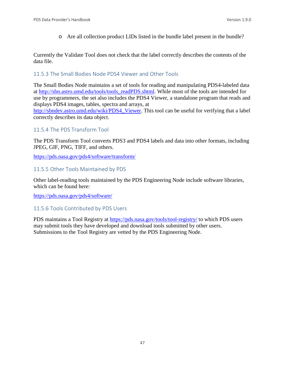o Are all collection product LIDs listed in the bundle label present in the bundle?

Currently the Validate Tool does not check that the label correctly describes the contents of the data file.

# 11.5.3 The Small Bodies Node PDS4 Viewer and Other Tools

The Small Bodies Node maintains a set of tools for reading and manipulating PDS4-labeled data at [http://sbn.astro.umd.edu/tools/tools\\_readPDS.shtml.](http://sbn.astro.umd.edu/tools/tools_readPDS.shtml) While most of the tools are intended for use by programmers, the set also includes the PDS4 Viewer, a standalone program that reads and displays PDS4 images, tables, spectra and arrays, at

[http://sbndev.astro.umd.edu/wiki/PDS4\\_Viewer.](http://sbndev.astro.umd.edu/wiki/PDS4_Viewer) This tool can be useful for verifying that a label correctly describes its data object.

# 11.5.4 The PDS Transform Tool

The PDS Transform Tool converts PDS3 and PDS4 labels and data into other formats, including JPEG, GIF, PNG, TIFF, and others.

<https://pds.nasa.gov/pds4/software/transform/>

# 11.5.5 Other Tools Maintained by PDS

Other label-reading tools maintained by the PDS Engineering Node include software libraries, which can be found here:

[https://pds.nasa.gov/pds4/software/](http://pds.nasa.gov/pds4/software/)

# 11.5.6 Tools Contributed by PDS Users

PDS maintains a Tool Registry at<https://pds.nasa.gov/tools/tool-registry/> to which PDS users may submit tools they have developed and download tools submitted by other users. Submissions to the Tool Registry are vetted by the PDS Engineering Node.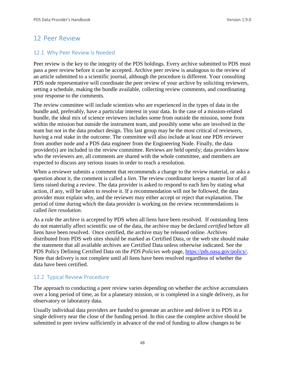# 12 Peer Review

# 12.1 Why Peer Review Is Needed

Peer review is the key to the integrity of the PDS holdings. Every archive submitted to PDS must pass a peer review before it can be accepted. Archive peer review is analogous to the review of an article submitted to a scientific journal, although the procedure is different. Your consulting PDS node representative will coordinate the peer review of your archive by soliciting reviewers, setting a schedule, making the bundle available, collecting review comments, and coordinating your response to the comments.

The review committee will include scientists who are experienced in the types of data in the bundle and, preferably, have a particular interest in your data. In the case of a mission-related bundle, the ideal mix of science reviewers includes some from outside the mission, some from within the mission but outside the instrument team, and possibly some who are involved in the team but not in the data product design. This last group may be the most critical of reviewers, having a real stake in the outcome. The committee will also include at least one PDS reviewer from another node and a PDS data engineer from the Engineering Node. Finally, the data provider(s) are included in the review committee. Reviews are held openly; data providers know who the reviewers are, all comments are shared with the whole committee, and members are expected to discuss any serious issues in order to reach a resolution.

When a reviewer submits a comment that recommends a change to the review material, or asks a question about it, the comment is called a *lien*. The review coordinator keeps a master list of all liens raised during a review. The data provider is asked to respond to each lien by stating what action, if any, will be taken to resolve it. If a recommendation will not be followed, the data provider must explain why, and the reviewer may either accept or reject that explanation. The period of time during which the data provider is working on the review recommendations is called *lien resolution*.

As a rule the archive is accepted by PDS when all liens have been resolved. If outstanding liens do not materially affect scientific use of the data, the archive may be declared *certified* before all liens have been resolved. Once certified, the archive may be released online. Archives distributed from PDS web sites should be marked as Certified Data, or the web site should make the statement that all available archives are Certified Data unless otherwise indicated. See the PDS Policy Defining Certified Data on the *PDS Policies* web page, [https://pds.nasa.gov/policy/.](https://pds.nasa.gov/policy/) Note that delivery is not complete until all liens have been resolved regardless of whether the data have been certified.

# 12.2 Typical Review Procedure

The approach to conducting a peer review varies depending on whether the archive accumulates over a long period of time, as for a planetary mission, or is completed in a single delivery, as for observatory or laboratory data.

Usually individual data providers are funded to generate an archive and deliver it to PDS in a single delivery near the close of the funding period. In this case the complete archive should be submitted to peer review sufficiently in advance of the end of funding to allow changes to be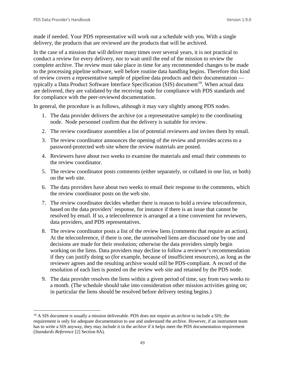made if needed. Your PDS representative will work out a schedule with you. With a single delivery, the products that are reviewed are the products that will be archived.

In the case of a mission that will deliver many times over several years, it is not practical to conduct a review for every delivery, nor to wait until the end of the mission to review the complete archive. The review must take place in time for any recommended changes to be made to the processing pipeline software, well before routine data handling begins. Therefore this kind of review covers a representative sample of pipeline data products and their documentation typically a Data Product Software Interface Specification (SIS) document<sup>10</sup>. When actual data are delivered, they are validated by the receiving node for compliance with PDS standards and for compliance with the peer-reviewed documentation.

In general, the procedure is as follows, although it may vary slightly among PDS nodes.

- 1. The data provider delivers the archive (or a representative sample) to the coordinating node. Node personnel confirm that the delivery is suitable for review.
- 2. The review coordinator assembles a list of potential reviewers and invites them by email.
- 3. The review coordinator announces the opening of the review and provides access to a password-protected web site where the review materials are posted.
- 4. Reviewers have about two weeks to examine the materials and email their comments to the review coordinator.
- 5. The review coordinator posts comments (either separately, or collated in one list, or both) on the web site.
- 6. The data providers have about two weeks to email their response to the comments, which the review coordinator posts on the web site.
- 7. The review coordinator decides whether there is reason to hold a review teleconference, based on the data providers' response, for instance if there is an issue that cannot be resolved by email. If so, a teleconference is arranged at a time convenient for reviewers, data providers, and PDS representatives.
- 8. The review coordinator posts a list of the review liens (comments that require an action). At the teleconference, if there is one, the unresolved liens are discussed one by one and decisions are made for their resolution; otherwise the data providers simply begin working on the liens. Data providers may decline to follow a reviewer's recommendation if they can justify doing so (for example, because of insufficient resources), as long as the reviewer agrees and the resulting archive would still be PDS-compliant. A record of the resolution of each lien is posted on the review web site and retained by the PDS node.
- 9. The data provider resolves the liens within a given period of time, say from two weeks to a month. (The schedule should take into consideration other mission activities going on; in particular the liens should be resolved before delivery testing begins.)

<span id="page-55-0"></span><sup>&</sup>lt;sup>10</sup> A SIS document is usually a mission deliverable. PDS does not require an archive to include a SIS; the requirement is only for adequate documentation to use and understand the archive. However, if an instrument team has to write a SIS anyway, they may include it in the archive if it helps meet the PDS documentation requirement (*Standards Reference* [2] Section 8A).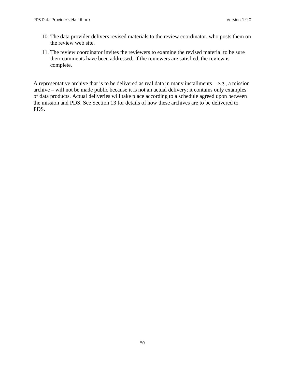- 10. The data provider delivers revised materials to the review coordinator, who posts them on the review web site.
- 11. The review coordinator invites the reviewers to examine the revised material to be sure their comments have been addressed. If the reviewers are satisfied, the review is complete.

A representative archive that is to be delivered as real data in many installments  $-e.g.,$  a mission archive – will not be made public because it is not an actual delivery; it contains only examples of data products. Actual deliveries will take place according to a schedule agreed upon between the mission and PDS. See Section 13 for details of how these archives are to be delivered to PDS.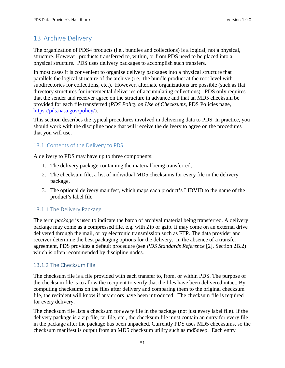# 13 Archive Delivery

The organization of PDS4 products (i.e., bundles and collections) is a logical, not a physical, structure. However, products transferred to, within, or from PDS need to be placed into a physical structure. PDS uses delivery packages to accomplish such transfers.

In most cases it is convenient to organize delivery packages into a physical structure that parallels the logical structure of the archive (i.e., the bundle product at the root level with subdirectories for collections, etc.). However, alternate organizations are possible (such as flat directory structures for incremental deliveries of accumulating collections). PDS only requires that the sender and receiver agree on the structure in advance and that an MD5 checksum be provided for each file transferred (*PDS Policy on Use of Checksums*, PDS Policies page, [https://pds.nasa.gov/policy/\)](http://pds.nasa.gov/policy/).

This section describes the typical procedures involved in delivering data to PDS. In practice, you should work with the discipline node that will receive the delivery to agree on the procedures that you will use.

# 13.1 Contents of the Delivery to PDS

A delivery to PDS may have up to three components:

- 1. The delivery package containing the material being transferred,
- 2. The checksum file, a list of individual MD5 checksums for every file in the delivery package,
- 3. The optional delivery manifest, which maps each product's LIDVID to the name of the product's label file.

## 13.1.1 The Delivery Package

The term *package* is used to indicate the batch of archival material being transferred. A delivery package may come as a compressed file, e.g. with Zip or gzip. It may come on an external drive delivered through the mail, or by electronic transmission such as FTP. The data provider and receiver determine the best packaging options for the delivery. In the absence of a transfer agreement, PDS provides a default procedure (see *PDS Standards Reference* [2], Section 2B.2) which is often recommended by discipline nodes.

## 13.1.2 The Checksum File

The checksum file is a file provided with each transfer to, from, or within PDS. The purpose of the checksum file is to allow the recipient to verify that the files have been delivered intact. By computing checksums on the files after delivery and comparing them to the original checksum file, the recipient will know if any errors have been introduced. The checksum file is required for every delivery.

The checksum file lists a checksum for *every* file in the package (not just every label file). If the delivery package is a zip file, tar file, etc., the checksum file must contain an entry for every file in the package after the package has been unpacked. Currently PDS uses MD5 checksums, so the checksum manifest is output from an MD5 checksum utility such as md5deep. Each entry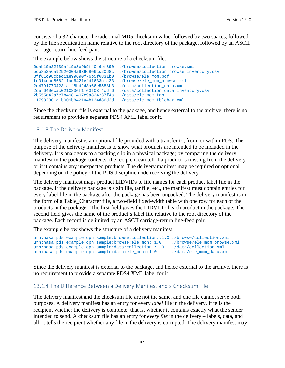consists of a 32-character hexadecimal MD5 checksum value, followed by two spaces, followed by the file specification name relative to the root directory of the package, followed by an ASCII carriage-return line-feed pair.

The example below shows the structure of a checksum file:

```
6dab19e22439a419e3e9b9f4046bf390 ./browse/collection_browse.xml
                                        ./browse/collection_browse_inventory.csv<br>./browse/ele_mom.pdf
3ff61c98cbed11e99690f76b5f6831b0 ./browse/ele_mom.pdf
fd014ead868211ac6421efd1633c1a33 ./browse/ele_mom_browse.xml
2e47917704231a1f8bd2d3a66e5588b3<br>2cef640ecac021083ef1fe3f03f4c6f6
                                        ./data/collection_data_inventory.csv<br>./data/ele mom.tab
2b555c42a7e7b4981407c9a824237f4a
117982301d1b009b842104b134d86d3d ./data/ele_mom_tblchar.xml
```
Since the checksum file is external to the package, and hence external to the archive, there is no requirement to provide a separate PDS4 XML label for it.

#### 13.1.3 The Delivery Manifest

The delivery manifest is an optional file provided with a transfer to, from, or within PDS. The purpose of the delivery manifest is to show what products are intended to be included in the delivery. It is analogous to a packing slip in a physical package; by comparing the delivery manifest to the package contents, the recipient can tell if a product is missing from the delivery or if it contains any unexpected products. The delivery manifest may be required or optional depending on the policy of the PDS discipline node receiving the delivery.

The delivery manifest maps product LIDVIDs to file names for each product label file in the package. If the delivery package is a zip file, tar file, etc., the manifest must contain entries for every label file in the package after the package has been unpacked. The delivery manifest is in the form of a Table\_Character file, a two-field fixed-width table with one row for each of the products in the package. The first field gives the LIDVID of each product in the package. The second field gives the name of the product's label file relative to the root directory of the package. Each record is delimited by an ASCII carriage-return line-feed pair.

The example below shows the structure of a delivery manifest:

```
urn:nasa:pds:example.dph.sample:browse:collection::1.0 ./browse/collection.xml<br>urn:nasa:pds:example.dph.sample:browse:ele_mon::1.0 ./browse/ele_mom_browse.xml
urn:nasa:pds:example.dph.sample:browse:ele_mon::1.0 ./browse/ele_mom_brow<br>urn:nasa:pds:example.dph.sample:data:collection::1.0 ./data/collection.xml
urn:nasa:pds:example.dph.sample:data:collection::1.0 ./data/collection.xml<br>urn:nasa:pds:example.dph.sample:data:ele_mon::1.0 ./data/ele_mom_data.xml
urn:nasa:pds:example.dph.sample:data:ele_mon::1.0
```
Since the delivery manifest is external to the package, and hence external to the archive, there is no requirement to provide a separate PDS4 XML label for it.

## 13.1.4 The Difference Between a Delivery Manifest and a Checksum File

The delivery manifest and the checksum file are not the same, and one file cannot serve both purposes. A delivery manifest has an entry for every *label* file in the delivery. It tells the recipient whether the delivery is complete; that is, whether it contains exactly what the sender intended to send. A checksum file has an entry for *every file* in the delivery – labels, data, and all. It tells the recipient whether any file in the delivery is corrupted. The delivery manifest may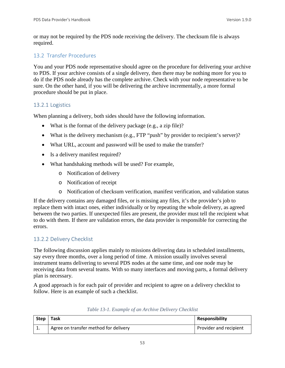or may not be required by the PDS node receiving the delivery. The checksum file is always required.

# 13.2 Transfer Procedures

You and your PDS node representative should agree on the procedure for delivering your archive to PDS. If your archive consists of a single delivery, then there may be nothing more for you to do if the PDS node already has the complete archive. Check with your node representative to be sure. On the other hand, if you will be delivering the archive incrementally, a more formal procedure should be put in place.

# 13.2.1 Logistics

When planning a delivery, both sides should have the following information.

- What is the format of the delivery package (e.g., a zip file)?
- What is the delivery mechanism (e.g., FTP "push" by provider to recipient's server)?
- What URL, account and password will be used to make the transfer?
- Is a delivery manifest required?
- What handshaking methods will be used? For example,
	- o Notification of delivery
	- o Notification of receipt
	- o Notification of checksum verification, manifest verification, and validation status

If the delivery contains any damaged files, or is missing any files, it's the provider's job to replace them with intact ones, either individually or by repeating the whole delivery, as agreed between the two parties. If unexpected files are present, the provider must tell the recipient what to do with them. If there are validation errors, the data provider is responsible for correcting the errors.

# 13.2.2 Delivery Checklist

The following discussion applies mainly to missions delivering data in scheduled installments, say every three months, over a long period of time. A mission usually involves several instrument teams delivering to several PDS nodes at the same time, and one node may be receiving data from several teams. With so many interfaces and moving parts, a formal delivery plan is necessary.

A good approach is for each pair of provider and recipient to agree on a delivery checklist to follow. Here is an example of such a checklist.

| Step     | Task                                  | <b>Responsibility</b>  |
|----------|---------------------------------------|------------------------|
| <b>.</b> | Agree on transfer method for delivery | Provider and recipient |

| Table 13-1. Example of an Archive Delivery Checklist |  |  |  |  |  |
|------------------------------------------------------|--|--|--|--|--|
|------------------------------------------------------|--|--|--|--|--|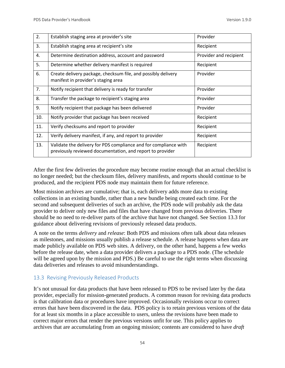| 2.  | Establish staging area at provider's site                                                                                     | Provider               |
|-----|-------------------------------------------------------------------------------------------------------------------------------|------------------------|
| 3.  | Establish staging area at recipient's site                                                                                    | Recipient              |
| 4.  | Determine destination address, account and password                                                                           | Provider and recipient |
| 5.  | Determine whether delivery manifest is required                                                                               | Recipient              |
| 6.  | Create delivery package, checksum file, and possibly delivery<br>manifest in provider's staging area                          | Provider               |
| 7.  | Notify recipient that delivery is ready for transfer                                                                          | Provider               |
| 8.  | Transfer the package to recipient's staging area                                                                              | Provider               |
| 9.  | Notify recipient that package has been delivered                                                                              | Provider               |
| 10. | Notify provider that package has been received                                                                                | Recipient              |
| 11. | Verify checksums and report to provider                                                                                       | Recipient              |
| 12. | Verify delivery manifest, if any, and report to provider                                                                      | Recipient              |
| 13. | Validate the delivery for PDS compliance and for compliance with<br>previously reviewed documentation, and report to provider | Recipient              |

After the first few deliveries the procedure may become routine enough that an actual checklist is no longer needed; but the checksum files, delivery manifests, and reports should continue to be produced, and the recipient PDS node may maintain them for future reference.

Most mission archives are cumulative; that is, each delivery adds more data to existing collections in an existing bundle, rather than a new bundle being created each time. For the second and subsequent deliveries of such an archive, the PDS node will probably ask the data provider to deliver only new files and files that have changed from previous deliveries. There should be no need to re-deliver parts of the archive that have not changed. See Section 13.3 for guidance about delivering revisions of previously released data products.

A note on the terms *delivery* and *release*: Both PDS and missions often talk about data releases as milestones, and missions usually publish a release schedule. A release happens when data are made publicly available on PDS web sites. A delivery, on the other hand, happens a few weeks before the release date, when a data provider delivers a package to a PDS node. (The schedule will be agreed upon by the mission and PDS.) Be careful to use the right terms when discussing data deliveries and releases to avoid misunderstandings.

## 13.3 Revising Previously Released Products

It's not unusual for data products that have been released to PDS to be revised later by the data provider, especially for mission-generated products. A common reason for revising data products is that calibration data or procedures have improved. Occasionally revisions occur to correct errors that have been discovered in the data. PDS policy is to retain previous versions of the data for at least six months in a place accessible to users, unless the revisions have been made to correct major errors that render the previous versions unfit for use. This policy applies to archives that are accumulating from an ongoing mission; contents are considered to have *draft*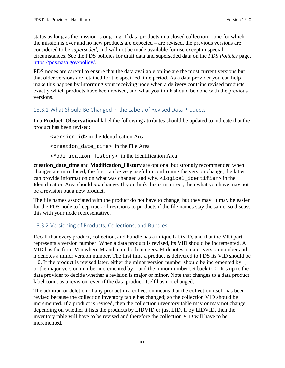status as long as the mission is ongoing. If data products in a closed collection – one for which the mission is over and no new products are expected – are revised, the previous versions are considered to be *superseded*, and will not be made available for use except in special circumstances. See the PDS policies for draft data and superseded data on the *PDS Policies* page, [https://pds.nasa.gov/policy/.](https://pds.nasa.gov/policy/)

PDS nodes are careful to ensure that the data available online are the most current versions but that older versions are retained for the specified time period. As a data provider you can help make this happen by informing your receiving node when a delivery contains revised products, exactly which products have been revised, and what you think should be done with the previous versions.

## 13.3.1 What Should Be Changed in the Labels of Revised Data Products

In a **Product\_Observational** label the following attributes should be updated to indicate that the product has been revised:

<version\_id> in the Identification Area <creation\_date\_time> in the File Area <Modification\_History> in the Identification Area

**creation\_date\_time** and **Modification\_History** are optional but strongly recommended when changes are introduced; the first can be very useful in confirming the version change; the latter can provide information on what was changed and why. <logical identifier> in the Identification Area should *not* change. If you think this is incorrect, then what you have may not be a revision but a new product.

The file names associated with the product do not have to change, but they may. It may be easier for the PDS node to keep track of revisions to products if the file names stay the same, so discuss this with your node representative.

## 13.3.2 Versioning of Products, Collections, and Bundles

Recall that every product, collection, and bundle has a unique LIDVID, and that the VID part represents a version number. When a data product is revised, its VID should be incremented. A VID has the form M.n where M and n are both integers. M denotes a major version number and n denotes a minor version number. The first time a product is delivered to PDS its VID should be 1.0. If the product is revised later, either the minor version number should be incremented by 1, or the major version number incremented by 1 and the minor number set back to 0. It's up to the data provider to decide whether a revision is major or minor. Note that changes to a data product label count as a revision, even if the data product itself has not changed.

The addition or deletion of any product in a collection means that the collection itself has been revised because the collection inventory table has changed; so the collection VID should be incremented. If a product is revised, then the collection inventory table may or may not change, depending on whether it lists the products by LIDVID or just LID. If by LIDVID, then the inventory table will have to be revised and therefore the collection VID will have to be incremented.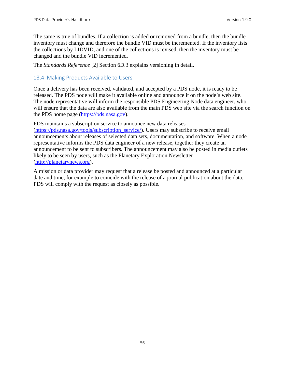The same is true of bundles. If a collection is added or removed from a bundle, then the bundle inventory must change and therefore the bundle VID must be incremented. If the inventory lists the collections by LIDVID, and one of the collections is revised, then the inventory must be changed and the bundle VID incremented.

The *Standards Reference* [2] Section 6D.3 explains versioning in detail.

#### 13.4 Making Products Available to Users

Once a delivery has been received, validated, and accepted by a PDS node, it is ready to be released. The PDS node will make it available online and announce it on the node's web site. The node representative will inform the responsible PDS Engineering Node data engineer, who will ensure that the data are also available from the main PDS web site via the search function on the PDS home page [\(https://pds.nasa.gov\)](http://pds.nasa.gov/).

PDS maintains a subscription service to announce new data releases [\(https://pds.nasa.gov/tools/subscription\\_service/\)](http://pds.nasa.gov/tools/subscription_service/). Users may subscribe to receive email announcements about releases of selected data sets, documentation, and software. When a node representative informs the PDS data engineer of a new release, together they create an announcement to be sent to subscribers. The announcement may also be posted in media outlets likely to be seen by users, such as the Planetary Exploration Newsletter [\(http://planetarynews.org\)](http://planetarynews.org/).

A mission or data provider may request that a release be posted and announced at a particular date and time, for example to coincide with the release of a journal publication about the data. PDS will comply with the request as closely as possible.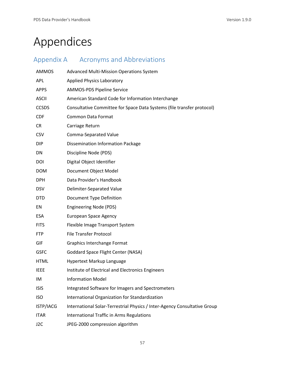# Appendices

| Appendix A       | <b>Acronyms and Abbreviations</b>                                         |
|------------------|---------------------------------------------------------------------------|
| <b>AMMOS</b>     | <b>Advanced Multi-Mission Operations System</b>                           |
| <b>APL</b>       | <b>Applied Physics Laboratory</b>                                         |
| <b>APPS</b>      | <b>AMMOS-PDS Pipeline Service</b>                                         |
| <b>ASCII</b>     | American Standard Code for Information Interchange                        |
| <b>CCSDS</b>     | Consultative Committee for Space Data Systems (file transfer protocol)    |
| <b>CDF</b>       | <b>Common Data Format</b>                                                 |
| <b>CR</b>        | Carriage Return                                                           |
| <b>CSV</b>       | Comma-Separated Value                                                     |
| <b>DIP</b>       | <b>Dissemination Information Package</b>                                  |
| DN               | Discipline Node (PDS)                                                     |
| DOI              | Digital Object Identifier                                                 |
| <b>DOM</b>       | Document Object Model                                                     |
| <b>DPH</b>       | Data Provider's Handbook                                                  |
| <b>DSV</b>       | Delimiter-Separated Value                                                 |
| <b>DTD</b>       | Document Type Definition                                                  |
| EN               | <b>Engineering Node (PDS)</b>                                             |
| <b>ESA</b>       | <b>European Space Agency</b>                                              |
| <b>FITS</b>      | Flexible Image Transport System                                           |
| <b>FTP</b>       | <b>File Transfer Protocol</b>                                             |
| GIF              | Graphics Interchange Format                                               |
| <b>GSFC</b>      | Goddard Space Flight Center (NASA)                                        |
| <b>HTML</b>      | Hypertext Markup Language                                                 |
| <b>IEEE</b>      | Institute of Electrical and Electronics Engineers                         |
| IM               | <b>Information Model</b>                                                  |
| <b>ISIS</b>      | Integrated Software for Imagers and Spectrometers                         |
| <b>ISO</b>       | International Organization for Standardization                            |
| ISTP/IACG        | International Solar-Terrestrial Physics / Inter-Agency Consultative Group |
| <b>ITAR</b>      | International Traffic in Arms Regulations                                 |
| J <sub>2</sub> C | JPEG-2000 compression algorithm                                           |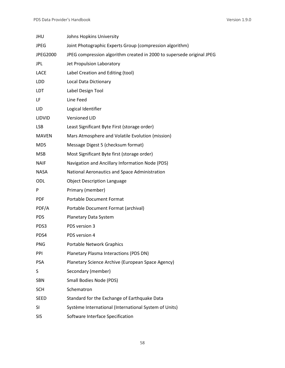| JHU             | Johns Hopkins University                                              |
|-----------------|-----------------------------------------------------------------------|
| <b>JPEG</b>     | Joint Photographic Experts Group (compression algorithm)              |
| JPEG2000        | JPEG compression algorithm created in 2000 to supersede original JPEG |
| <b>JPL</b>      | Jet Propulsion Laboratory                                             |
| <b>LACE</b>     | Label Creation and Editing (tool)                                     |
| LDD             | Local Data Dictionary                                                 |
| <b>LDT</b>      | Label Design Tool                                                     |
| LF              | Line Feed                                                             |
| LID.            | Logical Identifier                                                    |
| LIDVID          | <b>Versioned LID</b>                                                  |
| <b>LSB</b>      | Least Significant Byte First (storage order)                          |
| <b>MAVEN</b>    | Mars Atmosphere and Volatile Evolution (mission)                      |
| MD <sub>5</sub> | Message Digest 5 (checksum format)                                    |
| <b>MSB</b>      | Most Significant Byte first (storage order)                           |
| <b>NAIF</b>     | Navigation and Ancillary Information Node (PDS)                       |
| <b>NASA</b>     | National Aeronautics and Space Administration                         |
| ODL             | <b>Object Description Language</b>                                    |
| P               | Primary (member)                                                      |
| <b>PDF</b>      | <b>Portable Document Format</b>                                       |
| PDF/A           | Portable Document Format (archival)                                   |
| <b>PDS</b>      | Planetary Data System                                                 |
| PDS3            | PDS version 3                                                         |
| PDS4            | PDS version 4                                                         |
| <b>PNG</b>      | Portable Network Graphics                                             |
| PPI             | Planetary Plasma Interactions (PDS DN)                                |
| <b>PSA</b>      | Planetary Science Archive (European Space Agency)                     |
| S               | Secondary (member)                                                    |
| <b>SBN</b>      | Small Bodies Node (PDS)                                               |
| <b>SCH</b>      | Schematron                                                            |
| <b>SEED</b>     | Standard for the Exchange of Earthquake Data                          |
| <b>SI</b>       | Système International (International System of Units)                 |
| <b>SIS</b>      | Software Interface Specification                                      |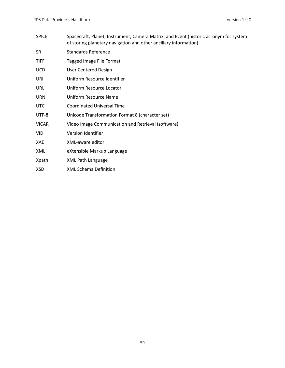| <b>SPICE</b> | Spacecraft, Planet, Instrument, Camera Matrix, and Event (historic acronym for system<br>of storing planetary navigation and other ancillary information) |
|--------------|-----------------------------------------------------------------------------------------------------------------------------------------------------------|
| SR.          | <b>Standards Reference</b>                                                                                                                                |
| <b>TIFF</b>  | Tagged Image File Format                                                                                                                                  |
| <b>UCD</b>   | <b>User Centered Design</b>                                                                                                                               |
| URI          | Uniform Resource Identifier                                                                                                                               |
| <b>URL</b>   | Uniform Resource Locator                                                                                                                                  |
| <b>URN</b>   | Uniform Resource Name                                                                                                                                     |
| <b>UTC</b>   | <b>Coordinated Universal Time</b>                                                                                                                         |
| UTF-8        | Unicode Transformation Format 8 (character set)                                                                                                           |
| <b>VICAR</b> | Video Image Communication and Retrieval (software)                                                                                                        |
| VID          | Version Identifier                                                                                                                                        |
| XAE          | XML-aware editor                                                                                                                                          |
| XML          | eXtensible Markup Language                                                                                                                                |
| Xpath        | XML Path Language                                                                                                                                         |
| XSD          | <b>XML Schema Definition</b>                                                                                                                              |
|              |                                                                                                                                                           |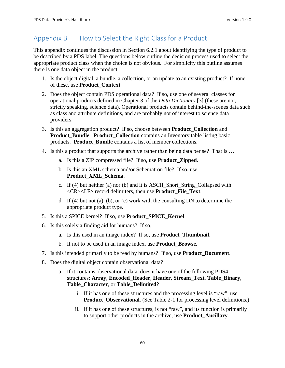# Appendix B How to Select the Right Class for a Product

This appendix continues the discussion in Section 6.2.1 about identifying the type of product to be described by a PDS label. The questions below outline the decision process used to select the appropriate product class when the choice is not obvious. For simplicity this outline assumes there is one data object in the product.

- 1. Is the object digital, a bundle, a collection, or an update to an existing product? If none of these, use **Product\_Context**.
- 2. Does the object contain PDS operational data? If so, use one of several classes for operational products defined in Chapter 3 of the *Data Dictionary* [3] (these are not, strictly speaking, science data). Operational products contain behind-the-scenes data such as class and attribute definitions, and are probably not of interest to science data providers.
- 3. Is this an aggregation product? If so, choose between **Product\_Collection** and **Product\_Bundle**. **Product\_Collection** contains an Inventory table listing basic products. **Product\_Bundle** contains a list of member collections.
- 4. Is this a product that supports the archive rather than being data per se? That is …
	- a. Is this a ZIP compressed file? If so, use **Product\_Zipped**.
	- b. Is this an XML schema and/or Schematron file? If so, use **Product\_XML\_Schema**.
	- c. If (4) but neither (a) nor (b) and it is ASCII\_Short\_String\_Collapsed with <CR><LF> record delimiters, then use **Product\_File\_Text**.
	- d. If (4) but not (a), (b), or (c) work with the consulting DN to determine the appropriate product type.
- 5. Is this a SPICE kernel? If so, use **Product\_SPICE\_Kernel**.
- 6. Is this solely a finding aid for humans? If so,
	- a. Is this used in an image index? If so, use **Product\_Thumbnail**.
	- b. If not to be used in an image index, use **Product\_Browse**.
- 7. Is this intended primarily to be read by humans? If so, use **Product\_Document**.
- 8. Does the digital object contain observational data?
	- a. If it contains observational data, does it have one of the following PDS4 structures: **Array**, **Encoded\_Header**, **Header**, **Stream\_Text**, **Table\_Binary**, **Table\_Character**, or **Table\_Delimited**?
		- i. If it has one of these structures and the processing level is "raw", use **Product Observational.** (See Table 2-1 for processing level definitions.)
		- ii. If it has one of these structures, is not "raw", and its function is primarily to support other products in the archive, use **Product\_Ancillary**.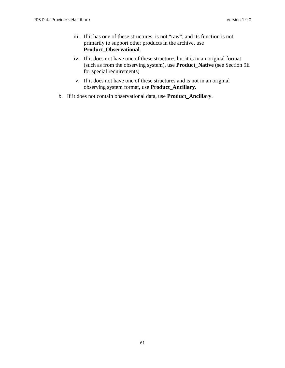- iii. If it has one of these structures, is not "raw", and its function is not primarily to support other products in the archive, use **Product\_Observational**.
- iv. If it does not have one of these structures but it is in an original format (such as from the observing system), use **Product\_Native** (see Section 9E for special requirements)
- v. If it does not have one of these structures and is not in an original observing system format, use **Product\_Ancillary**.
- b. If it does not contain observational data, use **Product\_Ancillary**.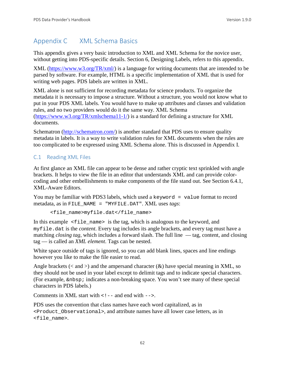# Appendix C XML Schema Basics

This appendix gives a very basic introduction to XML and XML Schema for the novice user, without getting into PDS-specific details. Section 6, Designing Labels, refers to this appendix.

XML [\(https://www.w3.org/TR/xml/\)](https://www.w3.org/TR/xml/) is a language for writing documents that are intended to be parsed by software. For example, HTML is a specific implementation of XML that is used for writing web pages. PDS labels are written in XML.

XML alone is not sufficient for recording metadata for science products. To organize the metadata it is necessary to impose a structure. Without a structure, you would not know what to put in your PDS XML labels. You would have to make up attributes and classes and validation rules, and no two providers would do it the same way. XML Schema [\(https://www.w3.org/TR/xmlschema11-1/\)](https://www.w3.org/TR/xmlschema11-1/) is a standard for defining a structure for XML documents.

Schematron [\(http://schematron.com/\)](http://schematron.com/) is another standard that PDS uses to ensure quality metadata in labels. It is a way to write validation rules for XML documents when the rules are too complicated to be expressed using XML Schema alone. This is discussed in Appendix I.

# C.1 Reading XML Files

At first glance an XML file can appear to be dense and rather cryptic text sprinkled with angle brackets. It helps to view the file in an editor that understands XML and can provide colorcoding and other embellishments to make components of the file stand out. See Section 6.4.1, XML-Aware Editors.

You may be familiar with PDS3 labels, which used a keyword = value format to record metadata, as in FILE\_NAME = "MYFILE.DAT". XML uses *tags*:

<file\_name>myfile.dat</file\_name>

In this example  $\le$  file\_name> is the tag, which is analogous to the keyword, and myfile.dat is the *content*. Every tag includes its angle brackets, and every tag must have a matching *closing tag*, which includes a forward slash. The full line — tag, content, and closing tag — is called an *XML element*. Tags can be nested.

White space outside of tags is ignored, so you can add blank lines, spaces and line endings however you like to make the file easier to read.

Angle brackets ( $\lt$  and  $\gt$ ) and the ampersand character ( $\&$ ) have special meaning in XML, so they should not be used in your label except to delimit tags and to indicate special characters. (For example,  $\epsilon$ nbsp; indicates a non-breaking space. You won't see many of these special characters in PDS labels.)

Comments in XML start with  $\lt$ ! -- and end with  $\lt$  ->.

PDS uses the convention that class names have each word capitalized, as in <Product\_Observational>, and attribute names have all lower case letters, as in <file\_name>.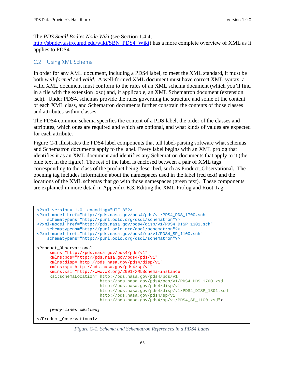#### The *PDS Small Bodies Node Wiki* (see Section 1.4.4,

[http://sbndev.astro.umd.edu/wiki/SBN\\_PDS4\\_Wiki\)](http://sbndev.astro.umd.edu/wiki/SBN_PDS4_Wiki) has a more complete overview of XML as it applies to PDS4.

#### C.2 Using XML Schema

In order for any XML document, including a PDS4 label, to meet the XML standard, it must be both *well-formed* and *valid*. A well-formed XML document must have correct XML syntax; a valid XML document must conform to the rules of an XML schema document (which you'll find in a file with the extension .xsd) and, if applicable, an XML Schematron document (extension .sch). Under PDS4, schemas provide the rules governing the structure and some of the content of each XML class, and Schematron documents further constrain the contents of those classes and attributes within classes.

The PDS4 common schema specifies the content of a PDS label, the order of the classes and attributes, which ones are required and which are optional, and what kinds of values are expected for each attribute.

Figure C-1 illustrates the PDS4 label components that tell label-parsing software what schemas and Schematron documents apply to the label. Every label begins with an XML prolog that identifies it as an XML document and identifies any Schematron documents that apply to it (the blue text in the figure). The rest of the label is enclosed between a pair of XML tags corresponding to the class of the product being described, such as Product\_Observational. The opening tag includes information about the namespaces used in the label (red text) and the locations of the XML schemas that go with those namespaces (green text). These components are explained in more detail in Appendix E.3, Editing the XML Prolog and Root Tag.

```
<?xml version="1.0" encoding="UTF-8"?>
<?xml-model href="http://pds.nasa.gov/pds4/pds/v1/PDS4_PDS_1700.sch"
    schematypens="http://purl.oclc.org/dsdl/schematron"?>
<?xml-model href="http://pds.nasa.gov/pds4/disp/v1/PDS4_DISP_1301.sch" 
    schematypens="http://purl.oclc.org/dsdl/schematron"?>
<?xml-model href="http://pds.nasa.gov/pds4/sp/v1/PDS4_SP_1100.sch" 
    schematypens="http://purl.oclc.org/dsdl/schematron"?>
<Product_Observational 
     xmlns="http://pds.nasa.gov/pds4/pds/v1"
      xmlns:pds="http://pds.nasa.gov/pds4/pds/v1"
      xmlns:disp="http://pds.nasa.gov/pds4/disp/v1"
      xmlns:sp="http://pds.nasa.gov/pds4/sp/v1"
     xmlns:xsi="http://www.w3.org/2001/XMLSchema-instance"
      xsi:schemaLocation="http://pds.nasa.gov/pds4/pds/v1
                          http://pds.nasa.gov/pds4/pds/v1/PDS4_PDS_1700.xsd 
                          http://pds.nasa.gov/pds4/disp/v1 
                          http://pds.nasa.gov/pds4/disp/v1/PDS4_DISP_1301.xsd
                         http://pds.nasa.gov/pds4/sp/v1 
                         http://pds.nasa.gov/pds4/sp/v1/PDS4_SP_1100.xsd">
      [many lines omitted]
</Product_Observational>
```
*Figure C-1. Schema and Schematron References in a PDS4 Label*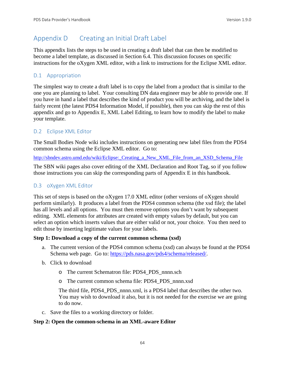# Appendix D Creating an Initial Draft Label

This appendix lists the steps to be used in creating a draft label that can then be modified to become a label template, as discussed in Section 6.4. This discussion focuses on specific instructions for the oXygen XML editor, with a link to instructions for the Eclipse XML editor.

# D.1 Appropriation

The simplest way to create a draft label is to copy the label from a product that is similar to the one you are planning to label. Your consulting DN data engineer may be able to provide one. If you have in hand a label that describes the kind of product you will be archiving, and the label is fairly recent (the latest PDS4 Information Model, if possible), then you can skip the rest of this appendix and go to Appendix E, XML Label Editing, to learn how to modify the label to make your template.

## D.2 Eclipse XML Editor

The Small Bodies Node wiki includes instructions on generating new label files from the PDS4 common schema using the Eclipse XML editor. Go to:

http://sbndev.astro.umd.edu/wiki/Eclipse: Creating a New\_XML\_File\_from\_an\_XSD\_Schema\_File

The SBN wiki pages also cover editing of the XML Declaration and Root Tag, so if you follow those instructions you can skip the corresponding parts of Appendix E in this handbook.

## D.3 oXygen XML Editor

This set of steps is based on the oXygen 17.0 XML editor (other versions of oXygen should perform similarly). It produces a label from the PDS4 common schema (the xsd file); the label has all levels and all options. You must then remove options you don't want by subsequent editing. XML elements for attributes are created with empty values by default, but you can select an option which inserts values that are either valid or not, your choice. You then need to edit those by inserting legitimate values for your labels.

#### **Step 1: Download a copy of the current common schema (xsd)**

- a. The current version of the PDS4 common schema (xsd) can always be found at the PDS4 Schema web page. Go to: [https://pds.nasa.gov/pds4/schema/released/.](https://pds.nasa.gov/pds4/schema/released/)
- b. Click to download
	- o The current Schematron file: PDS4\_PDS\_nnnn.sch
	- o The current common schema file: PDS4\_PDS\_nnnn.xsd

The third file, PDS4\_PDS\_nnnn.xml, is a PDS4 label that describes the other two. You may wish to download it also, but it is not needed for the exercise we are going to do now.

c. Save the files to a working directory or folder.

#### **Step 2: Open the common-schema in an XML-aware Editor**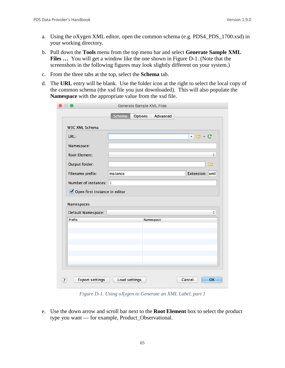- a. Using the oXygen XML editor, open the common schema (e.g. PDS4\_PDS\_1700.xsd) in your working directory.
- b. Pull down the **Tools** menu from the top menu bar and select **Generate Sample XML**  Files ... You will get a window like the one shown in Figure D-1. (Note that the screenshots in the following figures may look slightly different on your system.)
- c. From the three tabs at the top, select the **Schema** tab.
- d. The **URL** entry will be blank. Use the folder icon at the right to select the local copy of the common schema (the xsd file you just downloaded). This will also populate the **Namespace** with the appropriate value from the xsd file.

| URL:                             |           | $\cdot c$<br>$\overline{\mathbf v}$ |
|----------------------------------|-----------|-------------------------------------|
| Namespace:                       |           |                                     |
| <b>Root Element:</b>             |           | $\hat{\mathbf{v}}$                  |
| Output folder:                   |           | Բ                                   |
| Filename prefix:                 | instance  | Extension: xml                      |
| Number of instances: 1           |           |                                     |
|                                  |           |                                     |
| Open first instance in editor    |           |                                     |
|                                  |           |                                     |
|                                  |           | ÷                                   |
| Prefix                           | Namespace |                                     |
| Namespaces<br>Default Namespace: |           |                                     |
|                                  |           |                                     |
|                                  |           |                                     |

*Figure D-1. Using oXygen to Generate an XML Label, part 1*

e. Use the down arrow and scroll bar next to the **Root Element** box to select the product type you want — for example, Product\_Observational.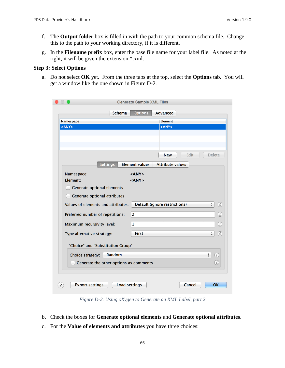- f. The **Output folder** box is filled in with the path to your common schema file. Change this to the path to your working directory, if it is different.
- g. In the **Filename prefix** box, enter the base file name for your label file. As noted at the right, it will be given the extension \*.xml.

#### **Step 3: Select Options**

a. Do not select **OK** yet. From the three tabs at the top, select the **Options** tab. You will get a window like the one shown in Figure D-2.

|                                        | <b>Generate Sample XML Files</b>                         |  |  |
|----------------------------------------|----------------------------------------------------------|--|--|
| <b>Schema</b>                          | <b>Options</b><br>Advanced                               |  |  |
| Namespace                              | Element                                                  |  |  |
| $<$ ANY $>$                            | $<$ ANY $>$                                              |  |  |
|                                        |                                                          |  |  |
|                                        |                                                          |  |  |
|                                        |                                                          |  |  |
|                                        | Edit<br><b>Delete</b><br><b>New</b>                      |  |  |
| Settings                               | <b>Attribute values</b><br><b>Element values</b>         |  |  |
|                                        |                                                          |  |  |
| Namespace:<br>Element:                 | $<$ ANY $>$<br>$<$ ANY $>$                               |  |  |
|                                        |                                                          |  |  |
| Generate optional elements             |                                                          |  |  |
| Generate optional attributes           |                                                          |  |  |
| Values of elements and attributes:     | Default (ignore restrictions)<br>$\frac{1}{\tau}$<br>(i) |  |  |
| Preferred number of repetitions:       | $\overline{2}$<br>$\rm _{\odot}$                         |  |  |
|                                        |                                                          |  |  |
| Maximum recursivity level:             | $\circled{i}$<br>1                                       |  |  |
| Type alternative strategy:             | <b>First</b><br>$\rm _{(i)}$<br>$\frac{4}{7}$            |  |  |
| "Choice" and "Substitution Group"      |                                                          |  |  |
|                                        |                                                          |  |  |
| Random<br>Choice strategy:             | $\frac{4}{7}$<br>$\left( i\right)$                       |  |  |
| Generate the other options as comments | (i)                                                      |  |  |
|                                        |                                                          |  |  |
|                                        |                                                          |  |  |
| <b>Export settings</b>                 | Load settings<br><b>OK</b><br>Cancel                     |  |  |
|                                        |                                                          |  |  |

*Figure D-2. Using oXygen to Generate an XML Label, part 2*

- b. Check the boxes for **Generate optional elements** and **Generate optional attributes**.
- c. For the **Value of elements and attributes** you have three choices: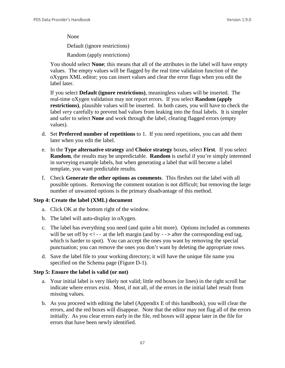None

Default (ignore restrictions)

Random (apply restrictions)

You should select **None**; this means that all of the attributes in the label will have empty values. The empty values will be flagged by the real time validation function of the oXygen XML editor; you can insert values and clear the error flags when you edit the label later.

If you select **Default (ignore restrictions)**, meaningless values will be inserted. The real-time oXygen validation may not report errors. If you select **Random (apply restrictions)**, plausible values will be inserted. In both cases, you will have to check the label *very* carefully to prevent bad values from leaking into the final labels. It is simpler and safer to select **None** and work through the label, clearing flagged errors (empty values).

- d. Set **Preferred number of repetitions** to 1. If you need repetitions, you can add them later when you edit the label.
- e. In the **Type alternative strategy** and **Choice strategy** boxes, select **First**. If you select **Random**, the results may be unpredictable. **Random** is useful if you're simply interested in surveying example labels, but when generating a label that will become a label template, you want predictable results.
- f. Check **Generate the other options as comments**. This fleshes out the label with all possible options. Removing the comment notation is not difficult; but removing the large number of unwanted options is the primary disadvantage of this method.

#### **Step 4: Create the label (XML) document**

- a. Click OK at the bottom right of the window.
- b. The label will auto-display in oXygen.
- c. The label has everything you need (and quite a bit more). Options included as comments will be set off by  $\lt!$ ! -- at the left margin (and by --> after the corresponding end tag, which is harder to spot). You can accept the ones you want by removing the special punctuation; you can remove the ones you don't want by deleting the appropriate rows.
- d. Save the label file to your working directory; it will have the unique file name you specified on the Schema page (Figure D-1).

#### **Step 5: Ensure the label is valid (or not)**

- a. Your initial label is very likely not valid; little red boxes (or lines) in the right scroll bar indicate where errors exist. Most, if not all, of the errors in the initial label result from missing values.
- b. As you proceed with editing the label (Appendix E of this handbook), you will clear the errors, and the red boxes will disappear. Note that the editor may not flag all of the errors initially. As you clear errors early in the file, red boxes will appear later in the file for errors that have been newly identified.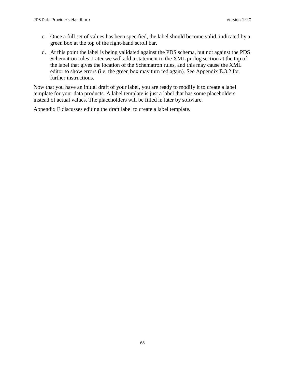- c. Once a full set of values has been specified, the label should become valid, indicated by a green box at the top of the right-hand scroll bar.
- d. At this point the label is being validated against the PDS schema, but not against the PDS Schematron rules. Later we will add a statement to the XML prolog section at the top of the label that gives the location of the Schematron rules, and this may cause the XML editor to show errors (i.e. the green box may turn red again). See Appendix E.3.2 for further instructions.

Now that you have an initial draft of your label, you are ready to modify it to create a label template for your data products. A label template is just a label that has some placeholders instead of actual values. The placeholders will be filled in later by software.

Appendix E discusses editing the draft label to create a label template.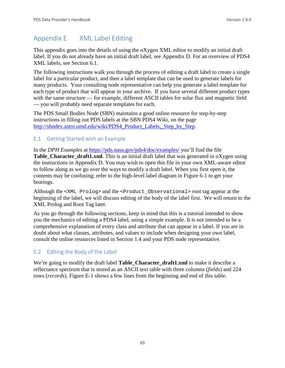## Appendix E XML Label Editing

This appendix goes into the details of using the oXygen XML editor to modify an initial draft label. If you do not already have an initial draft label, see Appendix D. For an overview of PDS4 XML labels, see Section 6.1.

The following instructions walk you through the process of editing a draft label to create a single label for a particular product, and then a label template that can be used to generate labels for many products. Your consulting node representative can help you generate a label template for each type of product that will appear in your archive. If you have several different product types with the same structure — for example, different ASCII tables for solar flux and magnetic field — you will probably need separate templates for each.

The PDS Small Bodies Node (SBN) maintains a good online resource for step-by-step instructions in filling out PDS labels at the SBN PDS4 Wiki, on the page [http://sbndev.astro.umd.edu/wiki/PDS4\\_Product\\_Labels,\\_Step\\_by\\_Step.](http://sbndev.astro.umd.edu/wiki/PDS4_Product_Labels,_Step_by_Step)

## E.1 Getting Started with an Example

In the *DPH Examples* at<https://pds.nasa.gov/pds4/doc/examples/> you'll find the file **Table Character draft1.xml**. This is an initial draft label that was generated in oXygen using the instructions in Appendix D. You may wish to open this file in your own XML-aware editor to follow along as we go over the ways to modify a draft label. When you first open it, the contents may be confusing; refer to the high-level label diagram in Figure 6-1 to get your bearings.

Although the <XML Prolog> and the <Product\_Observational> root tag appear at the beginning of the label, we will discuss editing of the body of the label first. We will return to the XML Prolog and Root Tag later.

As you go through the following sections, keep in mind that this is a tutorial intended to show you the mechanics of editing a PDS4 label, using a simple example. It is not intended to be a comprehensive explanation of every class and attribute that can appear in a label. If you are in doubt about what classes, attributes, and values to include when designing your own label, consult the online resources listed in Section 1.4 and your PDS node representative.

## E.2 Editing the Body of the Label

We're going to modify the draft label **Table\_Character\_draft1.xml** to make it describe a reflectance spectrum that is stored as an ASCII text table with three columns (*fields*) and 224 rows (*records*). Figure E-1 shows a few lines from the beginning and end of this table.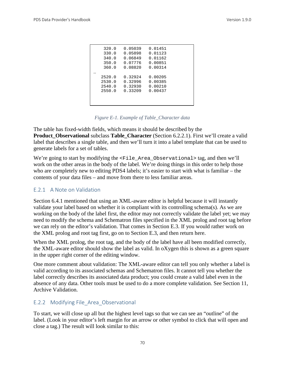| 320.0  | 0.05039 | 0.01451 |  |
|--------|---------|---------|--|
| 330.0  | 0.05898 | 0.01123 |  |
| 340.0  | 0.06849 | 0.01162 |  |
| 350.0  | 0.07776 | 0.00851 |  |
| 360.0  | 0.08820 | 0.00314 |  |
|        |         |         |  |
| 2520.0 | 0.32924 | 0.00205 |  |
| 2530.0 | 0.32996 | 0.00385 |  |
| 2540.0 | 0.32930 | 0.00210 |  |
| 2550.0 | 0.33209 | 0.00437 |  |
|        |         |         |  |
|        |         |         |  |
|        |         |         |  |

*Figure E-1. Example of Table\_Character data*

The table has fixed-width fields, which means it should be described by the **Product\_Observational** subclass **Table\_Character** (Section 6.2.2.1). First we'll create a valid label that describes a single table, and then we'll turn it into a label template that can be used to generate labels for a set of tables.

We're going to start by modifying the <File\_Area\_Observational> tag, and then we'll work on the other areas in the body of the label. We're doing things in this order to help those who are completely new to editing PDS4 labels; it's easier to start with what is familiar – the contents of your data files – and move from there to less familiar areas.

### E.2.1 A Note on Validation

Section 6.4.1 mentioned that using an XML-aware editor is helpful because it will instantly validate your label based on whether it is compliant with its controlling schema(s). As we are working on the body of the label first, the editor may not correctly validate the label yet; we may need to modify the schema and Schematron files specified in the XML prolog and root tag before we can rely on the editor's validation. That comes in Section E.3. If you would rather work on the XML prolog and root tag first, go on to Section E.3, and then return here.

When the XML prolog, the root tag, and the body of the label have all been modified correctly, the XML-aware editor should show the label as valid. In oXygen this is shown as a green square in the upper right corner of the editing window.

One more comment about validation: The XML-aware editor can tell you only whether a label is valid according to its associated schemas and Schematron files. It cannot tell you whether the label correctly describes its associated data product; you could create a valid label even in the absence of any data. Other tools must be used to do a more complete validation. See Section 11, Archive Validation.

## E.2.2 Modifying File\_Area\_Observational

To start, we will close up all but the highest level tags so that we can see an "outline" of the label. (Look in your editor's left margin for an arrow or other symbol to click that will open and close a tag.) The result will look similar to this: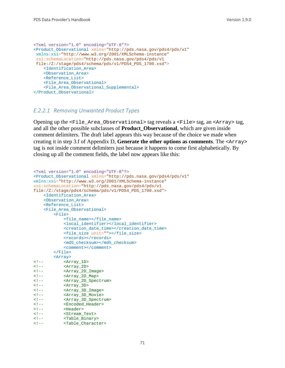```
<?xml version="1.0" encoding="UTF-8"?>
<Product_Observational xmlns="http://pds.nasa.gov/pds4/pds/v1"
xmlns:xsi="http://www.w3.org/2001/XMLSchema-instance"
 xsi:schemaLocation="http://pds.nasa.gov/pds4/pds/v1 
file:/Z:/stage/pds4/schema/pds/v1/PDS4_PDS_1700.xsd">
     <Identification_Area>
     <Observation_Area>
     <Reference_List>
     <File_Area_Observational>
     <File_Area_Observational_Supplemental>
</Product_Observational>
```
#### *E.2.2.1 Removing Unwanted Product Types*

Opening up the <File\_Area\_Observational> tag reveals a <File> tag, an <Array> tag, and all the other possible subclasses of **Product\_Observational**, which are given inside comment delimiters. The draft label appears this way because of the choice we made when creating it in step 3.f of Appendix D, **Generate the other options as comments**. The <Array> tag is not inside comment delimiters just because it happens to come first alphabetically. By closing up all the comment fields, the label now appears like this:

```
<?xml version="1.0" encoding="UTF-8"?>
<Product_Observational xmlns="http://pds.nasa.gov/pds4/pds/v1"
xmlns:xsi="http://www.w3.org/2001/XMLSchema-instance"
xsi:schemaLocation="http://pds.nasa.gov/pds4/pds/v1 
file:/Z:/stage/pds4/schema/pds/v1/PDS4_PDS_1700.xsd">
     <Identification_Area>
     <Observation_Area>
     <Reference_List>
     <File_Area_Observational>
         <File>
              <file_name></file_name>
              <local_identifier></local_identifier>
              <creation_date_time></creation_date_time>
              <file_size unit=""></file_size>
             <records></records>
              <md5_checksum></md5_checksum>
              <comment></comment>
         </File>
 <Array>
<!-- <Array_1D><br><!-- <Array 2D>
<!-- <Array_2D><br><!-- <Array_2D
<!-- <Array_2D_Image><br><!-- <Array_2D_Map>
<!-- <Array_2D_Map><br><!-- <Array_2D_Spec
<!-- <Array_2D_Spectrum><br><!-- <Array_3D>
<!-- <Array_3D>
<!-- <Array_3D_Image>
<!-- <Array_3D_Movie>
<!-- <Array_3D_Spectrum>
<!-- <Encoded_Header>
ourcoded_<br><!-- <Header><br><!-- <Header>>> <Header>
<!-- <Stream_Text>
<!-- <Table_Binary>
           <Table_Character>
```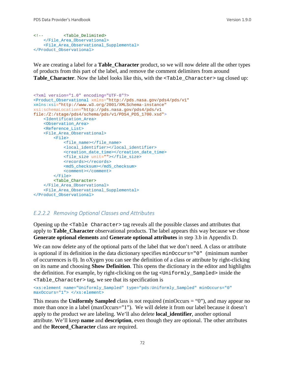```
<!-- <Table_Delimited>
    </File_Area_Observational>
    <File_Area_Observational_Supplemental>
</Product_Observational>
```
We are creating a label for a **Table\_Character** product, so we will now delete all the other types of products from this part of the label, and remove the comment delimiters from around Table\_Character. Now the label looks like this, with the <Table\_Character> tag closed up:

```
<?xml version="1.0" encoding="UTF-8"?>
<Product_Observational xmlns="http://pds.nasa.gov/pds4/pds/v1"
xmlns:xsi="http://www.w3.org/2001/XMLSchema-instance"
xsi:schemaLocation="http://pds.nasa.gov/pds4/pds/v1 
file:/Z:/stage/pds4/schema/pds/v1/PDS4_PDS_1700.xsd">
     <Identification_Area>
     <Observation_Area>
    <Reference_List>
    <File_Area_Observational>
         <File>
             <file_name></file_name>
             <local_identifier></local_identifier>
             <creation_date_time></creation_date_time>
             <file_size unit=""></file_size>
            <records></records>
             <md5_checksum></md5_checksum>
             <comment></comment>
         </File>
        <Table_Character>
     </File_Area_Observational>
     <File_Area_Observational_Supplemental>
</Product_Observational>
```
#### *E.2.2.2 Removing Optional Classes and Attributes*

Opening up the <Table Character> tag reveals all the possible classes and attributes that apply to **Table\_Character** observational products. The label appears this way because we chose **Generate optional elements** and **Generate optional attributes** in step 3.b in Appendix D.

We can now delete any of the optional parts of the label that we don't need. A class or attribute is optional if its definition in the data dictionary specifies minOccurs="0" (minimum number of occurrences is 0). In oXygen you can see the definition of a class or attribute by right-clicking on its name and choosing **Show Definition**. This opens the dictionary in the editor and highlights the definition. For example, by right-clicking on the tag <Uniformly\_Sampled> inside the <Table\_Character> tag, we see that its specification is

```
<xs:element name="Uniformly_Sampled" type="pds:Uniformly_Sampled" minOccurs="0" 
maxOccurs="1"> </xs:element>
```
This means the **Uniformly Sampled** class is not required (minOccurs = "0"), and may appear no more than once in a label (maxOccurs="1"). We will delete it from our label because it doesn't apply to the product we are labeling. We'll also delete **local\_identifier**, another optional attribute. We'll keep **name** and **description**, even though they are optional. The other attributes and the **Record\_Character** class are required.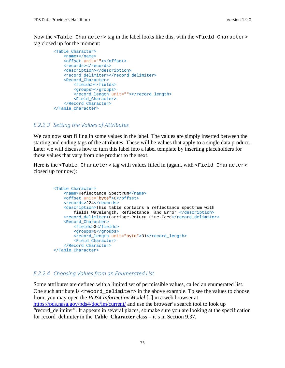Now the <Table\_Character> tag in the label looks like this, with the <Field\_Character> tag closed up for the moment:

```
 <Table_Character>
     <name></name>
     <offset unit=""></offset>
    <records></records>
     <description></description>
    <record_delimiter></record_delimiter>
     <Record_Character>
         <fields></fields>
         <groups></groups>
         <record_length unit=""></record_length>
         <Field_Character>
     </Record_Character>
 </Table_Character>
```
#### *E.2.2.3 Setting the Values of Attributes*

We can now start filling in some values in the label. The values are simply inserted between the starting and ending tags of the attributes. These will be values that apply to a single data product. Later we will discuss how to turn this label into a label template by inserting placeholders for those values that vary from one product to the next.

Here is the <Table\_Character> tag with values filled in (again, with <Field\_Character> closed up for now):

```
 <Table_Character>
     <name>Reflectance Spectrum</name>
     <offset unit="byte">0</offset>
     <records>224</records>
     <description>This table contains a reflectance spectrum with 
         fields Wavelength, Reflectance, and Error.</description>
    <record_delimiter>Carriage-Return Line-Feed</record_delimiter>
     <Record_Character>
         <fields>3</fields>
         <groups>0</groups>
         <record_length unit="byte">31</record_length>
         <Field_Character>
     </Record_Character>
 </Table_Character>
```
#### *E.2.2.4 Choosing Values from an Enumerated List*

Some attributes are defined with a limited set of permissible values, called an enumerated list. One such attribute is <record\_delimiter> in the above example. To see the values to choose from, you may open the *PDS4 Information Model* [1] in a web browser at <https://pds.nasa.gov/pds4/doc/im/current/> and use the browser's search tool to look up "record\_delimiter". It appears in several places, so make sure you are looking at the specification for record\_delimiter in the **Table\_Character** class – it's in Section 9.37.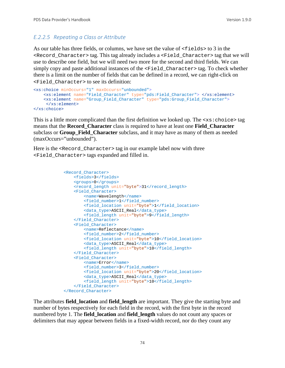## *E.2.2.5 Repeating a Class or Attribute*

As our table has three fields, or columns, we have set the value of  $\le$  fields  $>$  to 3 in the <Record\_Character> tag. This tag already includes a <Field\_Character> tag that we will use to describe one field, but we will need two more for the second and third fields. We can simply copy and paste additional instances of the <Field\_Character> tag. To check whether there is a limit on the number of fields that can be defined in a record, we can right-click on <Field\_Character> to see its definition:

```
<xs:choice minOccurs="1" maxOccurs="unbounded">
     <xs:element name="Field_Character" type="pds:Field_Character"> </xs:element>
     <xs:element name="Group_Field_Character" type="pds:Group_Field_Character">
     </xs:element>
</xs:choice>
```
This is a little more complicated than the first definition we looked up. The  $\langle x \cdot s : \text{choice} \rangle$  tag means that the **Record\_Character** class is required to have at least one **Field\_Character** subclass or **Group\_Field\_Character** subclass, and it may have as many of them as needed (maxOccurs="unbounded").

Here is the <Record Character> tag in our example label now with three <Field\_Character> tags expanded and filled in.

```
 <Record_Character>
    <fields>3</fields>
    <groups>0</groups>
   <record_length unit="byte">31</record_length>
    <Field_Character>
         <name>Wavelength</name>
        <field_number>1</field_number>
         <field_location unit="byte">1</field_location>
         <data_type>ASCII_Real</data_type>
         <field_length unit="byte">9</field_length>
     </Field_Character>
     <Field_Character>
         <name>Reflectance</name>
        <field_number>2</field_number>
        <field_location unit="byte">10</field_location>
        <data_type>ASCII_Real</data_type>
         <field_length unit="byte">10</field_length>
     </Field_Character>
     <Field_Character>
         <name>Error</name>
        <field_number>3</field_number>
        <field_location unit="byte">20</field_location>
         <data_type>ASCII_Real</data_type>
        <field_length unit="byte">10</field_length>
     </Field_Character>
 </Record_Character>
```
The attributes **field\_location** and **field\_length** are important. They give the starting byte and number of bytes respectively for each field in the record, with the first byte in the record numbered byte 1. The **field\_location** and **field\_length** values do not count any spaces or delimiters that may appear between fields in a fixed-width record, nor do they count any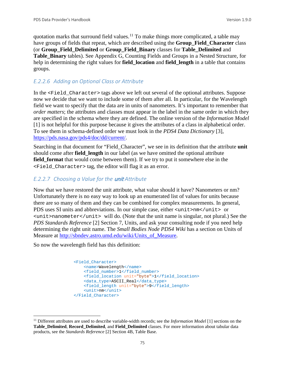quotation marks that surround field values.<sup>[11](#page-81-0)</sup> To make things more complicated, a table may have groups of fields that repeat, which are described using the **Group\_Field\_Character** class (or **Group\_Field\_Delimited** or **Group\_Field\_Binary** classes for **Table\_Delimited** and **Table\_Binary** tables). See Appendix G, Counting Fields and Groups in a Nested Structure, for help in determining the right values for **field\_location** and **field\_length** in a table that contains groups.

## *E.2.2.6 Adding an Optional Class or Attribute*

In the  $\le$ Field Character> tags above we left out several of the optional attributes. Suppose now we decide that we want to include some of them after all. In particular, for the Wavelength field we want to specify that the data are in units of nanometers. It's important to remember that *order matters*; the attributes and classes must appear in the label in the same order in which they are specified in the schema where they are defined. The online version of the *Information Model* [1] is not helpful for this purpose because it gives the attributes of a class in alphabetical order. To see them in schema-defined order we must look in the *PDS4 Data Dictionary* [3], [https://pds.nasa.gov/pds4/doc/dd/current/.](https://pds.nasa.gov/pds4/doc/dd/current/)

Searching in that document for "Field\_Character", we see in its definition that the attribute **unit** should come after **field length** in our label (as we have omitted the optional attribute **field\_format** that would come between them). If we try to put it somewhere else in the <Field\_Character> tag, the editor will flag it as an error.

## *E.2.2.7 Choosing a Value for the* unit *Attribute*

Now that we have restored the unit attribute, what value should it have? Nanometers or nm? Unfortunately there is no easy way to look up an enumerated list of values for units because there are so many of them and they can be combined for complex measurements. In general, PDS uses SI units and abbreviations. In our simple case, either <unit>nm</unit> or  $\frac{1}{\sqrt{1-\frac{1}{\sqrt{1-\frac{1}{\sqrt{1-\frac{1}{\sqrt{1-\frac{1}{\sqrt{1-\frac{1}{\sqrt{1-\frac{1}{\sqrt{1-\frac{1}{\sqrt{1-\frac{1}{\sqrt{1-\frac{1}{\sqrt{1-\frac{1}{\sqrt{1-\frac{1}{\sqrt{1-\frac{1}{\sqrt{1-\frac{1}{\sqrt{1-\frac{1}{\sqrt{1-\frac{1}{\sqrt{1-\frac{1}{\sqrt{1-\frac{1}{\sqrt{1-\frac{1}{\sqrt{1-\frac{1}{\sqrt{1-\frac{1}{\sqrt{1-\frac{1}{\sqrt{1-\frac{1}{\sqrt{1-\frac{1}{\sqrt{1-\frac{1$ *PDS Standards Reference* [2] Section 7, Units, and ask your consulting node if you need help determining the right unit name. The *Small Bodies Node PDS4 Wiki* has a section on Units of Measure at [http://sbndev.astro.umd.edu/wiki/Units\\_of\\_Measure.](http://sbndev.astro.umd.edu/wiki/Units_of_Measure)

So now the wavelength field has this definition:

```
 <Field_Character>
     <name>Wavelength</name>
    <field_number>1</field_number>
    <field_location unit="byte">1</field_location>
     <data_type>ASCII_Real</data_type>
    <field_length unit="byte">9</field_length>
     <unit>nm</unit>
 </Field_Character>
```
<span id="page-81-0"></span> <sup>11</sup> Different attributes are used to describe variable-width records; see the *Information Model* [1] sections on the **Table\_Delimited**, **Record\_Delimited**, and **Field\_Delimited** classes. For more information about tabular data products, see the *Standards Reference* [2] Section 4B, Table Base.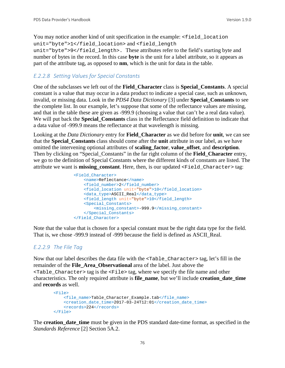You may notice another kind of unit specification in the example:  $\le$  field\_location unit="byte">1</field\_location> and <field\_length unit="byte">9</field\_length>. These attributes refer to the field's starting byte and number of bytes in the record. In this case **byte** is the unit for a label attribute, so it appears as part of the attribute tag, as opposed to **nm**, which is the unit for data in the table.

### *E.2.2.8 Setting Values for Special Constants*

One of the subclasses we left out of the **Field\_Character** class is **Special\_Constants**. A special constant is a value that may occur in a data product to indicate a special case, such as unknown, invalid, or missing data. Look in the *PDS4 Data Dictionary* [3] under **Special\_Constants** to see the complete list. In our example, let's suppose that some of the reflectance values are missing, and that in the table these are given as -999.9 (choosing a value that can't be a real data value). We will put back the **Special\_Constants** class in the Reflectance field definition to indicate that a data value of -999.9 means the reflectance at that wavelength is missing.

Looking at the *Data Dictionary* entry for **Field\_Character** as we did before for **unit**, we can see that the **Special\_Constants** class should come after the **unit** attribute in our label, as we have omitted the intervening optional attributes of **scaling\_factor**, **value\_offset**, and **description**. Then by clicking on "Special\_Constants" in the far right column of the **Field\_Character** entry, we go to the definition of Special Constants where the different kinds of constants are listed. The attribute we want is **missing\_constant**. Here, then, is our updated <Field\_Character> tag:

```
 <Field_Character>
     <name>Reflectance</name>
    <field_number>2</field_number>
    <field_location unit="byte">10</field_location>
     <data_type>ASCII_Real</data_type>
    <field_length unit="byte">10</field_length>
     <Special_Constants>
         <missing_constant>-999.9</missing_constant>
     </Special_Constants>
 </Field_Character>
```
Note that the value that is chosen for a special constant must be the right data type for the field. That is, we chose -999.9 instead of -999 because the field is defined as ASCII\_Real.

#### *E.2.2.9 The File Tag*

Now that our label describes the data file with the <Table\_Character> tag, let's fill in the remainder of the **File\_Area\_Observational** area of the label. Just above the  $\epsilon$ Table Character> tag is the  $\epsilon$ File> tag, where we specify the file name and other characteristics. The only required attribute is **file\_name**, but we'll include **creation\_date\_time** and **records** as well.

```
 <File>
     <file_name>Table_Character_Example.tab</file_name>
     <creation_date_time>2017-03-24T12:01</creation_date_time>
     <records>224</records>
 </File>
```
The **creation date time** must be given in the PDS standard date-time format, as specified in the *Standards Reference* [2] Section 5A.2.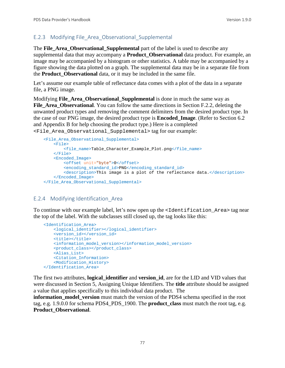### E.2.3 Modifying File\_Area\_Observational\_Supplemental

The **File\_Area\_Observational\_Supplemental** part of the label is used to describe any supplemental data that may accompany a **Product\_Observational** data product. For example, an image may be accompanied by a histogram or other statistics. A table may be accompanied by a figure showing the data plotted on a graph. The supplemental data may be in a separate file from the **Product\_Observational** data, or it may be included in the same file.

Let's assume our example table of reflectance data comes with a plot of the data in a separate file, a PNG image.

Modifying **File\_Area\_Observational\_Supplemental** is done in much the same way as File Area Observational. You can follow the same directions in Section F.2.2, deleting the unwanted product types and removing the comment delimiters from the desired product type. In the case of our PNG image, the desired product type is **Encoded\_Image**. (Refer to Section 6.2 and Appendix B for help choosing the product type.) Here is a completed <File\_Area\_Observational\_Supplemental> tag for our example:

```
 <File_Area_Observational_Supplemental>
    <sub>Fi1e</sub></sub>
         <file_name>Table_Character_Example_Plot.png</file_name>
     </File>
     <Encoded_Image>
         <offset unit="byte">0</offset>
         <encoding_standard_id>PNG</encoding_standard_id>
         <description>This image is a plot of the reflectance data.</description>
     </Encoded_Image>
 </File_Area_Observational_Supplemental>
```
#### E.2.4 Modifying Identification\_Area

To continue with our example label, let's now open up the <Identification Area> tag near the top of the label. With the subclasses still closed up, the tag looks like this:

```
 <Identification_Area>
    <logical_identifier></logical_identifier>
    <version_id></version_id>
    <title></title>
    <information_model_version></information_model_version>
    <product_class></product_class>
    <Alias_List>
    <Citation_Information>
    <Modification_History>
 </Identification_Area>
```
The first two attributes, **logical\_identifier** and **version\_id**, are for the LID and VID values that were discussed in Section [5, Assigning Unique Identifiers.](#page-25-0) The **title** attribute should be assigned a value that applies specifically to this individual data product. The

**information\_model\_version** must match the version of the PDS4 schema specified in the root tag, e.g. 1.9.0.0 for schema PDS4\_PDS\_1900. The **product\_class** must match the root tag, e.g. **Product\_Observational**.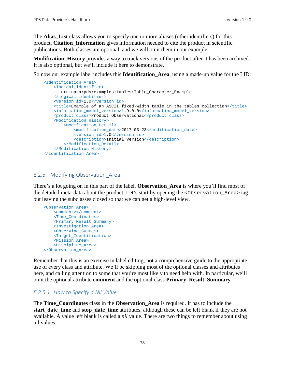The **Alias** List class allows you to specify one or more aliases (other identifiers) for this product. **Citation\_Information** gives information needed to cite the product in scientific publications. Both classes are optional, and we will omit them in our example.

**Modification\_History** provides a way to track versions of the product after it has been archived. It is also optional, but we'll include it here to demonstrate.

So now our example label includes this **Identification\_Area**, using a made-up value for the LID:

```
 <Identification_Area>
    <logical_identifier>
       urn:nasa:pds:examples:tables:Table_Character_Example
    </logical_identifier>
    <version_id>1.0</version_id>
    <title>Example of an ASCII fixed-width table in the tables collection</title>
    <information_model_version>1.9.0.0</information_model_version>
    <product_class>Product_Observational</product_class>
     <Modification_History>
         <Modification_Detail>
             <modification_date>2017-03-23</modification_date>
             <version_id>1.0</version_id>
           <description>Initial version</description>
         </Modification_Detail>
    </Modification_History>
 </Identification_Area>
```
#### E.2.5 Modifying Observation\_Area

There's a lot going on in this part of the label. **Observation\_Area** is where you'll find most of the detailed meta-data about the product. Let's start by opening the <Observation\_Area> tag but leaving the subclasses closed so that we can get a high-level view.

```
 <Observation_Area>
     <comment></comment>
     <Time_Coordinates>
     <Primary_Result_Summary>
    <Investigation_Area>
    <Observing_System>
    <Target_Identification>
    <Mission_Area>
     <Discipline_Area>
 </Observation_Area>
```
Remember that this is an exercise in label editing, not a comprehensive guide to the appropriate use of every class and attribute. We'll be skipping most of the optional classes and attributes here, and calling attention to some that you're most likely to need help with. In particular, we'll omit the optional attribute **comment** and the optional class **Primary\_Result\_Summary**.

#### *E.2.5.1 How to Specify a Nil Value*

The **Time\_Coordinates** class in the **Observation\_Area** is required. It has to include the **start** date time and **stop** date time attributes, although these can be left blank if they are not available. A value left blank is called a *nil* value. There are two things to remember about using nil values: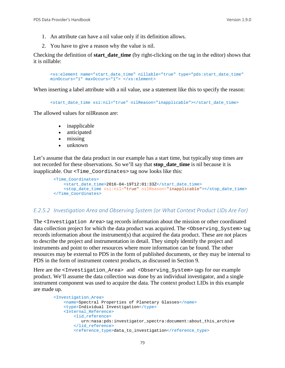- 1. An attribute can have a nil value only if its definition allows.
- 2. You have to give a reason why the value is nil.

Checking the definition of **start\_date\_time** (by right-clicking on the tag in the editor) shows that it is nillable:

```
<xs:element name="start_date_time" nillable="true" type="pds:start_date_time" 
minOccurs="1" maxOccurs="1"> </xs:element>
```
When inserting a label attribute with a nil value, use a statement like this to specify the reason:

<start\_date\_time xsi:nil="true" nilReason="inapplicable"></start\_date\_time>

The allowed values for nilReason are:

- inapplicable
- anticipated
- missing
- unknown

Let's assume that the data product in our example has a start time, but typically stop times are not recorded for these observations. So we'll say that **stop\_date\_time** is nil because it is inapplicable. Our <Time\_Coordinates> tag now looks like this:

```
 <Time_Coordinates>
    <start_date_time>2016-04-19T12:01:33Z</start_date_time>
     <stop_date_time xsi:nil="true" nilReason="inapplicable"></stop_date_time>
 </Time_Coordinates>
```
#### *E.2.5.2 Investigation Area and Observing System (or What Context Product LIDs Are For)*

The <Investigation Area> tag records information about the mission or other coordinated data collection project for which the data product was acquired. The <Observing\_System> tag records information about the instrument(s) that acquired the data product. These are not places to describe the project and instrumentation in detail. They simply identify the project and instruments and point to other resources where more information can be found. The other resources may be external to PDS in the form of published documents, or they may be internal to PDS in the form of instrument context products, as discussed in Section 9.

Here are the <Investigation\_Area> and <Observing\_System> tags for our example product. We'll assume the data collection was done by an individual investigator, and a single instrument component was used to acquire the data. The context product LIDs in this example are made up.

```
 <Investigation_Area>
     <name>Spectral Properties of Planetary Glasses</name>
     <type>Individual Investigation</type>
     <Internal_Reference>
         <lid_reference>
            urn:nasa:pds:investigator_spectra:document:about_this_archive
         </lid_reference>
         <reference_type>data_to_investigation</reference_type>
```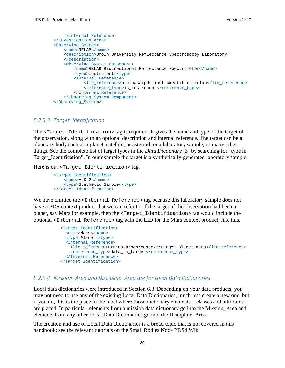```
 </Internal_Reference>
 </Investigation_Area>
 <Observing_System>
    <name>RELAB</name>
     <description>Brown University Reflectance Spectroscopy Laboratory
     </description>
     <Observing_System_Component>
         <name>RELAB Bidirectional Reflectance Spectrometer</name>
         <type>Instrument</type>
         <Internal_Reference>
             <lid_reference>urn:nasa:pds:instrument:bdrs.relab</lid_reference>
             <reference_type>is_instrument</reference_type>
        </Internal_Reference>
     </Observing_System_Component>
 </Observing_System>
```
#### *E.2.5.3 Target\_Identification*

The <Target\_Identification> tag is required. It gives the name and type of the target of the observation, along with an optional description and internal reference. The target can be a planetary body such as a planet, satellite, or asteroid, or a laboratory sample, or many other things. See the complete list of target types in the *Data Dictionary* [3] by searching for "type in Target\_Identification". In our example the target is a synthetically-generated laboratory sample.

Here is our <Target\_Identification> tag.

```
 <Target_Identification>
    <name>ALK-2</name>
     <type>Synthetic Sample</type>
 </Target_Identification>
```
We have omitted the <Internal\_Reference> tag because this laboratory sample does not have a PDS context product that we can refer to. If the target of the observation had been a planet, say Mars for example, then the <Target\_Identification> tag would include the optional <Internal\_Reference> tag with the LID for the Mars context product, like this.

```
 <Target_Identification>
   <name>Mars</name>
   <type>Planet</type>
   <Internal_Reference>
    <lid_reference>urn:nasa:pds:context:target:planet.mars</lid_reference>
    <reference_type>data_to_target</reference_type>
   </Internal_Reference>
 </Target_Identification>
```
#### *E.2.5.4 Mission\_Area and Discipline\_Area are for Local Data Dictionaries*

Local data dictionaries were introduced in Section 6.3. Depending on your data products, you may not need to use any of the existing Local Data Dictionaries, much less create a new one, but if you do, this is the place in the label where those dictionary elements – classes and attributes – are placed. In particular, elements from a mission data dictionary go into the Mission\_Area and elements from any other Local Data Dictionaries go into the Discipline\_Area.

The creation and use of Local Data Dictionaries is a broad topic that is not covered in this handbook; see the relevant tutorials on the Small Bodies Node PDS4 Wiki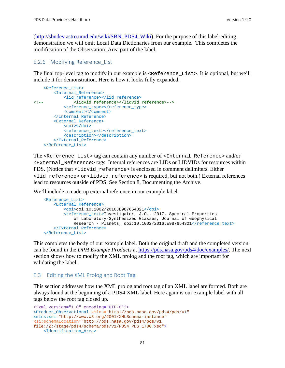[\(http://sbndev.astro.umd.edu/wiki/SBN\\_PDS4\\_Wiki\)](http://sbndev.astro.umd.edu/wiki/SBN_PDS4_Wiki). For the purpose of this label-editing demonstration we will omit Local Data Dictionaries from our example. This completes the modification of the Observation\_Area part of the label.

#### E.2.6 Modifying Reference\_List

The final top-level tag to modify in our example is <Reference\_List>. It is optional, but we'll include it for demonstration. Here is how it looks fully expanded.

```
 <Reference_List>
         <Internal_Reference>
<lid_reference></lid_reference>>>>>>><lidyid
                <!-- <lidvid_reference></lidvid_reference>-->
             <reference_type></reference_type>
             <comment></comment>
         </Internal_Reference>
         <External_Reference>
             <doi></doi>
            <reference_text></reference_text>
             <description></description>
         </External_Reference>
     </Reference_List>
```
The <Reference\_List> tag can contain any number of <Internal\_Reference> and/or <External\_Reference> tags. Internal references are LIDs or LIDVIDs for resources within PDS. (Notice that  $\text{clidvid}_\text{reference}$ ) is enclosed in comment delimiters. Either <lid\_reference> or <lidvid\_reference> is required, but not both.) External references lead to resources outside of PDS. See Section 8, Documenting the Archive.

We'll include a made-up external reference in our example label.

```
 <Reference_List>
     <External_Reference>
         <doi>doi:10.1002/2016JE987654321</doi>
         <reference_text>Investigator, J.O., 2017, Spectral Properties 
             of Laboratory-Synthesized Glasses, Journal of Geophysical
            Research - Planets, doi:10.1002/2016JE987654321</reference_text>
     </External_Reference>
 </Reference_List>
```
This completes the body of our example label. Both the original draft and the completed version can be found in the *DPH Example Products* at [https://pds.nasa.gov/pds4/doc/examples/.](https://pds.nasa.gov/pds4/doc/examples/) The next section shows how to modify the XML prolog and the root tag, which are important for validating the label.

#### E.3 Editing the XML Prolog and Root Tag

This section addresses how the XML prolog and root tag of an XML label are formed. Both are always found at the beginning of a PDS4 XML label. Here again is our example label with all tags below the root tag closed up.

```
<?xml version="1.0" encoding="UTF-8"?>
<Product_Observational xmlns="http://pds.nasa.gov/pds4/pds/v1"
xmlns:xsi="http://www.w3.org/2001/XMLSchema-instance"
xsi:schemaLocation="http://pds.nasa.gov/pds4/pds/v1 
file:/Z:/stage/pds4/schema/pds/v1/PDS4_PDS_1700.xsd">
     <Identification_Area>
```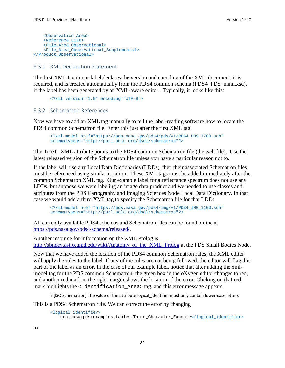```
 <Observation_Area>
     <Reference_List>
     <File_Area_Observational>
     <File_Area_Observational_Supplemental>
</Product_Observational>
```
#### E.3.1 XML Declaration Statement

The first XML tag in our label declares the version and encoding of the XML document; it is required, and is created automatically from the PDS4 common schema (PDS4\_PDS\_nnnn.xsd), if the label has been generated by an XML-aware editor. Typically, it looks like this:

```
<?xml version="1.0" encoding="UTF-8">
```
#### E.3.2 Schematron References

Now we have to add an XML tag manually to tell the label-reading software how to locate the PDS4 common Schematron file. Enter this just after the first XML tag.

<?xml-model href="https://pds.nasa.gov/pds4/pds/v1/PDS4\_PDS\_1700.sch" schematypens="http://purl.oclc.org/dsdl/schematron"?>

The href XML attribute points to the PDS4 common Schematron file (the **.sch** file). Use the latest released version of the Schematron file unless you have a particular reason not to.

If the label will use any Local Data Dictionaries (LDDs), then their associated Schematron files must be referenced using similar notation. These XML tags must be added immediately after the common Schematron XML tag. Our example label for a reflectance spectrum does not use any LDDs, but suppose we were labeling an image data product and we needed to use classes and attributes from the PDS Cartography and Imaging Sciences Node Local Data Dictionary. In that case we would add a third XML tag to specify the Schematron file for that LDD:

```
<?xml-model href="https://pds.nasa.gov/pds4/img/v1/PDS4_IMG_1100.sch"
schematypens="http://purl.oclc.org/dsdl/schematron"?>
```
All currently available PDS4 schemas and Schematron files can be found online at [https://pds.nasa.gov/pds4/schema/released/.](https://pds.nasa.gov/pds4/schema/released/)

Another resource for information on the XML Prolog is [http://sbndev.astro.umd.edu/wiki/Anatomy\\_of\\_the\\_XML\\_Prolog](http://sbndev.astro.umd.edu/wiki/Anatomy_of_the_XML_Prolog) at the PDS Small Bodies Node.

Now that we have added the location of the PDS4 common Schematron rules, the XML editor will apply the rules to the label. If any of the rules are not being followed, the editor will flag this part of the label as an error. In the case of our example label, notice that after adding the xmlmodel tag for the PDS common Schematron, the green box in the oXygen editor changes to red, and another red mark in the right margin shows the location of the error. Clicking on that red mark highlights the  $\leq$ Identification Area> tag, and this error message appears.

E [ISO Schematron] The value of the attribute logical identifier must only contain lower-case letters

This is a PDS4 Schematron rule. We can correct the error by changing

```
<logical_identifier>
    urn:nasa:pds:examples:tables:Table_Character_Example</logical_identifier>
```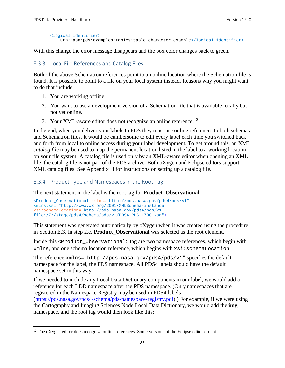```
<logical_identifier>
    urn:nasa:pds:examples:tables:table_character_example</logical_identifier>
```
With this change the error message disappears and the box color changes back to green.

#### E.3.3 Local File References and Catalog Files

Both of the above Schematron references point to an online location where the Schematron file is found. It is possible to point to a file on your local system instead. Reasons why you might want to do that include:

- 1. You are working offline.
- 2. You want to use a development version of a Schematron file that is available locally but not yet online.
- 3. Your XML-aware editor does not recognize an online reference.<sup>[12](#page-89-0)</sup>

In the end, when you deliver your labels to PDS they must use online references to both schemas and Schematron files. It would be cumbersome to edit every label each time you switched back and forth from local to online access during your label development. To get around this, an XML *catalog file* may be used to map the permanent location listed in the label to a working location on your file system. A catalog file is used only by an XML-aware editor when opening an XML file; the catalog file is not part of the PDS archive. Both oXygen and Eclipse editors support XML catalog files. See Appendix H for instructions on setting up a catalog file.

#### E.3.4 Product Type and Namespaces in the Root Tag

The next statement in the label is the root tag for **Product\_Observational**.

```
<Product_Observational xmlns="http://pds.nasa.gov/pds4/pds/v1"
xmlns:xsi="http://www.w3.org/2001/XMLSchema-instance"
xsi:schemaLocation="http://pds.nasa.gov/pds4/pds/v1 
file:/Z:/stage/pds4/schema/pds/v1/PDS4_PDS_1700.xsd">
```
This statement was generated automatically by oXygen when it was created using the procedure in Section E.3. In step 2.e, **Product\_Observational** was selected as the root element.

Inside this <Product\_Observational> tag are two namespace references, which begin with xmlns, and one schema location reference, which begins with xsi:schemaLocation.

The reference xmlns="http://pds.nasa.gov/pds4/pds/v1" specifies the default namespace for the label, the PDS namespace. All PDS4 labels should have the default namespace set in this way.

If we needed to include any Local Data Dictionary components in our label, we would add a reference for each LDD namespace after the PDS namespace. (Only namespaces that are registered in the Namespace Registry may be used in PDS4 labels [\(https://pds.nasa.gov/pds4/schema/pds-namespace-registry.pdf\)](https://pds.nasa.gov/pds4/schema/pds-namespace-registry.pdf).) For example, if we were using the Cartography and Imaging Sciences Node Local Data Dictionary, we would add the **img** namespace, and the root tag would then look like this:

<span id="page-89-0"></span><sup>&</sup>lt;sup>12</sup> The oXygen editor does recognize online references. Some versions of the Eclipse editor do not.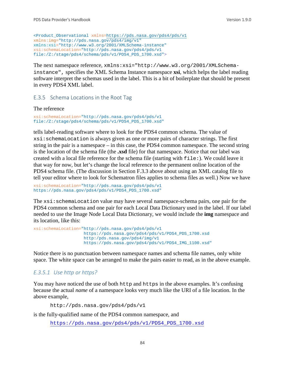```
<Product_Observational xmlns=https://pds.nasa.gov/pds4/pds/v1
xmlns:img="http://pds.nasa.gov/pds4/img/v1"
xmlns:xsi="http://www.w3.org/2001/XMLSchema-instance"
xsi:schemaLocation="http://pds.nasa.gov/pds4/pds/v1 
file:/Z:/stage/pds4/schema/pds/v1/PDS4_PDS_1700.xsd">
```
The next namespace reference, xmlns:xsi="http://www.w3.org/2001/XMLSchemainstance", specifies the XML Schema Instance namespace **xsi**, which helps the label reading software interpret the schemas used in the label. This is a bit of boilerplate that should be present in every PDS4 XML label.

#### E.3.5 Schema Locations in the Root Tag

The reference

```
xsi:schemaLocation="http://pds.nasa.gov/pds4/pds/v1 
file:/Z:/stage/pds4/schema/pds/v1/PDS4_PDS_1700.xsd"
```
tells label-reading software where to look for the PDS4 common schema. The value of xsi:schemaLocation is always given as one or more pairs of character strings. The first string in the pair is a namespace – in this case, the PDS4 common namespace. The second string is the location of the schema file (the **.xsd** file) for that namespace. Notice that our label was created with a local file reference for the schema file (starting with file:). We could leave it that way for now, but let's change the local reference to the permanent online location of the PDS4 schema file. (The discussion in Section F.3.3 above about using an XML catalog file to tell your editor where to look for Schematron files applies to schema files as well.) Now we have

```
xsi:schemaLocation="http://pds.nasa.gov/pds4/pds/v1 
https://pds.nasa.gov/pds4/pds/v1/PDS4_PDS_1700.xsd"
```
The xsi: schemaLocation value may have several namespace-schema pairs, one pair for the PDS4 common schema and one pair for each Local Data Dictionary used in the label. If our label needed to use the Image Node Local Data Dictionary, we would include the **img** namespace and its location, like this:

```
xsi:schemaLocation="http://pds.nasa.gov/pds4/pds/v1
                     https://pds.nasa.gov/pds4/pds/v1/PDS4_PDS_1700.xsd
                    http:/pds.nasa.gov/pds4/img/v1
                    https://pds.nasa.gov/pds4/pds/v1/PDS4_IMG_1100.xsd"
```
Notice there is no punctuation between namespace names and schema file names, only white space. The white space can be arranged to make the pairs easier to read, as in the above example.

### *E.3.5.1 Use http or https?*

You may have noticed the use of both http and https in the above examples. It's confusing because the actual *name* of a namespace looks very much like the URI of a file location. In the above example,

http://pds.nasa.gov/pds4/pds/v1

is the fully-qualified name of the PDS4 common namespace, and

[https://pds.nasa.gov/pds4/pds/v1/PDS4\\_PDS\\_1700.xsd](https://pds.nasa.gov/pds4/pds/v1/PDS4_PDS_1700.xsd)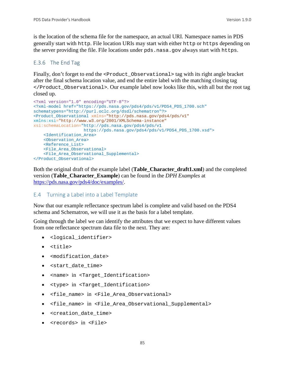is the location of the schema file for the namespace, an actual URI. Namespace names in PDS generally start with http. File location URIs may start with either http or https depending on the server providing the file. File locations under pds.nasa.gov always start with https.

### E.3.6 The End Tag

Finally, don't forget to end the <Product\_Observational> tag with its right angle bracket after the final schema location value, and end the entire label with the matching closing tag </Product\_Observational>. Our example label now looks like this, with all but the root tag closed up.

```
<?xml version="1.0" encoding="UTF-8"?>
<?xml-model href="https://pds.nasa.gov/pds4/pds/v1/PDS4_PDS_1700.sch"
schematypens="http://purl.oclc.org/dsdl/schematron"?>
<Product_Observational xmlns="http://pds.nasa.gov/pds4/pds/v1"
xmlns:xsi="http://www.w3.org/2001/XMLSchema-instance"
xsi:schemaLocation="http://pds.nasa.gov/pds4/pds/v1
                    https://pds.nasa.gov/pds4/pds/v1/PDS4_PDS_1700.xsd">
     <Identification_Area>
     <Observation_Area>
     <Reference_List>
     <File_Area_Observational>
     <File_Area_Observational_Supplemental>
</Product_Observational>
```
Both the original draft of the example label (**Table\_Character\_draft1.xml**) and the completed version (**Table\_Character\_Example**) can be found in the *DPH Examples* at [https://pds.nasa.gov/pds4/doc/examples/.](https://pds.nasa.gov/pds4/doc/examples/)

#### E.4 Turning a Label into a Label Template

Now that our example reflectance spectrum label is complete and valid based on the PDS4 schema and Schematron, we will use it as the basis for a label template.

Going through the label we can identify the attributes that we expect to have different values from one reflectance spectrum data file to the next. They are:

- <logical\_identifier>
- <title>
- <modification date>
- <start\_date\_time>
- <name> in <Target Identification>
- <type> in <Target\_Identification>
- <file\_name> in <File\_Area\_Observational>
- <file\_name> in <File\_Area\_Observational\_Supplemental>
- <creation\_date\_time>
- <records> in <File>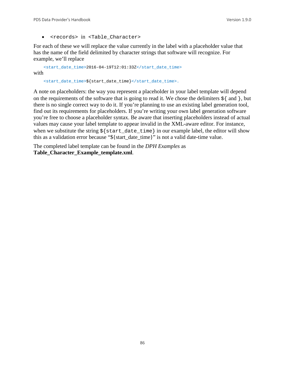• <records> in <Table\_Character>

For each of these we will replace the value currently in the label with a placeholder value that has the name of the field delimited by character strings that software will recognize. For example, we'll replace

```
<start_date_time>2016-04-19T12:01:33Z</start_date_time>
with
```
<start\_date\_time>\${start\_date\_time}</start\_date\_time>.

A note on placeholders: the way you represent a placeholder in your label template will depend on the requirements of the software that is going to read it. We chose the delimiters  $\frac{1}{2}$  and  $\}$ , but there is no single correct way to do it. If you're planning to use an existing label generation tool, find out its requirements for placeholders. If you're writing your own label generation software you're free to choose a placeholder syntax. Be aware that inserting placeholders instead of actual values may cause your label template to appear invalid in the XML-aware editor. For instance, when we substitute the string  $\frac{1}{5}$  start date time in our example label, the editor will show this as a validation error because "\${start\_date\_time}" is not a valid date-time value.

The completed label template can be found in the *DPH Examples* as **Table\_Character\_Example\_template.xml**.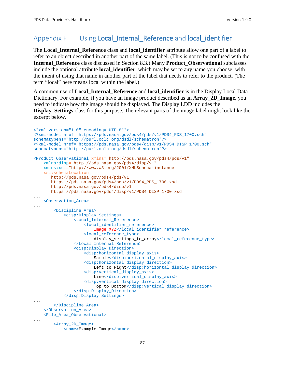## Appendix F Using Local Internal Reference and local identifier

The **Local\_Internal\_Reference** class and **local\_identifier** attribute allow one part of a label to refer to an object described in another part of the same label. (This is not to be confused with the **Internal\_Reference** class discussed in Section 8.3.) Many **Product\_Observational** subclasses include the optional attribute **local\_identifier**, which may be set to any name you choose, with the intent of using that name in another part of the label that needs to refer to the product. (The term "local" here means local within the label.)

A common use of **Local\_Internal\_Reference** and **local\_identifier** is in the Display Local Data Dictionary. For example, if you have an image product described as an **Array\_2D\_Image**, you need to indicate how the image should be displayed. The Display LDD includes the **Display\_Settings** class for this purpose. The relevant parts of the image label might look like the excerpt below.

```
<?xml version="1.0" encoding="UTF-8"?> 
<?xml-model href="https://pds.nasa.gov/pds4/pds/v1/PDS4_PDS_1700.sch" 
schematypens="http://purl.oclc.org/dsdl/schematron"?>
<?xml-model href="https://pds.nasa.gov/pds4/disp/v1/PDS4_DISP_1700.sch" 
schematypens="http://purl.oclc.org/dsdl/schematron"?>
<Product_Observational xmlns="http://pds.nasa.gov/pds4/pds/v1"
     xmlns:disp="http://pds.nasa.gov/pds4/disp/v1"
    xmlns:xsi="http://www.w3.org/2001/XMLSchema-instance"
    xsi:schemaLocation="
       http://pds.nasa.gov/pds4/pds/v1 
       https://pds.nasa.gov/pds4/pds/v1/PDS4_PDS_1700.xsd
        http://pds.nasa.gov/pds4/disp/v1
       https://pds.nasa.gov/pds4/disp/v1/PDS4_DISP_1700.xsd
...
     <Observation_Area>
...
         <Discipline_Area>
             <disp:Display_Settings>
                 <Local_Internal_Reference>
                     <local_identifier_reference>
                         Image_XYZ</local_identifier_reference>
                     <local_reference_type>
                         display_settings_to_array</local_reference_type>
                 </Local_Internal_Reference>
                 <disp:Display_Direction>
                      <disp:horizontal_display_axis>
                          Sample</disp:horizontal_display_axis>
                      <disp:horizontal_display_direction>
                        Left to Right</disp:horizontal_display_direction>
                      <disp:vertical_display_axis>
                         Line</disp:vertical_display_axis>
                     <disp:vertical_display_direction>
                         Top to Bottom</disp:vertical_display_direction>
                 </disp:Display_Direction>
             </disp:Display_Settings>
...
         </Discipline_Area>
    </Observation_Area>
     <File_Area_Observational>
...
         <Array_2D_Image>
             <name>Example Image</name>
```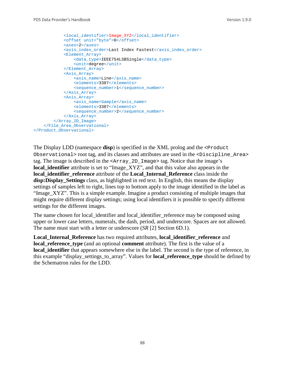```
 <local_identifier>Image_XYZ</local_identifier>
             <offset unit="byte">0</offset>
             <axes>2</axes>
            <axis_index_order>Last Index Fastest</axis_index_order>
             <Element_Array>
                 <data_type>IEEE754LSBSingle</data_type>
                 <unit>degree</unit>
             </Element_Array>
             <Axis_Array>
                 <axis_name>Line</axis_name>
                 <elements>3387</elements>
                 <sequence_number>1</sequence_number>
             </Axis_Array>
             <Axis_Array>
                 <axis_name>Sample</axis_name>
                 <elements>3387</elements>
                 <sequence_number>2</sequence_number>
             </Axis_Array>
         </Array_2D_Image>
     </File_Area_Observational>
</Product_Observational>
```
The Display LDD (namespace **disp**) is specified in the XML prolog and the <Product Observational> root tag, and its classes and attributes are used in the <Discipline\_Area> tag. The image is described in the <Array\_2D\_Image> tag. Notice that the image's **local identifier** attribute is set to "Image XYZ", and that this value also appears in the **local\_identifier\_reference** attribute of the **Local\_Internal\_Reference** class inside the **disp:Display\_Settings** class, as highlighted in red text. In English, this means the display settings of samples left to right, lines top to bottom apply to the image identified in the label as "Image\_XYZ". This is a simple example. Imagine a product consisting of multiple images that might require different display settings; using local identifiers it is possible to specify different settings for the different images.

The name chosen for local\_identifier and local\_identifier\_reference may be composed using upper or lower case letters, numerals, the dash, period, and underscore. Spaces are not allowed. The name must start with a letter or underscore (*SR* [2] Section 6D.1).

**Local\_Internal\_Reference** has two required attributes, **local\_identifier\_reference** and **local reference type** (and an optional **comment** attribute). The first is the value of a **local\_identifier** that appears somewhere else in the label. The second is the type of reference, in this example "display\_settings\_to\_array". Values for **local\_reference\_type** should be defined by the Schematron rules for the LDD.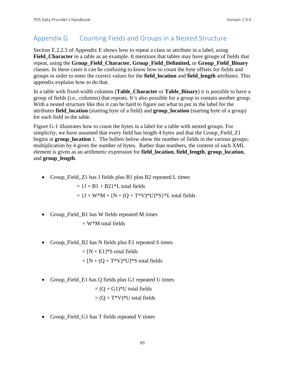## Appendix G Counting Fields and Groups in a Nested Structure

Section E.2.2.5 of Appendix E shows how to repeat a class or attribute in a label, using **Field\_Character** in a table as an example. It mentions that tables may have groups of fields that repeat, using the **Group\_Field\_Character, Group\_Field\_Delimited,** or **Group\_Field\_Binary** classes. In these cases it can be confusing to know how to count the byte offsets for fields and groups in order to enter the correct values for the **field\_location** and **field\_length** attributes. This appendix explains how to do that.

In a table with fixed-width columns (**Table\_Character** or **Table\_Binary**) it is possible to have a group of fields (i.e., columns) that repeats. It's also possible for a group to contain another group. With a nested structure like this it can be hard to figure out what to put in the label for the attributes **field\_location** (starting byte of a field) and **group\_location** (starting byte of a group) for each field in the table.

Figure G-1 illustrates how to count the bytes in a label for a table with nested groups. For simplicity, we have assumed that every field has length 4 bytes and that the Group\_Field\_Z1 begins at **group** location 1. The bullets below show the number of fields in the various groups; multiplication by 4 gives the number of bytes. Rather than numbers, the content of each XML element is given as an arithmetic expression for **field\_location**, **field\_length**, **group\_location**, and **group\_length**.

• Group\_Field\_Z1 has J fields plus B1 plus B2 repeated L times

 $= {J + B1 + B2}$ <sup>\*</sup>L total fields

 $= {J + W^*M + [N + (Q + T^*V)^*U]^*S}^*L$  total fields

• Group\_Field\_B1 has W fields repeated M times

 $=$  W<sup>\*</sup>M total fields

• Group\_Field\_B2 has N fields plus E1 repeated S times

 $= [N + E1]$ <sup>\*</sup>S total fields  $=[N + (Q + T^*V)^*U]^*S$  total fields

• Group\_Field\_E1 has Q fields plus G1 repeated U times

 $= (Q + G1)^*U$  total fields

$$
= (Q + T^*V)^*U
$$
 total fields

• Group\_Field\_G1 has T fields repeated V times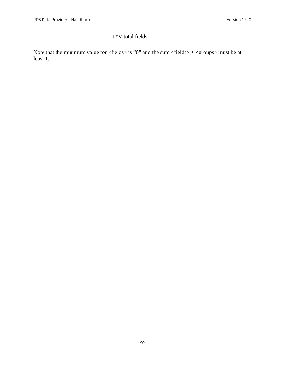## $= T^*V$  total fields

Note that the minimum value for  $\langle$  fields $\rangle$  is "0" and the sum  $\langle$  fields $\rangle$  +  $\langle$  groups $\rangle$  must be at least 1.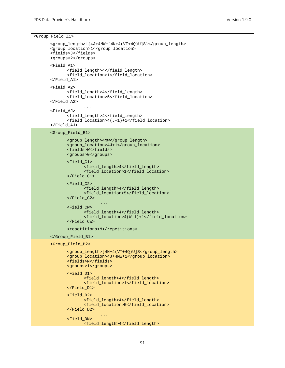<Group\_Field\_Z1>

```
<group_length>L{4J+4MW+[4N+4(VT+4Q)U]S}</group_length>
<group_location>1</group_location>
<fields>J</fields>
<groups>2</groups>
<Field_A1>
       <field_length>4</field_length>
       <field_location>1</field_location>
</Field_A1>
<Field_A2>
       <field_length>4</field_length>
       <field_location>5</field_location>
</Field_A2>
              ...
<Field_AJ>
       <field_length>4</field_length>
       <field_location>4(J-1)+1</field_location>
</Field_AJ>
<Group_Field_B1>
       <group_length>4MW</group_length>
       <group_location>4J+1</group_location>
       <fields>W</fields>
      <groups>0</groups>
      <Field_C1>
             <field_length>4</field_length>
             <field_location>1</field_location>
       </Field_C1>
       <Field_C2>
             <field_length>4</field_length>
             <field_location>5</field_location>
       </Field_C2>
                    ...
       <Field_CW>
             <field_length>4</field_length>
             <field_location>4(W-1)+1</field_location>
       </Field_CW>
       <repetitions>M</repetitions>
</Group_Field_B1>
<Group_Field_B2>
       <group_length>[4N+4(VT+4Q)U]S</group_length>
       <group_location>4J+4MW+1</group_location>
      <fields>N</fields>
      <groups>1</groups>
       <Field_D1>
             <field_length>4</field_length>
             <field_location>1</field_location>
       </Field_D1>
       <Field_D2>
             <field_length>4</field_length>
             <field_location>5</field_location>
      </Field_D2>
                    ...
       <Field_DN>
             <field_length>4</field_length>
```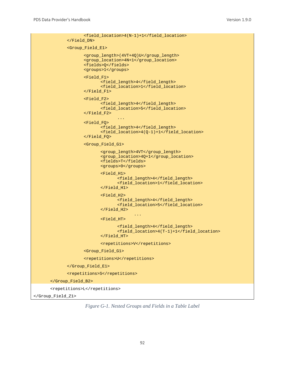```
<field_location>4(N-1)+1</field_location>
             </Field_DN>
             <Group_Field_E1>
                    <group_length>(4VT+4Q)U</group_length>
                    <group_location>4N+1</group_location>
                    <fields>Q</fields>
                    <groups>1</groups>
                    <Field_F1>
                           <field_length>4</field_length>
                           <field_location>1</field_location>
                    </Field_F1>
                    <Field_F2>
                           <field_length>4</field_length>
                           <field_location>5</field_location>
                    </Field_F2>
                                  ...
                    <Field_FQ>
                           <field_length>4</field_length>
                           <field_location>4(Q-1)+1</field_location>
                    </Field_FQ>
                    <Group_Field_G1>
                           <group_length>4VT</group_length>
                           <group_location>4Q+1</group_location>
                           <fields>T</fields>
                           <groups>0</groups>
                           <Field_H1>
                                  <field_length>4</field_length>
                                  <field_location>1</field_location>
                           </Field_H1>
                           <Field_H2>
                                  <field_length>4</field_length>
                                  <field_location>5</field_location>
                           </Field_H2>
                                         ...
                           <Field_HT>
                                  <field_length>4</field_length>
                                  <field_location>4(T-1)+1</field_location>
                           </Field_HT>
                           <repetitions>V</repetitions>
                    <Group_Field_G1>
                    <repetitions>U</repetitions>
             </Group_Field_E1>
             <repetitions>S</repetitions>
      </Group_Field_B2>
      <repetitions>L</repetitions>
</Group_Field_Z1>
```
*Figure G-1. Nested Groups and Fields in a Table Label*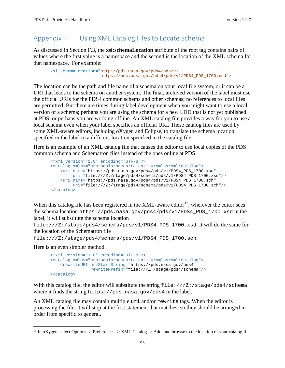## Appendix H Using XML Catalog Files to Locate Schema

As discussed in Section F.3, the **xsi:schemaLocation** attribute of the root tag contains pairs of values where the first value is a namespace and the second is the location of the XML schema for that namespace. For example:

```
xsi:schemaLocation="http://pds.nasa.gov/pds4/pds/v1 
                     https://pds.nasa.gov/pds4/pds/v1/PDS4_PDS_1700.xsd">
```
The location can be the path and file name of a schema on your local file system, or it can be a URI that leads to the schema on another system. The final, archived version of the label must use the official URIs for the PDS4 common schema and other schemas; no references to local files are permitted. But there are times during label development when you might want to use a local version of a schema; perhaps you are using the schema for a new LDD that is not yet published at PDS, or perhaps you are working offline. An XML catalog file provides a way for you to use a local schema even when your label specifies an official URI. These catalog files are used by some XML-aware editors, including oXygen and Eclipse, to translate the schema location specified in the label to a different location specified in the catalog file.

Here is an example of an XML catalog file that causes the editor to use local copies of the PDS common schema and Schematron files instead of the ones online at PDS.

```
<?xml version="1.0" encoding="UTF-8"?>
<catalog xmlns="urn:oasis:names:tc:entity:xmlns:xml:catalog">
    <uri name="https://pds.nasa.gov/pds4/pds/v1/PDS4_PDS_1700.xsd"
         uri="file:///Z:/stage/pds4/schema/pds/v1/PDS4_PDS_1700.xsd"/>
    <uri name="https://pds.nasa.gov/pds4/pds/v1/PDS4_PDS_1700.sch"
         uri="file:///Z:/stage/pds4/schema/pds/v1/PDS4_PDS_1700.sch"/>
</catalog>
```
When this catalog file has been registered in the XML-aware editor<sup>13</sup>, wherever the editor sees the schema location https://pds.nasa.gov/pds4/pds/v1/PDS4\_PDS\_1700.xsd in the label, it will substitute the schema location

file:///Z:/stage/pds4/schema/pds/v1/PDS4\_PDS\_1700.xsd. It will do the same for the location of the Schematron file

```
file:///Z:/stage/pds4/schema/pds/v1/PDS4_PDS_1700.sch.
```
Here is an even simpler method.

```
<?xml version="1.0" encoding="UTF-8"?>
<catalog xmlns="urn:oasis:names:tc:entity:xmlns:xml:catalog">
    <rewriteURI uriStartString="https://pds.nasa.gov/pds4" 
                rewritePrefix="file:///Z:/stage/pds4/schema"/>
</catalog>
```
With this catalog file, the editor will substitute the string file:///Z:/stage/pds4/schema where it finds the string https://pds.nasa.gov/pds4 in the label.

An XML catalog file may contain multiple uri and/or rewrite tags. When the editor is processing the file, it will stop at the first statement that matches, so they should be arranged in order from specific to general.

<span id="page-99-0"></span> $13$  In oXygen, select Options -> Preferences -> XML Catalog -> Add, and browse to the location of your catalog file.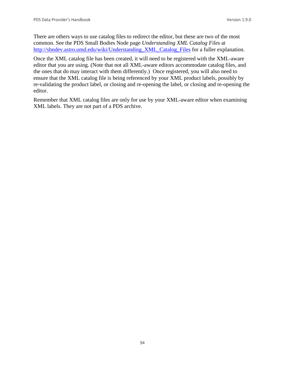There are others ways to use catalog files to redirect the editor, but these are two of the most common. See the PDS Small Bodies Node page *Understanding XML Catalog Files* at [http://sbndev.astro.umd.edu/wiki/Understanding\\_XML\\_Catalog\\_Files](http://sbndev.astro.umd.edu/wiki/Understanding_XML_Catalog_Files) for a fuller explanation.

Once the XML catalog file has been created, it will need to be registered with the XML-aware editor that you are using. (Note that not all XML-aware editors accommodate catalog files, and the ones that do may interact with them differently.) Once registered, you will also need to ensure that the XML catalog file is being referenced by your XML product labels, possibly by re-validating the product label, or closing and re-opening the label, or closing and re-opening the editor.

Remember that XML catalog files are only for use by your XML-aware editor when examining XML labels. They are not part of a PDS archive.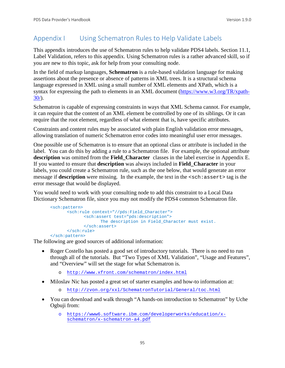## Appendix I Using Schematron Rules to Help Validate Labels

This appendix introduces the use of Schematron rules to help validate PDS4 labels. Section 11.1, Label Validation, refers to this appendix. Using Schematron rules is a rather advanced skill, so if you are new to this topic, ask for help from your consulting node.

In the field of markup languages, **Schematron** is a rule-based validation language for making assertions about the presence or absence of patterns in XML trees. It is a structural schema language expressed in XML using a small number of XML elements and XPath, which is a syntax for expressing the path to elements in an XML document [\(https://www.w3.org/TR/xpath-](https://www.w3.org/TR/xpath-30/) $30/$ ).

Schematron is capable of expressing constraints in ways that XML Schema cannot. For example, it can require that the content of an XML element be controlled by one of its siblings. Or it can require that the root element, regardless of what element that is, have specific attributes.

Constraints and content rules may be associated with plain English validation error messages, allowing translation of numeric Schematron error codes into meaningful user error messages.

One possible use of Schematron is to ensure that an optional class or attribute is included in the label. You can do this by adding a rule to a Schematron file. For example, the optional attribute **description** was omitted from the **Field\_Character** classes in the label exercise in Appendix E. If you wanted to ensure that **description** was always included in **Field\_Character** in your labels, you could create a Schematron rule, such as the one below, that would generate an error message if **description** were missing. In the example, the text in the  $\leq$ sch: assert> tag is the error message that would be displayed.

You would need to work with your consulting node to add this constraint to a Local Data Dictionary Schematron file, since you may not modify the PDS4 common Schematron file.

```
<sch:pattern>
      <sch:rule context="//pds:Field_Character">
             <sch:assert test="pds:description">
                   The description in Field_Character must exist.
             </sch:assert>
      </sch:rule>
</sch:pattern>
```
The following are good sources of additional information:

- Roger Costello has posted a good set of introductory tutorials. There is no need to run through all of the tutorials. But "Two Types of XML Validation", "Usage and Features", and "Overview" will set the stage for what Schematron is.
	- o <http://www.xfront.com/schematron/index.html>
- Miloslav Nic has posted a great set of starter examples and how-to information at:
	- o <http://zvon.org/xxl/SchematronTutorial/General/toc.html>
- You can download and walk through "A hands-on introduction to Schematron" by Uche Ogbuji from:
	- o [https://www6.software.ibm.com/developerworks/education/x](https://www6.software.ibm.com/developerworks/education/x-schematron/x-schematron-a4.pdf)[schematron/x-schematron-a4.pdf](https://www6.software.ibm.com/developerworks/education/x-schematron/x-schematron-a4.pdf)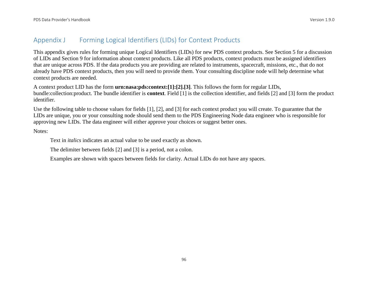## Appendix J Forming Logical Identifiers (LIDs) for Context Products

This appendix gives rules for forming unique Logical Identifiers (LIDs) for new PDS context products. See Section 5 for a discussion of LIDs and Section 9 for information about context products. Like all PDS products, context products must be assigned identifiers that are unique across PDS. If the data products you are providing are related to instruments, spacecraft, missions, etc., that do not already have PDS context products, then you will need to provide them. Your consulting discipline node will help determine what context products are needed.

A context product LID has the form **urn:nasa:pds:context:[1]:[2].[3]**. This follows the form for regular LIDs, bundle:collection:product. The bundle identifier is **context**. Field [1] is the collection identifier, and fields [2] and [3] form the product identifier.

Use the following table to choose values for fields [1], [2], and [3] for each context product you will create. To guarantee that the LIDs are unique, you or your consulting node should send them to the PDS Engineering Node data engineer who is responsible for approving new LIDs. The data engineer will either approve your choices or suggest better ones.

Notes:

Text in *italics* indicates an actual value to be used exactly as shown.

The delimiter between fields [2] and [3] is a period, not a colon.

Examples are shown with spaces between fields for clarity. Actual LIDs do not have any spaces.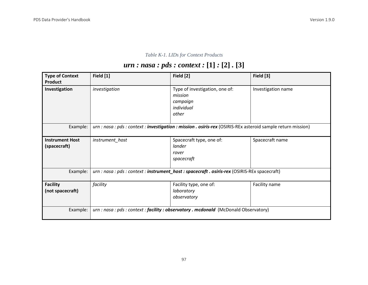## *Table K-1. LIDs for Context Products*

# *urn : nasa : pds : context :* **[1]** *:* **[2]** *.* **[3]**

| <b>Type of Context</b><br><b>Product</b> | Field [1]                                                                                                     | Field [2]                                                                        | Field [3]          |
|------------------------------------------|---------------------------------------------------------------------------------------------------------------|----------------------------------------------------------------------------------|--------------------|
| Investigation                            | investigation                                                                                                 | Type of investigation, one of:<br>mission<br>campaign<br>individual<br>other     | Investigation name |
| Example:                                 | urn : nasa : pds : context : investigation : mission . osiris-rex (OSIRIS-REx asteroid sample return mission) |                                                                                  |                    |
| <b>Instrument Host</b><br>(spacecraft)   | instrument_host                                                                                               | Spacecraft type, one of:<br>lander<br>rover<br>spacecraft                        | Spacecraft name    |
| Example:                                 | urn : nasa : pds : context : instrument_host : spacecraft . osiris-rex (OSIRIS-REx spacecraft)                |                                                                                  |                    |
| <b>Facility</b><br>(not spacecraft)      | facility                                                                                                      | Facility type, one of:<br>laboratory<br>observatory                              | Facility name      |
| Example:                                 |                                                                                                               | urn: nasa: pds: context: facility: observatory . mcdonald (McDonald Observatory) |                    |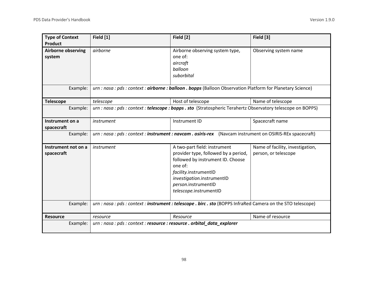| <b>Type of Context</b><br>Product               | Field [1]                                                                                                     | Field [2]                                                                                                                                                                                                                    | Field [3]                                                |
|-------------------------------------------------|---------------------------------------------------------------------------------------------------------------|------------------------------------------------------------------------------------------------------------------------------------------------------------------------------------------------------------------------------|----------------------------------------------------------|
| <b>Airborne observing</b><br>system<br>Example: | airborne                                                                                                      | Airborne observing system type,<br>one of:<br>aircraft<br>balloon<br>suborbital<br>urn : nasa : pds : context : airborne : balloon . bopps (Balloon Observation Platform for Planetary Science)                              | Observing system name                                    |
|                                                 |                                                                                                               |                                                                                                                                                                                                                              |                                                          |
| <b>Telescope</b>                                | telescope                                                                                                     | Host of telescope                                                                                                                                                                                                            | Name of telescope                                        |
| Example:                                        | urn : nasa : pds : context : telescope : bopps . sto (Stratospheric Terahertz Observatory telescope on BOPPS) |                                                                                                                                                                                                                              |                                                          |
| Instrument on a<br>spacecraft                   | instrument                                                                                                    | Instrument ID                                                                                                                                                                                                                | Spacecraft name                                          |
| Example:                                        | urn : nasa : pds : context : instrument : navcam . osiris-rex (Navcam instrument on OSIRIS-REx spacecraft)    |                                                                                                                                                                                                                              |                                                          |
| Instrument not on a<br>spacecraft               | instrument                                                                                                    | A two-part field: instrument<br>provider type, followed by a period,<br>followed by instrument ID. Choose<br>one of:<br>facility.instrumentID<br>investigation.instrumentID<br>person.instrumentID<br>telescope.instrumentID | Name of facility, investigation,<br>person, or telescope |
| Example:                                        | urn : nasa : pds : context : instrument : telescope . birc . sto (BOPPS InfraRed Camera on the STO telescope) |                                                                                                                                                                                                                              |                                                          |
| <b>Resource</b>                                 | resource                                                                                                      | Resource                                                                                                                                                                                                                     | Name of resource                                         |
| Example:                                        | urn : nasa : pds : context : resource : resource . orbital_data_explorer                                      |                                                                                                                                                                                                                              |                                                          |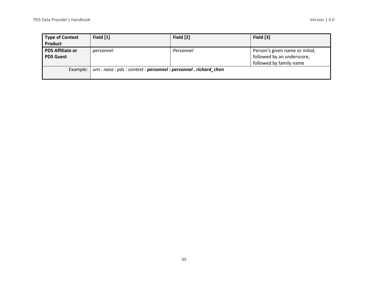| <b>Type of Context</b><br>Product           | Field [1]                                                         | Field [2] | Field [3]                                                                                |
|---------------------------------------------|-------------------------------------------------------------------|-----------|------------------------------------------------------------------------------------------|
| <b>PDS Affiliate or</b><br><b>PDS Guest</b> | personnel                                                         | Personnel | Person's given name or initial,<br>followed by an underscore,<br>followed by family name |
| Example:                                    | urn : nasa : pds : context : personnel : personnel . richard_chen |           |                                                                                          |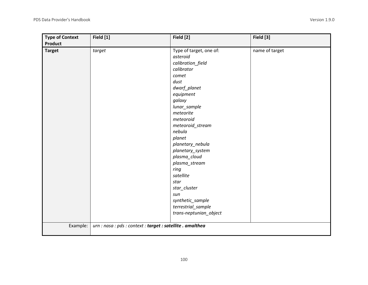| <b>Type of Context</b><br><b>Product</b> | Field [1]                                                  | Field [2]                                                                                                                                                                                                                                                                                                                                                                                                         | Field [3]      |
|------------------------------------------|------------------------------------------------------------|-------------------------------------------------------------------------------------------------------------------------------------------------------------------------------------------------------------------------------------------------------------------------------------------------------------------------------------------------------------------------------------------------------------------|----------------|
| <b>Target</b>                            | target                                                     | Type of target, one of:<br>asteroid<br>calibration_field<br>calibrator<br>comet<br>dust<br>dwarf_planet<br>equipment<br>galaxy<br>lunar_sample<br>meteorite<br>meteoroid<br>meteoroid_stream<br>nebula<br>planet<br>planetary_nebula<br>planetary_system<br>plasma_cloud<br>plasma_stream<br>ring<br>satellite<br>star<br>star_cluster<br>sun<br>synthetic_sample<br>terrestrial_sample<br>trans-neptunian_object | name of target |
| Example:                                 | urn : nasa : pds : context : target : satellite . amalthea |                                                                                                                                                                                                                                                                                                                                                                                                                   |                |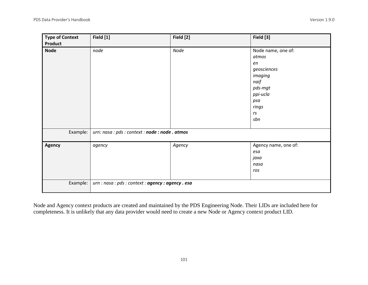| <b>Type of Context</b><br>Product | Field [1]                                          | Field [2] | Field [3]                                                                                                               |
|-----------------------------------|----------------------------------------------------|-----------|-------------------------------------------------------------------------------------------------------------------------|
| <b>Node</b>                       | node                                               | Node      | Node name, one of:<br>atmos<br>en<br>geosciences<br>imaging<br>naif<br>pds-mgt<br>ppi-ucla<br>psa<br>rings<br>rs<br>sbn |
| Example:                          | urn: nasa : pds : context : node : node . atmos    |           |                                                                                                                         |
| Agency                            | agency                                             | Agency    | Agency name, one of:<br>esa<br>jaxa<br>nasa<br>ros                                                                      |
| Example:                          | urn : nasa : pds : context : agency : agency . esa |           |                                                                                                                         |

Node and Agency context products are created and maintained by the PDS Engineering Node. Their LIDs are included here for completeness. It is unlikely that any data provider would need to create a new Node or Agency context product LID.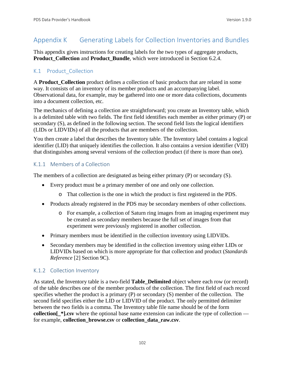## Appendix K Generating Labels for Collection Inventories and Bundles

This appendix gives instructions for creating labels for the two types of aggregate products, **Product Collection** and **Product Bundle**, which were introduced in Section 6.2.4.

## K.1 Product Collection

A **Product Collection** product defines a collection of basic products that are related in some way. It consists of an inventory of its member products and an accompanying label. Observational data, for example, may be gathered into one or more data collections, documents into a document collection, etc.

The mechanics of defining a collection are straightforward; you create an Inventory table, which is a delimited table with two fields. The first field identifies each member as either primary (P) or secondary (S), as defined in the following section. The second field lists the logical identifiers (LIDs or LIDVIDs) of all the products that are members of the collection.

You then create a label that describes the Inventory table. The Inventory label contains a logical identifier (LID) that uniquely identifies the collection. It also contains a version identifier (VID) that distinguishes among several versions of the collection product (if there is more than one).

## K.1.1 Members of a Collection

The members of a collection are designated as being either primary (P) or secondary (S).

- Every product must be a primary member of one and only one collection.
	- o That collection is the one in which the product is first registered in the PDS.
- Products already registered in the PDS may be secondary members of other collections.
	- o For example, a collection of Saturn ring images from an imaging experiment may be created as secondary members because the full set of images from that experiment were previously registered in another collection.
- Primary members must be identified in the collection inventory using LIDVIDs.
- Secondary members may be identified in the collection inventory using either LIDs or LIDVIDs based on which is more appropriate for that collection and product (*Standards Reference* [2] Section 9C).

## K.1.2 Collection Inventory

As stated, the Inventory table is a two-field **Table\_Delimited** object where each row (or record) of the table describes one of the member products of the collection. The first field of each record specifies whether the product is a primary (P) or secondary (S) member of the collection. The second field specifies either the LID or LIDVID of the product. The only permitted delimiter between the two fields is a comma. The Inventory table file name should be of the form **collection[\_\*].csv** where the optional base name extension can indicate the type of collection for example, **collection\_browse.csv** or **collection\_data\_raw.csv**.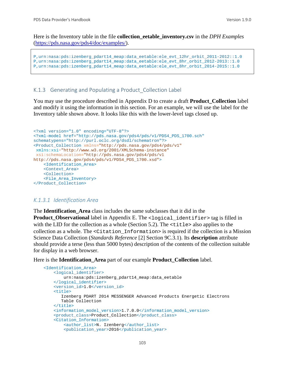Here is the Inventory table in the file **collection\_eetable\_inventory.csv** in the *DPH Examples*  [\(https://pds.nasa.gov/pds4/doc/examples/\)](https://pds.nasa.gov/pds4/doc/examples/).

```
P,urn:nasa:pds:izenberg_pdart14_meap:data_eetable:ele_evt_12hr_orbit_2011-2012::1.0
P,urn:nasa:pds:izenberg_pdart14_meap:data_eetable:ele_evt_8hr_orbit_2012-2013::1.0
P,urn:nasa:pds:izenberg_pdart14_meap:data_eetable:ele_evt_8hr_orbit_2014-2015::1.0
```
#### K.1.3 Generating and Populating a Product Collection Label

You may use the procedure described in Appendix D to create a draft **Product\_Collection** label and modify it using the information in this section. For an example, we will use the label for the Inventory table shown above. It looks like this with the lower-level tags closed up.

```
<?xml version="1.0" encoding="UTF-8"?>
<?xml-model href="http://pds.nasa.gov/pds4/pds/v1/PDS4_PDS_1700.sch" 
schematypens="http://purl.oclc.org/dsdl/schematron"?>
<Product_Collection xmlns="http://pds.nasa.gov/pds4/pds/v1"
xmlns:xsi="http://www.w3.org/2001/XMLSchema-instance"
xsi:schemaLocation="http://pds.nasa.gov/pds4/pds/v1 
http://pds.nasa.gov/pds4/pds/v1/PDS4_PDS_1700.xsd">
     <Identification_Area>
     <Context_Area>
     <Collection>
     <File_Area_Inventory>
</Product_Collection>
```
## *K.1.3.1 Identification Area*

The **Identification\_Area** class includes the same subclasses that it did in the **Product Observational** label in Appendix E. The <logical identifier> tag is filled in with the LID for the collection as a whole (Section 5.2). The  $\lt$ title also applies to the collection as a whole. The <Citation\_Information> is required if the collection is a Mission Science Data Collection (*Standards Reference* [2] Section 9C.3.1). Its **description** attribute should provide a terse (less than 5000 bytes) description of the contents of the collection suitable for display in a web browser.

Here is the **Identification\_Area** part of our example **Product\_Collection** label.

```
 <Identification_Area>
     <logical_identifier>
         urn:nasa:pds:izenberg_pdart14_meap:data_eetable
     </logical_identifier>
     <version_id>1.0</version_id>
     <title>
        Izenberg PDART 2014 MESSENGER Advanced Products Energetic Electrons 
        Table Collection
    \langletitle>
    <information_model_version>1.7.0.0</information_model_version>
     <product_class>Product_Collection</product_class>
     <Citation_Information>
         <author_list>N. Izenberg</author_list>
         <publication_year>2016</publication_year>
```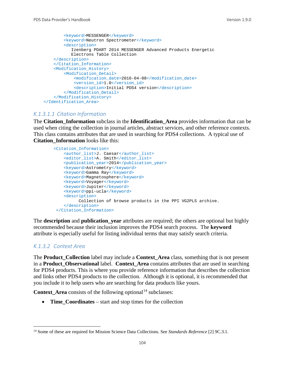```
<keyword>MESSENGER</keyword>
         <keyword>Neutron Spectrometer</keyword>
         <description>
            Izenberg PDART 2014 MESSENGER Advanced Products Energetic 
            Electrons Table Collection
    </description>
     </Citation_Information>
     <Modification_History>
         <Modification_Detail>
             <modification_date>2016-04-08</modification_date>
             <version_id>1.0</version_id>
             <description>Initial PDS4 version</description>
         </Modification_Detail>
     </Modification_History>
 </Identification_Area>
```
#### *K.1.3.1.1 Citation Information*

The **Citation\_Information** subclass in the **Identification\_Area** provides information that can be used when citing the collection in journal articles, abstract services, and other reference contexts. This class contains attributes that are used in searching for PDS4 collections. A typical use of **Citation\_Information** looks like this:

```
 <Citation_Information>
    <author_list>J. Caesar</author_list>
    <editor_list>A. Smith</editor_list>
    <publication_year>2014</publication_year>
    <keyword>Astrometry</keyword>
    <keyword>Gamma Ray</keyword>
   <keyword>Magnetosphere</keyword>
   <keyword>Voyager</keyword>
   <keyword>Jupiter</keyword>
   <keyword>ppi-ucla</keyword>
    <description>
          Collection of browse products in the PPI VG2PLS archive.
    </description>
 </Citation_Information>
```
The **description** and **publication** vear attributes are required; the others are optional but highly recommended because their inclusion improves the PDS4 search process. The **keyword** attribute is especially useful for listing individual terms that may satisfy search criteria.

#### *K.1.3.2 Context Area*

The **Product\_Collection** label may include a **Context\_Area** class, something that is not present in a **Product\_Observational** label. **Context\_Area** contains attributes that are used in searching for PDS4 products. This is where you provide reference information that describes the collection and links other PDS4 products to the collection. Although it is optional, it is recommended that you include it to help users who are searching for data products like yours.

**Context\_Area** consists of the following optional<sup>[14](#page-110-0)</sup> subclasses:

• **Time Coordinates** – start and stop times for the collection

<span id="page-110-0"></span> <sup>14</sup> Some of these are required for Mission Science Data Collections. See *Standards Reference* [2] 9C.3.1.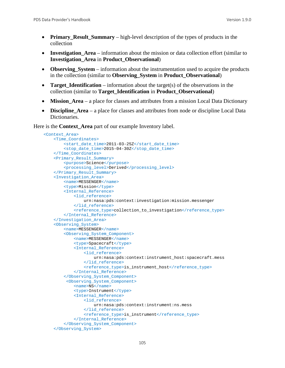- **Primary\_Result\_Summary** high-level description of the types of products in the collection
- **Investigation Area** information about the mission or data collection effort (similar to **Investigation\_Area** in **Product\_Observational**)
- **Observing\_System** information about the instrumentation used to acquire the products in the collection (similar to **Observing\_System** in **Product\_Observational**)
- **Target Identification** information about the target(s) of the observations in the collection (similar to **Target\_Identification** in **Product\_Observational**)
- **Mission\_Area** a place for classes and attributes from a mission Local Data Dictionary
- **Discipline Area** a place for classes and attributes from node or discipline Local Data Dictionaries.

Here is the **Context\_Area** part of our example Inventory label.

```
 <Context_Area>
    <Time_Coordinates>
         <start_date_time>2011-03-25Z</start_date_time>
         <stop_date_time>2015-04-30Z</stop_date_time>
     </Time_Coordinates>
     <Primary_Result_Summary>
         <purpose>Science</purpose>
         <processing_level>Derived</processing_level>
     </Primary_Result_Summary>
     <Investigation_Area>
         <name>MESSENGER</name>
         <type>Mission</type>
         <Internal_Reference>
             <lid_reference>
                 urn:nasa:pds:context:investigation:mission.messenger
             </lid_reference>
             <reference_type>collection_to_investigation</reference_type>
         </Internal_Reference>
     </Investigation_Area>
     <Observing_System>
         <name>MESSENGER</name>
         <Observing_System_Component>
             <name>MESSENGER</name>
             <type>Spacecraft</type>
             <Internal_Reference>
                 <lid_reference>
                     urn:nasa:pds:context:instrument_host:spacecraft.mess
                 </lid_reference>
                <reference_type>is_instrument_host</reference_type>
             </Internal_Reference>
         </Observing_System_Component>
          <Observing_System_Component>
             <name>NS</name>
             <type>Instrument</type>
             <Internal_Reference>
                 <lid_reference>
                     urn:nasa:pds:context:instrument:ns.mess
                 </lid_reference>
                 <reference_type>is_instrument</reference_type>
             </Internal_Reference>
         </Observing_System_Component>
     </Observing_System>
```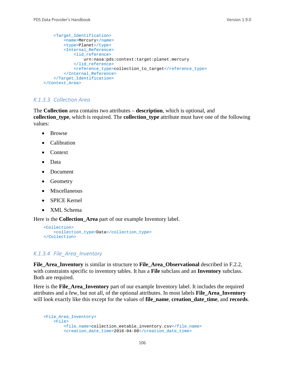```
 <Target_Identification>
         <name>Mercury</name>
         <type>Planet</type>
         <Internal_Reference>
             <lid_reference>
                 urn:nasa:pds:context:target:planet.mercury
             </lid_reference>
             <reference_type>collection_to_target</reference_type>
         </Internal_Reference>
     </Target_Identification>
 </Context_Area>
```
#### *K.1.3.3 Collection Area*

The **Collection** area contains two attributes – **description**, which is optional, and **collection\_type**, which is required. The **collection\_type** attribute must have one of the following values:

- Browse
- Calibration
- Context
- Data
- Document
- Geometry
- Miscellaneous
- SPICE Kernel
- XML Schema

Here is the **Collection\_Area** part of our example Inventory label.

```
 <Collection>
    <collection_type>Data</collection_type>
 </Collection>
```
#### *K.1.3.4 File\_Area\_Inventory*

**File\_Area\_Inventory** is similar in structure to **File\_Area\_Observational** described in F.2.2, with constraints specific to inventory tables. It has a **File** subclass and an **Inventory** subclass. Both are required.

Here is the **File\_Area\_Inventory** part of our example Inventory label. It includes the required attributes and a few, but not all, of the optional attributes. In most labels **File\_Area\_Inventory** will look exactly like this except for the values of **file\_name**, **creation\_date\_time**, and **records**.

```
 <File_Area_Inventory>
    <sub>Fi1e</sub></sub>
          <file_name>collection_eetable_inventory.csv</file_name>
          <creation_date_time>2016-04-08</creation_date_time>
```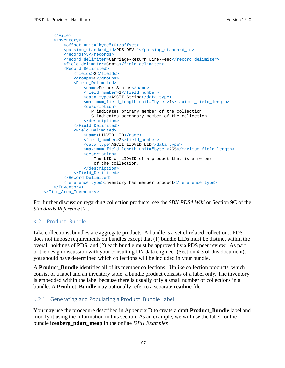```
 </File>
     <Inventory>
        <offset unit="byte">0</offset>
        <parsing_standard_id>PDS DSV 1</parsing_standard_id>
        <records>3</records>
        <record_delimiter>Carriage-Return Line-Feed</record_delimiter>
         <field_delimiter>Comma</field_delimiter>
         <Record_Delimited>
             <fields>2</fields>
             <groups>0</groups>
             <Field_Delimited>
                 <name>Member Status</name>
                <field_number>1</field_number>
                <data_type>ASCII_String</data_type>
                 <maximum_field_length unit="byte">1</maximum_field_length>
                <description>
                    P indicates primary member of the collection
                   S indicates secondary member of the collection
                 </description>
             </Field_Delimited>
             <Field_Delimited>
                 <name>LIDVID_LID</name>
                <field_number>2</field_number>
                <data_type>ASCII_LIDVID_LID</data_type>
                 <maximum_field_length unit="byte">255</maximum_field_length>
                <description>
                     The LID or LIDVID of a product that is a member
                    of the collection.
                 </description> 
             </Field_Delimited>
         </Record_Delimited>
         <reference_type>inventory_has_member_product</reference_type>
    </Inventory>
 </File_Area_Inventory>
```
For further discussion regarding collection products, see the *SBN PDS4 Wiki* or Section 9C of the *Standards Reference* [2].

#### K.2 Product\_Bundle

Like collections, bundles are aggregate products. A bundle is a set of related collections. PDS does not impose requirements on bundles except that (1) bundle LIDs must be distinct within the overall holdings of PDS, and (2) each bundle must be approved by a PDS peer review. As part of the design discussion with your consulting DN data engineer (Section 4.3 of this document), you should have determined which collections will be included in your bundle.

A **Product\_Bundle** identifies all of its member collections. Unlike collection products, which consist of a label and an inventory table, a bundle product consists of a label only. The inventory is embedded within the label because there is usually only a small number of collections in a bundle. A **Product\_Bundle** may optionally refer to a separate **readme** file.

#### K.2.1 Generating and Populating a Product Bundle Label

You may use the procedure described in Appendix D to create a draft **Product\_Bundle** label and modify it using the information in this section. As an example, we will use the label for the bundle **izenberg\_pdart\_meap** in the online *DPH Examples*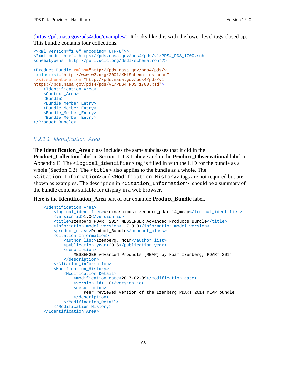[\(https://pds.nasa.gov/pds4/doc/examples/\)](https://pds.nasa.gov/pds4/doc/examples/). It looks like this with the lower-level tags closed up. This bundle contains four collections.

```
<?xml version="1.0" encoding="UTF-8"?>
<?xml-model href="https://pds.nasa.gov/pds4/pds/v1/PDS4_PDS_1700.sch" 
schematypens="http://purl.oclc.org/dsdl/schematron"?>
<Product_Bundle xmlns="http://pds.nasa.gov/pds4/pds/v1"
xmlns:xsi="http://www.w3.org/2001/XMLSchema-instance"
xsi:schemaLocation="http://pds.nasa.gov/pds4/pds/v1 
https://pds.nasa.gov/pds4/pds/v1/PDS4_PDS_1700.xsd">
     <Identification_Area>
     <Context_Area>
     <Bundle>
     <Bundle_Member_Entry>
     <Bundle_Member_Entry>
     <Bundle_Member_Entry>
     <Bundle_Member_Entry>
</Product_Bundle>
```
#### *K.2.1.1 Identification\_Area*

The **Identification\_Area** class includes the same subclasses that it did in the **Product** Collection label in Section L.1.3.1 above and in the **Product** Observational label in Appendix E. The <logical\_identifier> tag is filled in with the LID for the bundle as a whole (Section 5.2). The <title> also applies to the bundle as a whole. The <Citation\_Information> and <Modification\_History> tags are not required but are shown as examples. The description in <Citation\_Information> should be a summary of the bundle contents suitable for display in a web browser.

Here is the **Identification\_Area** part of our example **Product\_Bundle** label.

```
 <Identification_Area>
    <logical_identifier>urn:nasa:pds:izenberg_pdart14_meap</logical_identifier>
     <version_id>1.0</version_id>
     <title>Izenberg PDART 2014 MESSENGER Advanced Products Bundle</title>
    <information_model_version>1.7.0.0</information_model_version>
     <product_class>Product_Bundle</product_class>
     <Citation_Information>
         <author_list>Izenberg, Noam</author_list>
         <publication_year>2016</publication_year>
         <description>
             MESSENGER Advanced Products (MEAP) by Noam Izenberg, PDART 2014
         </description>
     </Citation_Information>
     <Modification_History>
         <Modification_Detail>
             <modification_date>2017-02-09</modification_date>
             <version_id>1.0</version_id>
             <description>
                 Peer reviewed version of the Izenberg PDART 2014 MEAP bundle
             </description>
         </Modification_Detail>
     </Modification_History>
 </Identification_Area>
```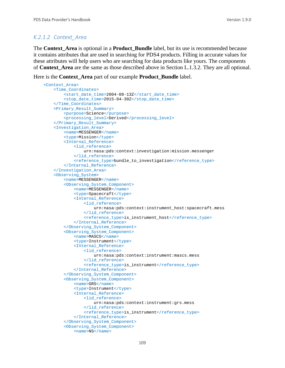## *K.2.1.2 Context\_Area*

The **Context\_Area** is optional in a **Product\_Bundle** label, but its use is recommended because it contains attributes that are used in searching for PDS4 products. Filling in accurate values for these attributes will help users who are searching for data products like yours. The components of **Context\_Area** are the same as those described above in Section L.1.3.2. They are all optional.

Here is the **Context\_Area** part of our example **Product\_Bundle** label.

```
 <Context_Area>
    <Time_Coordinates>
         <start_date_time>2004-08-13Z</start_date_time>
         <stop_date_time>2015-04-30Z</stop_date_time>
     </Time_Coordinates>
     <Primary_Result_Summary>
         <purpose>Science</purpose>
         <processing_level>Derived</processing_level>
     </Primary_Result_Summary>
     <Investigation_Area>
         <name>MESSENGER</name>
         <type>Mission</type>
         <Internal_Reference>
             <lid_reference>
                 urn:nasa:pds:context:investigation:mission.messenger
             </lid_reference>
            <reference_type>bundle_to_investigation</reference_type>
         </Internal_Reference>
     </Investigation_Area>
     <Observing_System>
         <name>MESSENGER</name>
         <Observing_System_Component>
             <name>MESSENGER</name>
             <type>Spacecraft</type>
             <Internal_Reference>
                 <lid_reference>
                     urn:nasa:pds:context:instrument_host:spacecraft.mess
                 </lid_reference>
                <reference_type>is_instrument_host</reference_type>
             </Internal_Reference>
         </Observing_System_Component>
         <Observing_System_Component>
             <name>MASCS</name>
             <type>Instrument</type>
             <Internal_Reference>
                 <lid_reference>
                     urn:nasa:pds:context:instrument:mascs.mess
                 </lid_reference>
                <reference_type>is_instrument</reference_type>
             </Internal_Reference>
         </Observing_System_Component>
         <Observing_System_Component>
             <name>GRS</name>
            <type>Instrument</type>
             <Internal_Reference>
                 <lid_reference>
                     urn:nasa:pds:context:instrument:grs.mess
                 </lid_reference>
                <reference_type>is_instrument</reference_type>
             </Internal_Reference>
         </Observing_System_Component>
         <Observing_System_Component>
             <name>NS</name>
```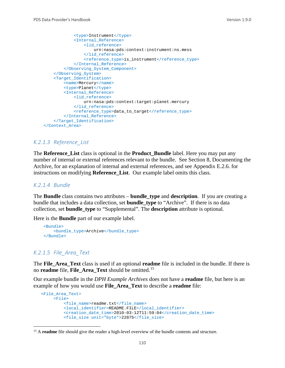```
 <type>Instrument</type>
             <Internal_Reference>
                 <lid_reference>
                     urn:nasa:pds:context:instrument:ns.mess
                 </lid_reference>
                <reference_type>is_instrument</reference_type>
             </Internal_Reference>
         </Observing_System_Component>
     </Observing_System>
     <Target_Identification>
         <name>Mercury</name>
         <type>Planet</type>
         <Internal_Reference>
             <lid_reference>
                 urn:nasa:pds:context:target:planet.mercury
             </lid_reference>
             <reference_type>data_to_target</reference_type>
         </Internal_Reference>
     </Target_Identification>
 </Context_Area>
```
#### *K.2.1.3 Reference\_List*

The **Reference\_List** class is optional in the **Product\_Bundle** label. Here you may put any number of internal or external references relevant to the bundle. See Section 8, Documenting the Archive, for an explanation of internal and external references, and see Appendix E.2.6. for instructions on modifying **Reference\_List**. Our example label omits this class.

#### *K.2.1.4 Bundle*

The **Bundle** class contains two attributes – **bundle\_type** and **description**. If you are creating a bundle that includes a data collection, set **bundle\_type** to "Archive". If there is no data collection, set **bundle\_type** to "Supplemental". The **description** attribute is optional.

Here is the **Bundle** part of our example label.

```
 <Bundle>
     <bundle_type>Archive</bundle_type>
 </Bundle>
```
#### *K.2.1.5 File\_Area\_Text*

The **File\_Area\_Text** class is used if an optional **readme** file is included in the bundle. If there is no **readme** file, **File\_Area\_Text** should be omitted.[15](#page-116-0)

Our example bundle in the *DPH Example Archives* does not have a **readme** file, but here is an example of how you would use **File\_Area\_Text** to describe a **readme** file:

```
 <File_Area_Text>
      <File>
          <file_name>readme.txt</file_name>
          <local_identifier>README.FILE</local_identifier>
          <creation_date_time>2010-03-12T11:59:04</creation_date_time>
          <file_size unit="byte">22875</file_size>
```
<span id="page-116-0"></span><sup>&</sup>lt;sup>15</sup> A **readme** file should give the reader a high-level overview of the bundle contents and structure.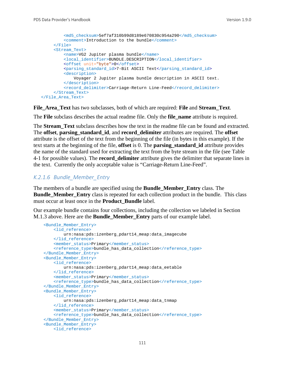```
 <md5_checksum>5ef7af310b99d8189e670830c954a290</md5_checksum>
          <comment>Introduction to the bundle</comment>
      </File>
      <Stream_Text>
          <name>VG2 Jupiter plasma bundle</name>
          <local_identifier>BUNDLE.DESCRIPTION</local_identifier>
          <offset unit="byte">0</offset>
          <parsing_standard_id>7-Bit ASCII Text</parsing_standard_id>
          <description>
              Voyager 2 Jupiter plasma bundle description in ASCII text.
          </description>
          <record_delimiter>Carriage-Return Line-Feed</record_delimiter>
      </Stream_Text> 
 </File_Area_Text>
```
**File\_Area\_Text** has two subclasses, both of which are required: **File** and **Stream\_Text**.

The **File** subclass describes the actual readme file. Only the **file\_name** attribute is required.

The **Stream Text** subclass describes how the text in the readme file can be found and extracted. The **offset**, **parsing\_standard\_id**, and **record\_delimiter** attributes are required. The **offset** attribute is the offset of the text from the beginning of the file (in bytes in this example). If the text starts at the beginning of the file, **offset** is 0. The **parsing\_standard\_id** attribute provides the name of the standard used for extracting the text from the byte stream in the file (see Table 4-1 for possible values). The **record\_delimiter** attribute gives the delimiter that separate lines in the text. Currently the only acceptable value is "Carriage-Return Line-Feed".

#### *K.2.1.6 Bundle\_Member\_Entry*

The members of a bundle are specified using the **Bundle\_Member\_Entry** class. The **Bundle Member Entry** class is repeated for each collection product in the bundle. This class must occur at least once in the **Product\_Bundle** label.

Our example bundle contains four collections, including the collection we labeled in Section M.1.3 above. Here are the **Bundle\_Member\_Entry** parts of our example label.

```
 <Bundle_Member_Entry>
     <lid_reference>
        urn:nasa:pds:izenberg_pdart14_meap:data_imagecube
     </lid_reference>
    <member_status>Primary</member_status>
     <reference_type>bundle_has_data_collection</reference_type>
 </Bundle_Member_Entry>
 <Bundle_Member_Entry>
     <lid_reference>
        urn:nasa:pds:izenberg_pdart14_meap:data_eetable
     </lid_reference>
     <member_status>Primary</member_status>
     <reference_type>bundle_has_data_collection</reference_type>
 </Bundle_Member_Entry>
 <Bundle_Member_Entry>
     <lid_reference>
         urn:nasa:pds:izenberg_pdart14_meap:data_tnmap
     </lid_reference>
    <member_status>Primary</member_status>
    <reference_type>bundle_has_data_collection</reference_type>
 </Bundle_Member_Entry>
 <Bundle_Member_Entry>
     <lid_reference>
```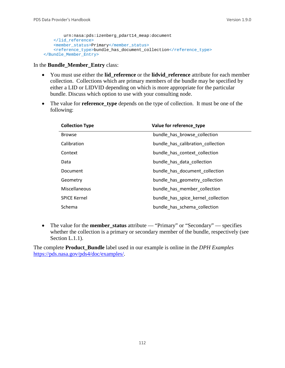```
 urn:nasa:pds:izenberg_pdart14_meap:document
     </lid_reference>
     <member_status>Primary</member_status>
    <reference_type>bundle_has_document_collection</reference_type>
 </Bundle_Member_Entry>
```
In the **Bundle\_Member\_Entry** class:

- You must use either the **lid\_reference** or the **lidvid\_reference** attribute for each member collection. Collections which are primary members of the bundle may be specified by either a LID or LIDVID depending on which is more appropriate for the particular bundle. Discuss which option to use with your consulting node.
- The value for **reference\_type** depends on the type of collection. It must be one of the following:

| <b>Collection Type</b> | Value for reference type           |
|------------------------|------------------------------------|
| <b>Browse</b>          | bundle has browse collection       |
| Calibration            | bundle_has_calibration_collection  |
| Context                | bundle has context collection      |
| Data                   | bundle has data collection         |
| Document               | bundle has document collection     |
| Geometry               | bundle has geometry collection     |
| Miscellaneous          | bundle has member collection       |
| <b>SPICE Kernel</b>    | bundle has spice kernel collection |
| Schema                 | bundle_has_schema_collection       |

• The value for the **member\_status** attribute — "Primary" or "Secondary" — specifies whether the collection is a primary or secondary member of the bundle, respectively (see Section L.1.1).

The complete **Product\_Bundle** label used in our example is online in the *DPH Examples* [https://pds.nasa.gov/pds4/doc/examples/.](https://pds.nasa.gov/pds4/doc/examples/)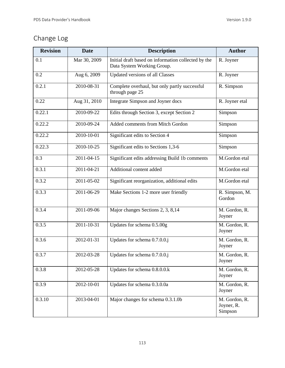# Change Log

| <b>Revision</b> | <b>Date</b>      | <b>Description</b>                                                                | <b>Author</b>                          |
|-----------------|------------------|-----------------------------------------------------------------------------------|----------------------------------------|
| 0.1             | Mar 30, 2009     | Initial draft based on information collected by the<br>Data System Working Group. | R. Joyner                              |
| 0.2             | Aug 6, 2009      | <b>Updated versions of all Classes</b>                                            | R. Joyner                              |
| 0.2.1           | 2010-08-31       | Complete overhaul, but only partly successful<br>through page 25                  | R. Simpson                             |
| 0.22            | Aug 31, 2010     | Integrate Simpson and Joyner docs                                                 | R. Joyner etal                         |
| 0.22.1          | 2010-09-22       | Edits through Section 3, except Section 2                                         | Simpson                                |
| 0.22.2          | 2010-09-24       | Added comments from Mitch Gordon                                                  | Simpson                                |
| 0.22.2          | 2010-10-01       | Significant edits to Section 4                                                    | Simpson                                |
| 0.22.3          | 2010-10-25       | Significant edits to Sections 1,3-6                                               | Simpson                                |
| 0.3             | 2011-04-15       | Significant edits addressing Build 1b comments                                    | M.Gordon etal                          |
| 0.3.1           | 2011-04-21       | Additional content added                                                          | M.Gordon etal                          |
| 0.3.2           | 2011-05-02       | Significant reorganization, additional edits                                      | M.Gordon etal                          |
| 0.3.3           | 2011-06-29       | Make Sections 1-2 more user friendly                                              | R. Simpson, M.<br>Gordon               |
| 0.3.4           | 2011-09-06       | Major changes Sections 2, 3, 8,14                                                 | M. Gordon, R.<br>Joyner                |
| 0.3.5           | 2011-10-31       | Updates for schema 0.5.00g                                                        | M. Gordon, R.<br>Joyner                |
| 0.3.6           | $2012 - 01 - 31$ | Updates for schema 0.7.0.0.j                                                      | M. Gordon, R.<br>Joyner                |
| 0.3.7           | 2012-03-28       | Updates for schema 0.7.0.0.j                                                      | M. Gordon, R.<br>Joyner                |
| 0.3.8           | 2012-05-28       | Updates for schema 0.8.0.0.k                                                      | M. Gordon, R.<br>Joyner                |
| 0.3.9           | 2012-10-01       | Updates for schema 0.3.0.0a                                                       | M. Gordon, R.<br>Joyner                |
| 0.3.10          | 2013-04-01       | Major changes for schema 0.3.1.0b                                                 | M. Gordon, R.<br>Joyner, R.<br>Simpson |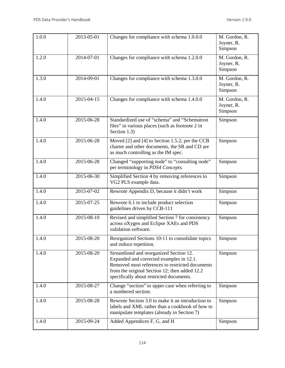| 1.0.0 | 2013-05-01       | Changes for compliance with schema 1.0.0.0                                                                                                                                                                                          | M. Gordon, R.<br>Joyner, R.<br>Simpson |
|-------|------------------|-------------------------------------------------------------------------------------------------------------------------------------------------------------------------------------------------------------------------------------|----------------------------------------|
| 1.2.0 | 2014-07-01       | Changes for compliance with schema 1.2.0.0                                                                                                                                                                                          | M. Gordon, R.<br>Joyner, R.<br>Simpson |
| 1.3.0 | 2014-09-01       | Changes for compliance with schema 1.3.0.0                                                                                                                                                                                          | M. Gordon, R.<br>Joyner, R.<br>Simpson |
| 1.4.0 | 2015-04-15       | Changes for compliance with schema 1.4.0.0                                                                                                                                                                                          | M. Gordon, R.<br>Joyner, R.<br>Simpson |
| 1.4.0 | 2015-06-28       | Standardized use of "schema" and "Schematron<br>files" in various places (such as footnote 2 in<br>Section 1.3)                                                                                                                     | Simpson                                |
| 1.4.0 | 2015-06-28       | Moved [2] and [4] to Section 1.5.2; per the CCB<br>charter and other documents, the SR and CD are<br>as much controlling as the IM spec.                                                                                            | Simpson                                |
| 1.4.0 | $2015 - 06 - 28$ | Changed "supporting node" to "consulting node"<br>per terminology in PDS4 Concepts.                                                                                                                                                 | Simpson                                |
| 1.4.0 | 2015-06-30       | Simplified Section 4 by removing references to<br>VG2 PLS example data.                                                                                                                                                             | Simpson                                |
| 1.4.0 | 2015-07-02       | Rewrote Appendix D, because it didn't work                                                                                                                                                                                          | Simpson                                |
| 1.4.0 | 2015-07-25       | Rewrote 6.1 to include product selection<br>guidelines driven by CCB-111                                                                                                                                                            | Simpson                                |
| 1.4.0 | 2015-08-10       | Revised and simplified Section 7 for consistency<br>across oXygen and Eclipse XAEs and PDS<br>validation software.                                                                                                                  | Simpson                                |
| 1.4.0 | 2015-08-20       | Reorganized Sections 10-11 to consolidate topics<br>and reduce repetition.                                                                                                                                                          | Simpson                                |
| 1.4.0 | 2015-08-20       | Streamlined and reorganized Section 12.<br>Expanded and corrected examples in 12.1.<br>Removed most references to restricted documents<br>from the original Section 12; then added 12.2<br>specifically about restricted documents. | Simpson                                |
| 1.4.0 | 2015-08-27       | Change "section" to upper case when referring to<br>a numbered section.                                                                                                                                                             | Simpson                                |
| 1.4.0 | 2015-08-28       | Rewrote Section 3.0 to make it an introduction to<br>labels and XML rather than a cookbook of how to<br>manipulate templates (already in Section 7)                                                                                 | Simpson                                |
| 1.4.0 | 2015-09-24       | Added Appendices F, G, and H                                                                                                                                                                                                        | Simpson                                |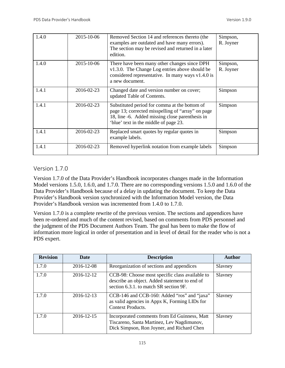| 1.4.0 | 2015-10-06 | Removed Section 14 and references thereto (the<br>examples are outdated and have many errors).<br>The section may be revised and returned in a later<br>edition.                               | Simpson,<br>R. Joyner |
|-------|------------|------------------------------------------------------------------------------------------------------------------------------------------------------------------------------------------------|-----------------------|
| 1.4.0 | 2015-10-06 | There have been many other changes since DPH<br>v1.3.0. The Change Log entries above should be<br>considered representative. In many ways $v1.4.0$ is<br>a new document.                       | Simpson,<br>R. Joyner |
| 1.4.1 | 2016-02-23 | Changed date and version number on cover;<br>updated Table of Contents.                                                                                                                        | Simpson               |
| 1.4.1 | 2016-02-23 | Substituted period for comma at the bottom of<br>page 13; corrected misspelling of "array" on page<br>18, line -6. Added missing close parenthesis in<br>'blue' text in the middle of page 23. | Simpson               |
| 1.4.1 | 2016-02-23 | Replaced smart quotes by regular quotes in<br>example labels.                                                                                                                                  | Simpson               |
| 1.4.1 | 2016-02-23 | Removed hyperlink notation from example labels                                                                                                                                                 | Simpson               |

## Version 1.7.0

Version 1.7.0 of the Data Provider's Handbook incorporates changes made in the Information Model versions 1.5.0, 1.6.0, and 1.7.0. There are no corresponding versions 1.5.0 and 1.6.0 of the Data Provider's Handbook because of a delay in updating the document. To keep the Data Provider's Handbook version synchronized with the Information Model version, the Data Provider's Handbook version was incremented from 1.4.0 to 1.7.0.

Version 1.7.0 is a complete rewrite of the previous version. The sections and appendices have been re-ordered and much of the content revised, based on comments from PDS personnel and the judgment of the PDS Document Authors Team. The goal has been to make the flow of information more logical in order of presentation and in level of detail for the reader who is not a PDS expert.

| <b>Revision</b> | <b>Date</b> | <b>Description</b>                                                                                                                         | <b>Author</b> |
|-----------------|-------------|--------------------------------------------------------------------------------------------------------------------------------------------|---------------|
| 1.7.0           | 2016-12-08  | Reorganization of sections and appendices                                                                                                  | Slavney       |
| 1.7.0           | 2016-12-12  | CCB-98: Choose most specific class available to<br>describe an object. Added statement to end of<br>section 6.3.1, to match SR section 9F. | Slavney       |
| 1.7.0           | 2016-12-13  | CCB-146 and CCB-160: Added "ros" and "jaxa"<br>as valid agencies in Appx K, Forming LIDs for<br><b>Context Products.</b>                   | Slavney       |
| 1.7.0           | 2016-12-15  | Incorporated comments from Ed Guinness, Matt<br>Tiscareno, Santa Martinez, Lev Nagdimunov,<br>Dick Simpson, Ron Joyner, and Richard Chen   | Slavney       |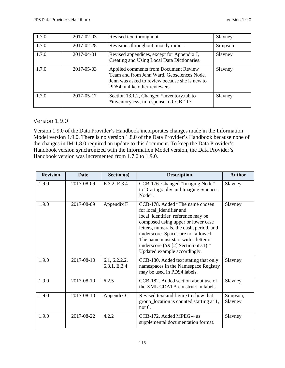| 1.7.0 | 2017-02-03 | Revised text throughout                                                                                                                                                | Slavney |
|-------|------------|------------------------------------------------------------------------------------------------------------------------------------------------------------------------|---------|
| 1.7.0 | 2017-02-28 | Revisions throughout, mostly minor                                                                                                                                     | Simpson |
| 1.7.0 | 2017-04-01 | Revised appendices, except for Appendix J,<br>Creating and Using Local Data Dictionaries.                                                                              | Slavney |
| 1.7.0 | 2017-05-03 | Applied comments from Document Review<br>Team and from Jenn Ward, Geosciences Node.<br>Jenn was asked to review because she is new to<br>PDS4, unlike other reviewers. | Slavney |
| 1.7.0 | 2017-05-17 | Section 13.1.2, Changed *inventory.tab to<br>*inventory.csv, in response to CCB-117.                                                                                   | Slavney |

## Version 1.9.0

Version 1.9.0 of the Data Provider's Handbook incorporates changes made in the Information Model version 1.9.0. There is no version 1.8.0 of the Data Provider's Handbook because none of the changes in IM 1.8.0 required an update to this document. To keep the Data Provider's Handbook version synchronized with the Information Model version, the Data Provider's Handbook version was incremented from 1.7.0 to 1.9.0.

| <b>Revision</b> | <b>Date</b> | Section(s)                    | <b>Description</b>                                                                                                                                                                                                                                                                                                                        | <b>Author</b>       |
|-----------------|-------------|-------------------------------|-------------------------------------------------------------------------------------------------------------------------------------------------------------------------------------------------------------------------------------------------------------------------------------------------------------------------------------------|---------------------|
| 1.9.0           | 2017-08-09  | E.3.2, E.3.4                  | CCB-176. Changed "Imaging Node"<br>to "Cartography and Imaging Sciences"<br>Node".                                                                                                                                                                                                                                                        | Slavney             |
| 1.9.0           | 2017-08-09  | Appendix F                    | CCB-178. Added "The name chosen<br>for local_identifier and<br>local_identifier_reference may be<br>composed using upper or lower case<br>letters, numerals, the dash, period, and<br>underscore. Spaces are not allowed.<br>The name must start with a letter or<br>underscore $(SR [2]$ Section 6D.1)."<br>Updated example accordingly. | Slavney             |
| 1.9.0           | 2017-08-10  | 6.1, 6.2.2.2,<br>6.3.1, E.3.4 | CCB-180. Added text stating that only<br>namespaces in the Namespace Registry<br>may be used in PDS4 labels.                                                                                                                                                                                                                              | Slavney             |
| 1.9.0           | 2017-08-10  | 6.2.5                         | CCB-182. Added section about use of<br>the XML CDATA construct in labels.                                                                                                                                                                                                                                                                 | Slavney             |
| 1.9.0           | 2017-08-10  | Appendix G                    | Revised text and figure to show that<br>group_location is counted starting at 1,<br>not 0.                                                                                                                                                                                                                                                | Simpson,<br>Slavney |
| 1.9.0           | 2017-08-22  | 4.2.2                         | CCB-172. Added MPEG-4 as<br>supplemental documentation format.                                                                                                                                                                                                                                                                            | Slavney             |